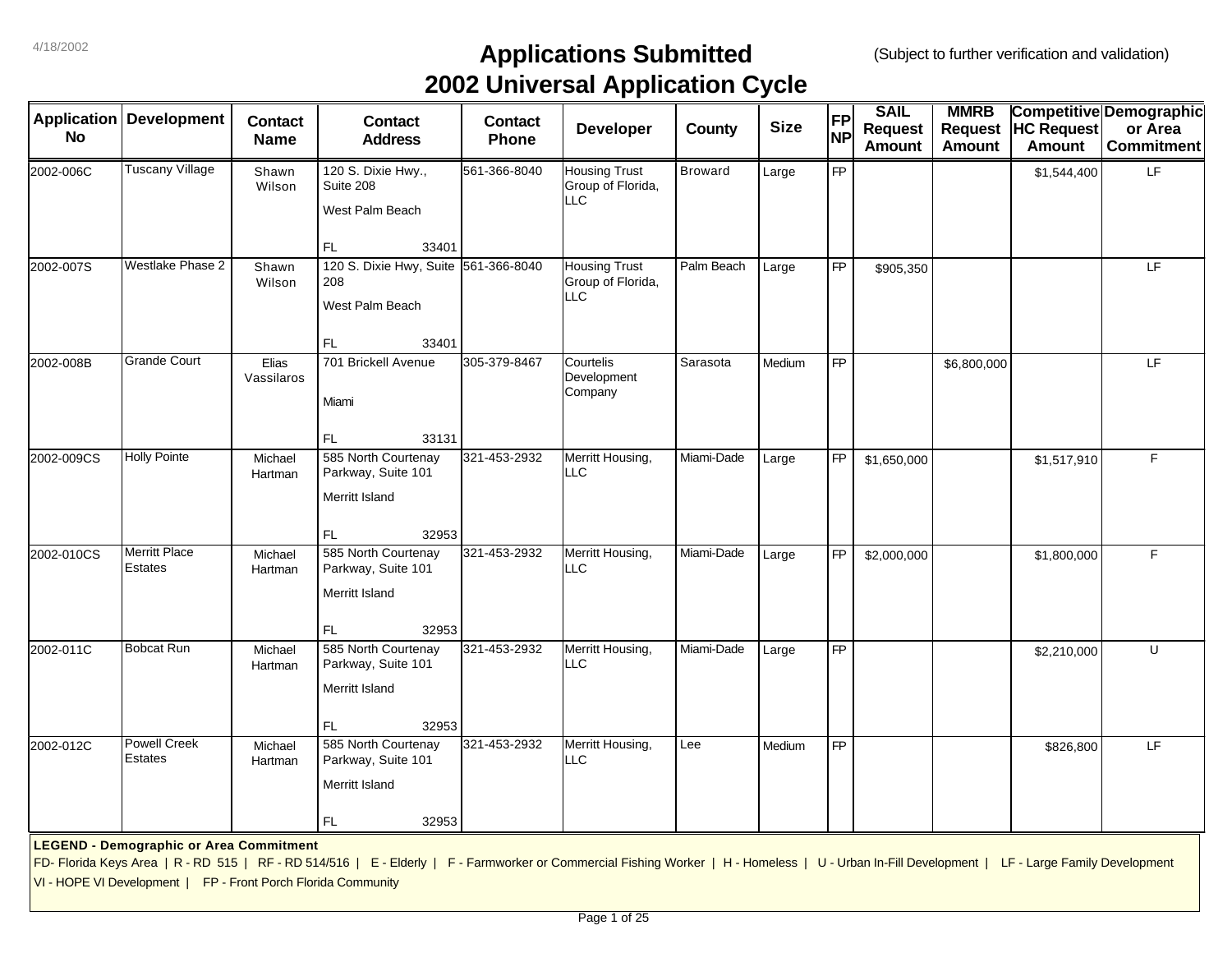|            | <b>Application   Development</b>                              | <b>Contact</b>      | <b>Contact</b>                                                                                                                                                                                 | <b>Contact</b> | . .<br><b>Developer</b>                          | <b>County</b>  | <b>Size</b> | <b>FP</b>       | <b>SAIL</b><br><b>Request</b> | <b>MMRB</b><br><b>Request</b> | <b>HC Request</b> | Competitive Demographic<br>or Area |
|------------|---------------------------------------------------------------|---------------------|------------------------------------------------------------------------------------------------------------------------------------------------------------------------------------------------|----------------|--------------------------------------------------|----------------|-------------|-----------------|-------------------------------|-------------------------------|-------------------|------------------------------------|
| <b>No</b>  |                                                               | <b>Name</b>         | <b>Address</b>                                                                                                                                                                                 | Phone          |                                                  |                |             | <b>NP</b>       | <b>Amount</b>                 | <b>Amount</b>                 | <b>Amount</b>     | <b>Commitment</b>                  |
| 2002-006C  | <b>Tuscany Village</b>                                        | Shawn<br>Wilson     | 120 S. Dixie Hwy.,<br>Suite 208<br>West Palm Beach                                                                                                                                             | 561-366-8040   | <b>Housing Trust</b><br>Group of Florida,<br>LLC | <b>Broward</b> | Large       | FP              |                               |                               | \$1,544,400       | LF.                                |
|            |                                                               |                     | FL.<br>33401                                                                                                                                                                                   |                |                                                  |                |             |                 |                               |                               |                   |                                    |
| 2002-007S  | <b>Westlake Phase 2</b>                                       | Shawn<br>Wilson     | 120 S. Dixie Hwy, Suite 561-366-8040<br>208<br>West Palm Beach<br>FL<br>33401                                                                                                                  |                | <b>Housing Trust</b><br>Group of Florida,<br>LLC | Palm Beach     | Large       | <b>FP</b>       | \$905,350                     |                               |                   | LF.                                |
| 2002-008B  | <b>Grande Court</b>                                           | Elias<br>Vassilaros | 701 Brickell Avenue<br>Miami<br>FL.<br>33131                                                                                                                                                   | 305-379-8467   | Courtelis<br>Development<br>Company              | Sarasota       | Medium      | <b>FP</b>       |                               | \$6,800,000                   |                   | LF.                                |
| 2002-009CS | <b>Holly Pointe</b>                                           | Michael<br>Hartman  | 585 North Courtenay<br>Parkway, Suite 101<br>Merritt Island<br>FL.<br>32953                                                                                                                    | 321-453-2932   | Merritt Housing,<br>LLC                          | Miami-Dade     | Large       | <b>FP</b>       | \$1,650,000                   |                               | \$1,517,910       | F                                  |
| 2002-010CS | <b>Merritt Place</b><br>Estates                               | Michael<br>Hartman  | 585 North Courtenay<br>Parkway, Suite 101<br>Merritt Island<br>32953<br>FL.                                                                                                                    | 321-453-2932   | Merritt Housing,<br>LLC                          | Miami-Dade     | Large       | <b>FP</b>       | \$2,000,000                   |                               | \$1,800,000       | F                                  |
| 2002-011C  | Bobcat Run                                                    | Michael<br>Hartman  | 585 North Courtenay<br>Parkway, Suite 101<br>Merritt Island<br>FL.<br>32953                                                                                                                    | 321-453-2932   | Merritt Housing,<br>LLC.                         | Miami-Dade     | Large       | $\overline{FP}$ |                               |                               | \$2,210,000       | U                                  |
| 2002-012C  | <b>Powell Creek</b><br><b>Estates</b>                         | Michael<br>Hartman  | 585 North Courtenay<br>Parkway, Suite 101<br>Merritt Island<br>FL.<br>32953                                                                                                                    | 321-453-2932   | Merritt Housing,<br>LLC                          | Lee            | Medium      | <b>FP</b>       |                               |                               | \$826,800         | LF.                                |
|            | <b>LEGEND - Demographic or Area Commitment</b>                |                     | FD-Florida Keys Area   R - RD 515   RF - RD 514/516   E - Elderly   F - Farmworker or Commercial Fishing Worker   H - Homeless   U - Urban In-Fill Development   LF - Large Family Development |                |                                                  |                |             |                 |                               |                               |                   |                                    |
|            | VI - HOPE VI Development   FP - Front Porch Florida Community |                     |                                                                                                                                                                                                |                |                                                  |                |             |                 |                               |                               |                   |                                    |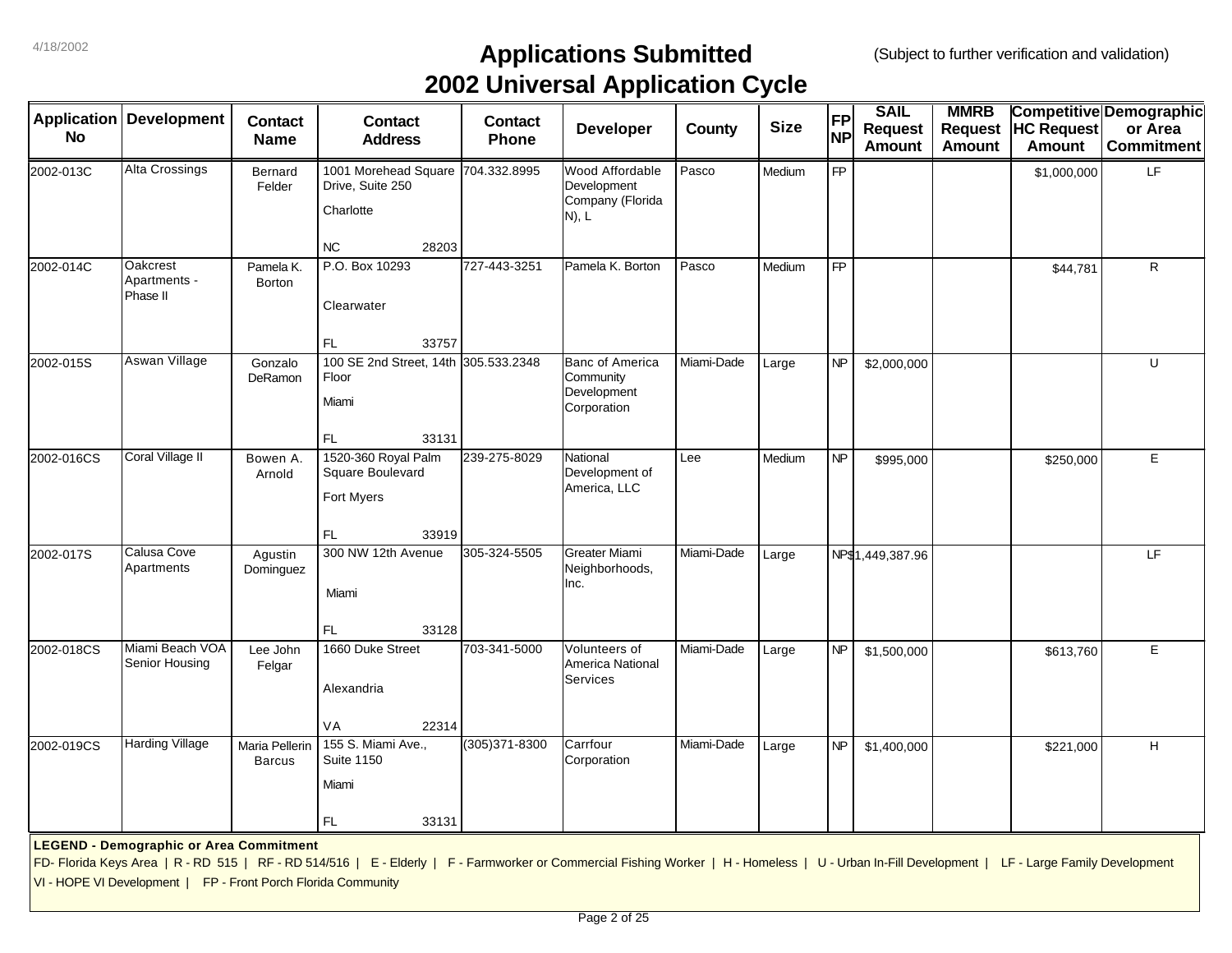| <b>Application</b> | <b>Development</b>                                                                                              | <b>Contact</b>                  | <b>Contact</b>                                                                                                                                                                                  | <b>Contact</b> | . .<br>Developer                                                  | County     | <b>Size</b> | <b>FP</b> | <b>SAIL</b>                     | <b>MMRB</b><br><b>Request</b> | <b>HC Request</b> | <b>Competitive Demographic</b><br>or Area |
|--------------------|-----------------------------------------------------------------------------------------------------------------|---------------------------------|-------------------------------------------------------------------------------------------------------------------------------------------------------------------------------------------------|----------------|-------------------------------------------------------------------|------------|-------------|-----------|---------------------------------|-------------------------------|-------------------|-------------------------------------------|
| <b>No</b>          |                                                                                                                 | <b>Name</b>                     | <b>Address</b>                                                                                                                                                                                  | Phone          |                                                                   |            |             | <b>NP</b> | <b>Request</b><br><b>Amount</b> | <b>Amount</b>                 | <b>Amount</b>     | <b>Commitment</b>                         |
| 2002-013C          | <b>Alta Crossings</b>                                                                                           | Bernard<br>Felder               | 1001 Morehead Square 704.332.8995<br>Drive, Suite 250<br>Charlotte                                                                                                                              |                | Wood Affordable<br>Development<br>Company (Florida<br>$N$ ), $L$  | Pasco      | Medium      | <b>FP</b> |                                 |                               | \$1,000,000       | LF                                        |
| 2002-014C          | Oakcrest                                                                                                        | Pamela K.                       | <b>NC</b><br>28203<br>P.O. Box 10293                                                                                                                                                            | 727-443-3251   | Pamela K. Borton                                                  | Pasco      | Medium      | <b>FP</b> |                                 |                               | \$44,781          | $\mathsf{R}$                              |
|                    | Apartments -<br>Phase II                                                                                        | <b>Borton</b>                   | Clearwater<br>FL<br>33757                                                                                                                                                                       |                |                                                                   |            |             |           |                                 |                               |                   |                                           |
| 2002-015S          | Aswan Village                                                                                                   | Gonzalo<br>DeRamon              | 100 SE 2nd Street, 14th 305.533.2348<br>Floor<br>Miami<br>FL<br>33131                                                                                                                           |                | <b>Banc of America</b><br>Community<br>Development<br>Corporation | Miami-Dade | Large       | <b>NP</b> | \$2,000,000                     |                               |                   | U                                         |
| 2002-016CS         | Coral Village II                                                                                                | Bowen A.<br>Arnold              | 1520-360 Royal Palm<br>Square Boulevard<br>Fort Myers<br>FL<br>33919                                                                                                                            | 239-275-8029   | National<br>Development of<br>America, LLC                        | Lee        | Medium      | <b>NP</b> | \$995,000                       |                               | \$250,000         | E                                         |
| 2002-017S          | Calusa Cove<br>Apartments                                                                                       | Agustin<br>Dominguez            | 300 NW 12th Avenue<br>Miami<br>33128<br>FL                                                                                                                                                      | 305-324-5505   | <b>Greater Miami</b><br>Neighborhoods,<br>Inc.                    | Miami-Dade | Large       |           | NP\$1,449,387.96                |                               |                   | LF                                        |
| 2002-018CS         | Miami Beach VOA<br>Senior Housing                                                                               | Lee John<br>Felgar              | 1660 Duke Street<br>Alexandria<br><b>VA</b><br>22314                                                                                                                                            | 703-341-5000   | Volunteers of<br>America National<br><b>Services</b>              | Miami-Dade | Large       | NP        | \$1,500,000                     |                               | \$613,760         | E                                         |
| 2002-019CS         | <b>Harding Village</b>                                                                                          | Maria Pellerin<br><b>Barcus</b> | 155 S. Miami Ave.,<br><b>Suite 1150</b><br>Miami<br>FL.<br>33131                                                                                                                                | (305) 371-8300 | Carrfour<br>Corporation                                           | Miami-Dade | Large       | <b>NP</b> | \$1,400,000                     |                               | \$221,000         | $\mathsf H$                               |
|                    | <b>LEGEND - Demographic or Area Commitment</b><br>VI - HOPE VI Development   FP - Front Porch Florida Community |                                 | FD- Florida Keys Area   R - RD 515   RF - RD 514/516   E - Elderly   F - Farmworker or Commercial Fishing Worker   H - Homeless   U - Urban In-Fill Development   LF - Large Family Development |                |                                                                   |            |             |           |                                 |                               |                   |                                           |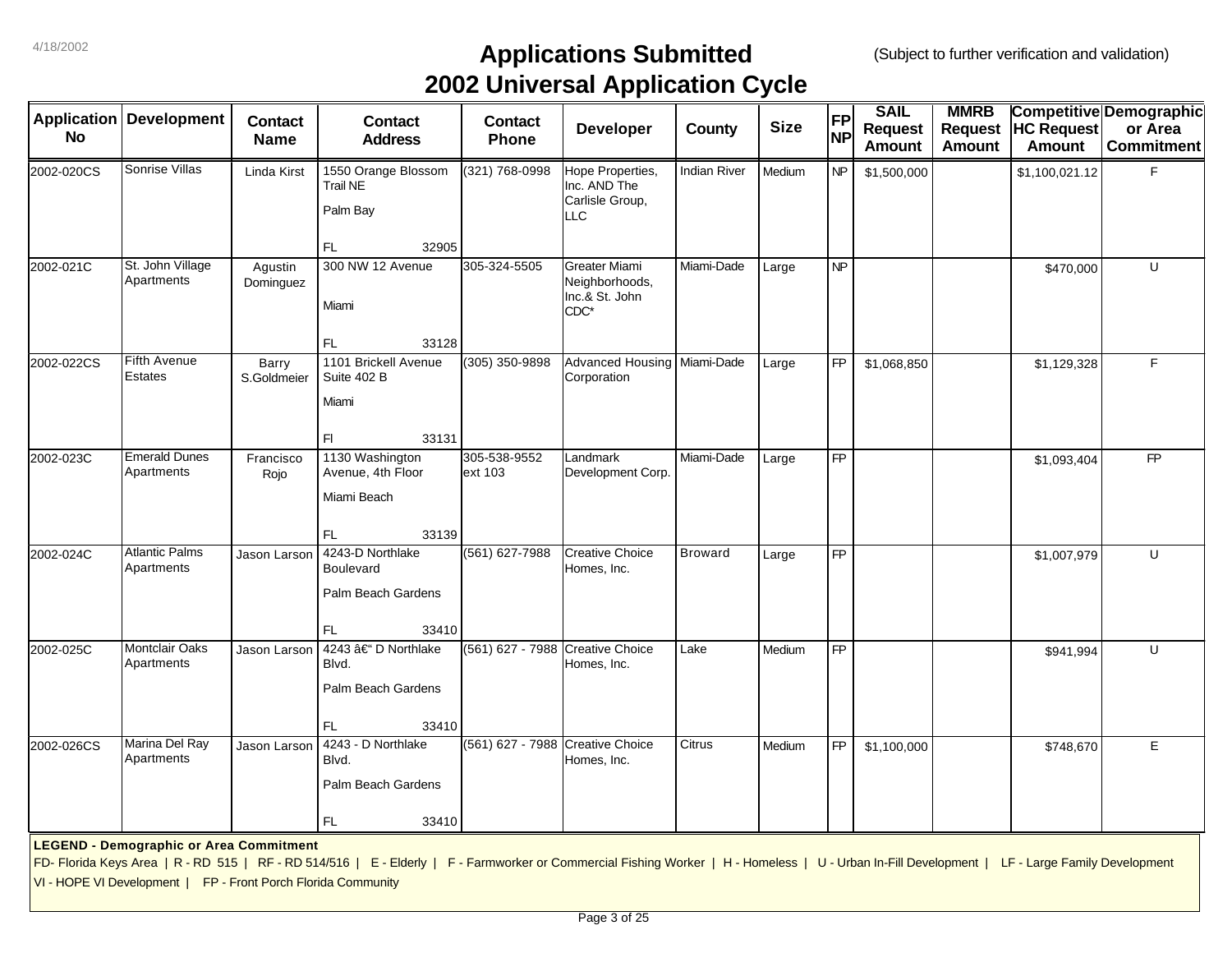| <b>Application</b> | <b>Development</b>                                                                                              | <b>Contact</b>       | <b>Contact</b>                                                                                                                                                                                  | <b>Contact</b>                   | . .<br>Developer                                                   | County              | <b>Size</b> | FP        | <b>SAIL</b><br>Request | <b>MMRB</b>   | Request HC Request | <b>Competitive Demographic</b><br>or Area |
|--------------------|-----------------------------------------------------------------------------------------------------------------|----------------------|-------------------------------------------------------------------------------------------------------------------------------------------------------------------------------------------------|----------------------------------|--------------------------------------------------------------------|---------------------|-------------|-----------|------------------------|---------------|--------------------|-------------------------------------------|
| <b>No</b>          |                                                                                                                 | <b>Name</b>          | <b>Address</b>                                                                                                                                                                                  | <b>Phone</b>                     |                                                                    |                     |             | <b>NP</b> | <b>Amount</b>          | <b>Amount</b> | <b>Amount</b>      | <b>Commitment</b>                         |
| 2002-020CS         | Sonrise Villas                                                                                                  | Linda Kirst          | 1550 Orange Blossom<br><b>Trail NE</b><br>Palm Bay                                                                                                                                              | (321) 768-0998                   | Hope Properties,<br>Inc. AND The<br>Carlisle Group,<br><b>LLC</b>  | <b>Indian River</b> | Medium      | <b>NP</b> | \$1,500,000            |               | \$1,100,021.12     | F                                         |
|                    |                                                                                                                 |                      | FL<br>32905                                                                                                                                                                                     |                                  |                                                                    |                     |             |           |                        |               |                    |                                           |
| 2002-021C          | St. John Village<br>Apartments                                                                                  | Agustin<br>Dominguez | 300 NW 12 Avenue<br>Miami                                                                                                                                                                       | 305-324-5505                     | <b>Greater Miami</b><br>Neighborhoods,<br>Inc.& St. John<br>$CDC*$ | Miami-Dade          | Large       | NP        |                        |               | \$470,000          | $\cup$                                    |
|                    |                                                                                                                 |                      | FL.<br>33128                                                                                                                                                                                    |                                  |                                                                    |                     |             |           |                        |               |                    |                                           |
| 2002-022CS         | Fifth Avenue<br>Estates                                                                                         | Barry<br>S.Goldmeier | 1101 Brickell Avenue<br>Suite 402 B<br>Miami                                                                                                                                                    | (305) 350-9898                   | Advanced Housing Miami-Dade<br>Corporation                         |                     | Large       | <b>FP</b> | \$1,068,850            |               | \$1,129,328        | F                                         |
|                    |                                                                                                                 |                      | F1<br>33131                                                                                                                                                                                     |                                  |                                                                    |                     |             |           |                        |               |                    |                                           |
| 2002-023C          | <b>Emerald Dunes</b><br>Apartments                                                                              | Francisco<br>Rojo    | 1130 Washington<br>Avenue, 4th Floor<br>Miami Beach                                                                                                                                             | 305-538-9552<br>ext 103          | Landmark<br>Development Corp.                                      | Miami-Dade          | Large       | FP        |                        |               | \$1,093,404        | FP                                        |
|                    |                                                                                                                 |                      | FL<br>33139                                                                                                                                                                                     |                                  |                                                                    |                     |             |           |                        |               |                    |                                           |
| 2002-024C          | <b>Atlantic Palms</b><br>Apartments                                                                             | Jason Larson         | 4243-D Northlake<br>Boulevard<br>Palm Beach Gardens                                                                                                                                             | (561) 627-7988                   | <b>Creative Choice</b><br>Homes, Inc.                              | <b>Broward</b>      | Large       | FP        |                        |               | \$1,007,979        | U                                         |
| 2002-025C          | <b>Montclair Oaks</b>                                                                                           | Jason Larson         | 33410<br>FL.<br>4243 †D Northlake                                                                                                                                                               | (561) 627 - 7988 Creative Choice |                                                                    | Lake                | Medium      | <b>FP</b> |                        |               | \$941,994          | U                                         |
|                    | Apartments                                                                                                      |                      | Blvd.<br>Palm Beach Gardens                                                                                                                                                                     |                                  | Homes, Inc.                                                        |                     |             |           |                        |               |                    |                                           |
| 2002-026CS         | Marina Del Ray                                                                                                  | Jason Larson         | 33410<br>FL.<br>4243 - D Northlake                                                                                                                                                              | (561) 627 - 7988 Creative Choice |                                                                    | Citrus              | Medium      | <b>FP</b> |                        |               | \$748,670          | $\mathsf E$                               |
|                    | Apartments                                                                                                      |                      | Blvd.<br>Palm Beach Gardens                                                                                                                                                                     |                                  | Homes, Inc.                                                        |                     |             |           | \$1,100,000            |               |                    |                                           |
|                    |                                                                                                                 |                      | FL<br>33410                                                                                                                                                                                     |                                  |                                                                    |                     |             |           |                        |               |                    |                                           |
|                    | <b>LEGEND - Demographic or Area Commitment</b><br>VI - HOPE VI Development   FP - Front Porch Florida Community |                      | FD- Florida Keys Area   R - RD 515   RF - RD 514/516   E - Elderly   F - Farmworker or Commercial Fishing Worker   H - Homeless   U - Urban In-Fill Development   LF - Large Family Development |                                  |                                                                    |                     |             |           |                        |               |                    |                                           |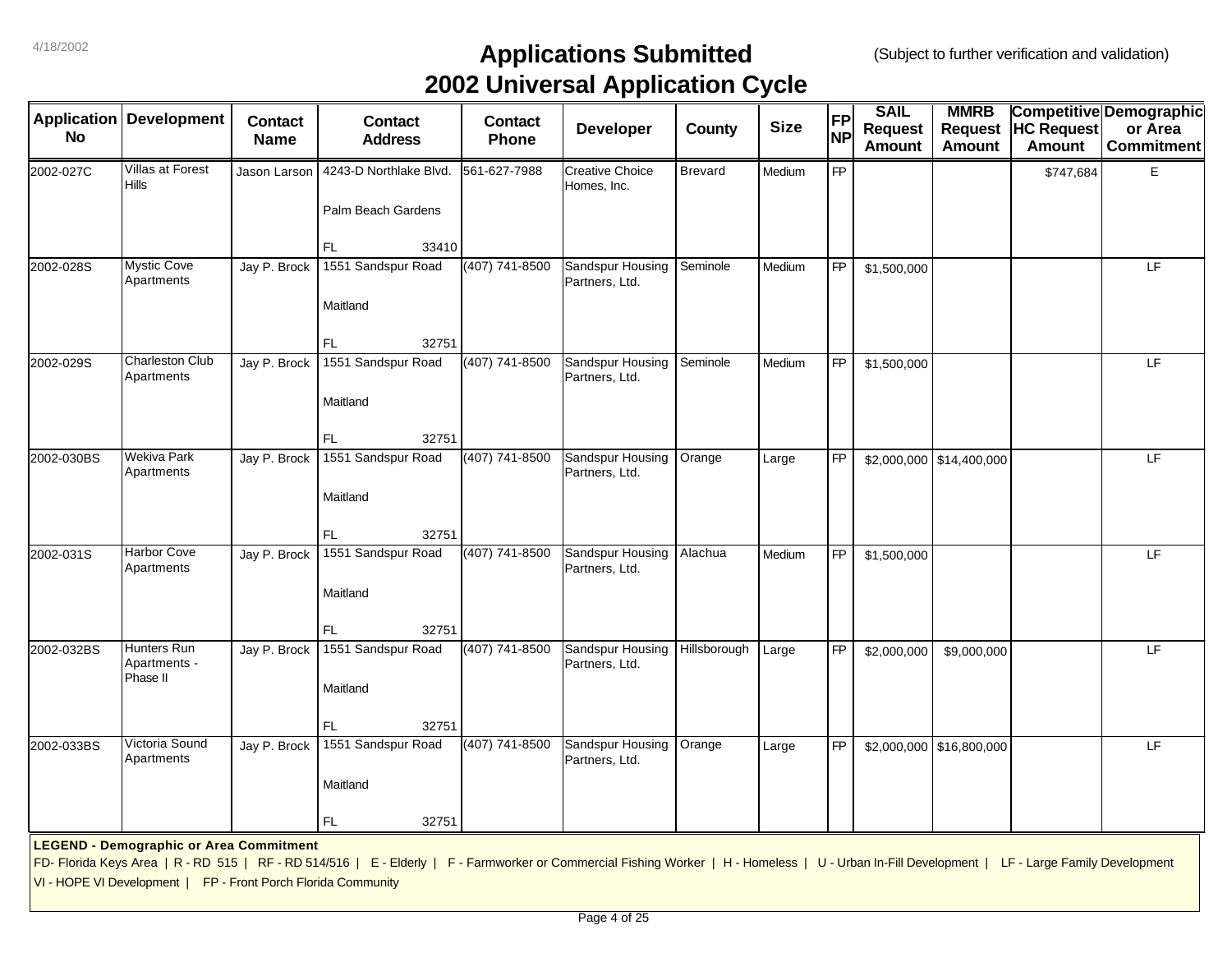| <b>Application</b> | <b>Development</b>                                            | <b>Contact</b> | <b>Contact</b>                                                                                                                                                                                  | <b>Contact</b> | . .<br><b>Developer</b>               | County       | <b>Size</b> | <b>FP</b> | <b>SAIL</b><br><b>Request</b> | <b>MMRB</b><br><b>Request</b> | <b>HC Request</b> | Competitive Demographic<br>or Area |
|--------------------|---------------------------------------------------------------|----------------|-------------------------------------------------------------------------------------------------------------------------------------------------------------------------------------------------|----------------|---------------------------------------|--------------|-------------|-----------|-------------------------------|-------------------------------|-------------------|------------------------------------|
| <b>No</b>          |                                                               | <b>Name</b>    | <b>Address</b>                                                                                                                                                                                  | Phone          |                                       |              |             | <b>NP</b> | <b>Amount</b>                 | <b>Amount</b>                 | <b>Amount</b>     | <b>Commitment</b>                  |
| 2002-027C          | Villas at Forest<br><b>Hills</b>                              | Jason Larson   | 4243-D Northlake Blvd.                                                                                                                                                                          | 561-627-7988   | <b>Creative Choice</b><br>Homes, Inc. | Brevard      | Medium      | FP        |                               |                               | \$747,684         | Е                                  |
|                    |                                                               |                | Palm Beach Gardens                                                                                                                                                                              |                |                                       |              |             |           |                               |                               |                   |                                    |
|                    |                                                               |                | FL.<br>33410                                                                                                                                                                                    |                |                                       |              |             |           |                               |                               |                   |                                    |
| 2002-028S          | <b>Mystic Cove</b><br>Apartments                              | Jay P. Brock   | 1551 Sandspur Road                                                                                                                                                                              | (407) 741-8500 | Sandspur Housing<br>Partners, Ltd.    | Seminole     | Medium      | <b>FP</b> | \$1,500,000                   |                               |                   | LF                                 |
|                    |                                                               |                | Maitland                                                                                                                                                                                        |                |                                       |              |             |           |                               |                               |                   |                                    |
|                    |                                                               |                | FL.<br>32751                                                                                                                                                                                    |                |                                       |              |             |           |                               |                               |                   |                                    |
| 2002-029S          | <b>Charleston Club</b><br>Apartments                          | Jay P. Brock   | 1551 Sandspur Road                                                                                                                                                                              | (407) 741-8500 | Sandspur Housing<br>Partners, Ltd.    | Seminole     | Medium      | <b>FP</b> | \$1,500,000                   |                               |                   | LF                                 |
|                    |                                                               |                | Maitland                                                                                                                                                                                        |                |                                       |              |             |           |                               |                               |                   |                                    |
| 2002-030BS         | Wekiva Park                                                   | Jay P. Brock   | 32751<br>FL.<br>1551 Sandspur Road                                                                                                                                                              | (407) 741-8500 | Sandspur Housing                      | Orange       | Large       | <b>FP</b> |                               | $$2,000,000$ \\$14,400,000    |                   | LF                                 |
|                    | Apartments                                                    |                |                                                                                                                                                                                                 |                | Partners, Ltd.                        |              |             |           |                               |                               |                   |                                    |
|                    |                                                               |                | Maitland                                                                                                                                                                                        |                |                                       |              |             |           |                               |                               |                   |                                    |
|                    |                                                               |                | FL.<br>32751                                                                                                                                                                                    |                |                                       |              |             |           |                               |                               |                   |                                    |
| 2002-031S          | Harbor Cove<br>Apartments                                     | Jay P. Brock   | 1551 Sandspur Road                                                                                                                                                                              | (407) 741-8500 | Sandspur Housing<br>Partners, Ltd.    | Alachua      | Medium      | <b>FP</b> | \$1,500,000                   |                               |                   | LF                                 |
|                    |                                                               |                | Maitland                                                                                                                                                                                        |                |                                       |              |             |           |                               |                               |                   |                                    |
|                    |                                                               |                | 32751<br>FL.                                                                                                                                                                                    |                |                                       |              |             |           |                               |                               |                   |                                    |
| 2002-032BS         | Hunters Run<br>Apartments -<br>Phase II                       | Jay P. Brock   | 1551 Sandspur Road                                                                                                                                                                              | (407) 741-8500 | Sandspur Housing<br>Partners, Ltd.    | Hillsborough | Large       | <b>FP</b> | \$2,000,000                   | \$9,000,000                   |                   | LF                                 |
|                    |                                                               |                | Maitland                                                                                                                                                                                        |                |                                       |              |             |           |                               |                               |                   |                                    |
|                    |                                                               |                | 32751<br>FL.                                                                                                                                                                                    |                |                                       |              |             |           |                               |                               |                   |                                    |
| 2002-033BS         | Victoria Sound<br>Apartments                                  | Jay P. Brock   | 1551 Sandspur Road                                                                                                                                                                              | (407) 741-8500 | Sandspur Housing<br>Partners, Ltd.    | Orange       | Large       | <b>FP</b> |                               | \$2,000,000 \$16,800,000      |                   | LF                                 |
|                    |                                                               |                | Maitland                                                                                                                                                                                        |                |                                       |              |             |           |                               |                               |                   |                                    |
|                    |                                                               |                | 32751<br>FL.                                                                                                                                                                                    |                |                                       |              |             |           |                               |                               |                   |                                    |
|                    | <b>LEGEND - Demographic or Area Commitment</b>                |                |                                                                                                                                                                                                 |                |                                       |              |             |           |                               |                               |                   |                                    |
|                    |                                                               |                | FD- Florida Keys Area   R - RD 515   RF - RD 514/516   E - Elderly   F - Farmworker or Commercial Fishing Worker   H - Homeless   U - Urban In-Fill Development   LF - Large Family Development |                |                                       |              |             |           |                               |                               |                   |                                    |
|                    | VI - HOPE VI Development   FP - Front Porch Florida Community |                |                                                                                                                                                                                                 |                |                                       |              |             |           |                               |                               |                   |                                    |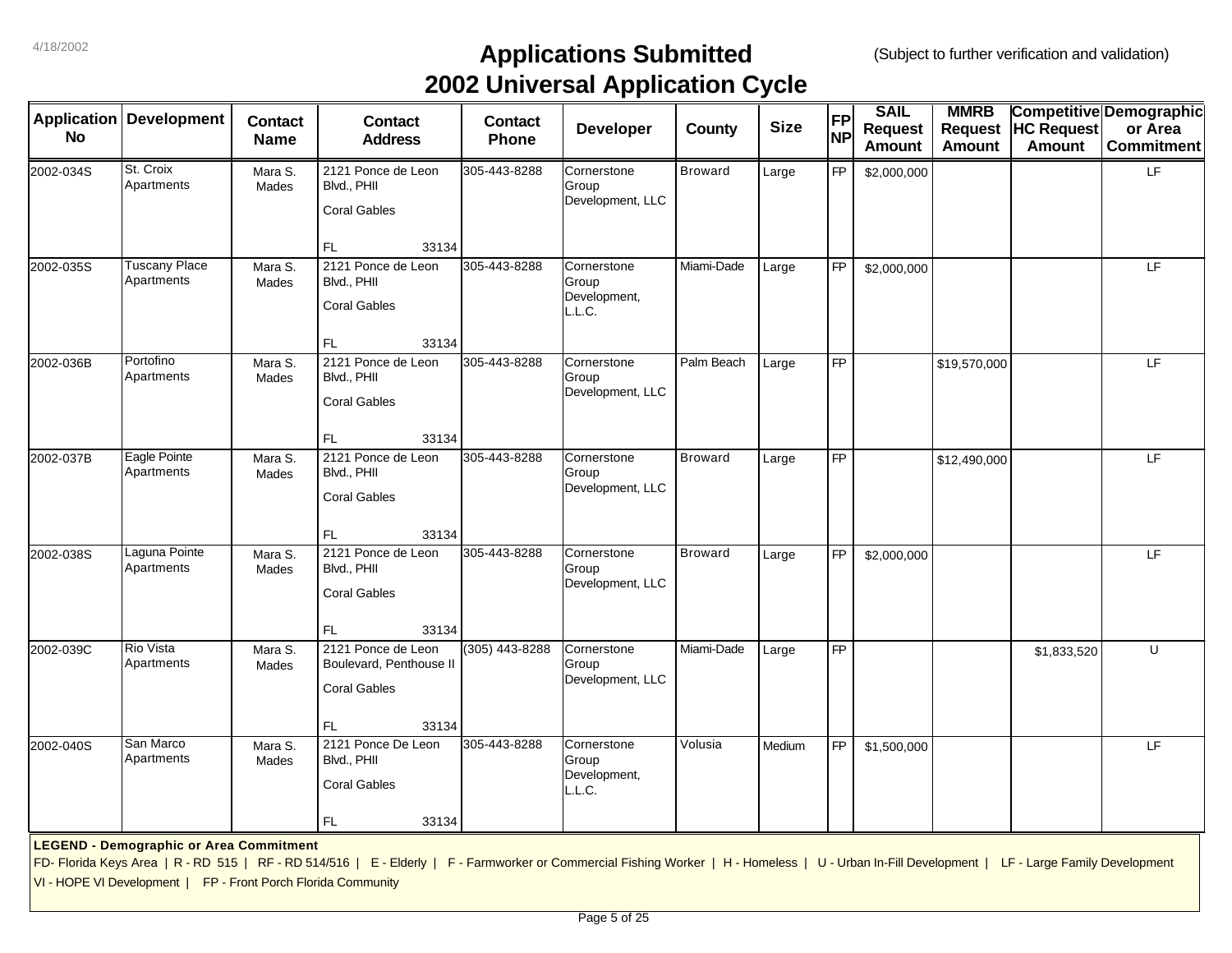| <b>Application</b><br><b>No</b> | <b>Development</b>                                                                                              | <b>Contact</b><br><b>Name</b> | <b>Contact</b><br><b>Address</b>                                                                                                                                                                | <b>Contact</b><br>Phone | . .<br>Developer                               | <b>County</b>  | <b>Size</b> | <b>FP</b><br><b>NP</b> | <b>SAIL</b><br><b>Request</b><br><b>Amount</b> | <b>MMRB</b><br><b>Request</b><br><b>Amount</b> | <b>HC Request</b><br><b>Amount</b> | Competitive Demographic<br>or Area<br><b>Commitment</b> |
|---------------------------------|-----------------------------------------------------------------------------------------------------------------|-------------------------------|-------------------------------------------------------------------------------------------------------------------------------------------------------------------------------------------------|-------------------------|------------------------------------------------|----------------|-------------|------------------------|------------------------------------------------|------------------------------------------------|------------------------------------|---------------------------------------------------------|
| 2002-034S                       | St. Croix<br>Apartments                                                                                         | Mara S.<br>Mades              | 2121 Ponce de Leon<br>Blvd., PHII<br><b>Coral Gables</b><br>FL.<br>33134                                                                                                                        | 305-443-8288            | Cornerstone<br>Group<br>Development, LLC       | <b>Broward</b> | Large       | <b>FP</b>              | \$2,000,000                                    |                                                |                                    | LF                                                      |
| 2002-035S                       | <b>Tuscany Place</b><br>Apartments                                                                              | Mara S.<br>Mades              | 2121 Ponce de Leon<br>Blvd., PHII<br><b>Coral Gables</b><br>FL.<br>33134                                                                                                                        | 305-443-8288            | Cornerstone<br>Group<br>Development,<br>L.L.C. | Miami-Dade     | Large       | FP                     | \$2,000,000                                    |                                                |                                    | LF                                                      |
| 2002-036B                       | Portofino<br>Apartments                                                                                         | Mara S.<br>Mades              | 2121 Ponce de Leon<br>Blvd., PHII<br><b>Coral Gables</b><br>FL.<br>33134                                                                                                                        | 305-443-8288            | Cornerstone<br>Group<br>Development, LLC       | Palm Beach     | Large       | $\overline{FP}$        |                                                | \$19,570,000                                   |                                    | LF                                                      |
| 2002-037B                       | Eagle Pointe<br>Apartments                                                                                      | Mara S.<br>Mades              | 2121 Ponce de Leon<br>Blvd., PHII<br><b>Coral Gables</b><br>FL.<br>33134                                                                                                                        | 305-443-8288            | Cornerstone<br>Group<br>Development, LLC       | <b>Broward</b> | Large       | FP                     |                                                | \$12,490,000                                   |                                    | E                                                       |
| 2002-038S                       | Laguna Pointe<br>Apartments                                                                                     | Mara S.<br>Mades              | 2121 Ponce de Leon<br>Blvd., PHII<br><b>Coral Gables</b><br>FL<br>33134                                                                                                                         | 305-443-8288            | Cornerstone<br>Group<br>Development, LLC       | <b>Broward</b> | Large       | <b>FP</b>              | \$2,000,000                                    |                                                |                                    | E                                                       |
| 2002-039C                       | <b>Rio Vista</b><br>Apartments                                                                                  | Mara S.<br>Mades              | 2121 Ponce de Leon<br>Boulevard, Penthouse II<br><b>Coral Gables</b><br>FL<br>33134                                                                                                             | (305) 443-8288          | Cornerstone<br>Group<br>Development, LLC       | Miami-Dade     | Large       | <b>FP</b>              |                                                |                                                | \$1,833,520                        | U                                                       |
| 2002-040S                       | San Marco<br>Apartments                                                                                         | Mara S.<br>Mades              | 2121 Ponce De Leon<br>Blvd., PHII<br><b>Coral Gables</b><br><b>FL</b><br>33134                                                                                                                  | 305-443-8288            | Cornerstone<br>Group<br>Development,<br>L.L.C. | Volusia        | Medium      | <b>FP</b>              | \$1,500,000                                    |                                                |                                    | LF                                                      |
|                                 | <b>LEGEND - Demographic or Area Commitment</b><br>VI - HOPE VI Development   FP - Front Porch Florida Community |                               | FD- Florida Keys Area   R - RD 515   RF - RD 514/516   E - Elderly   F - Farmworker or Commercial Fishing Worker   H - Homeless   U - Urban In-Fill Development   LF - Large Family Development |                         |                                                |                |             |                        |                                                |                                                |                                    |                                                         |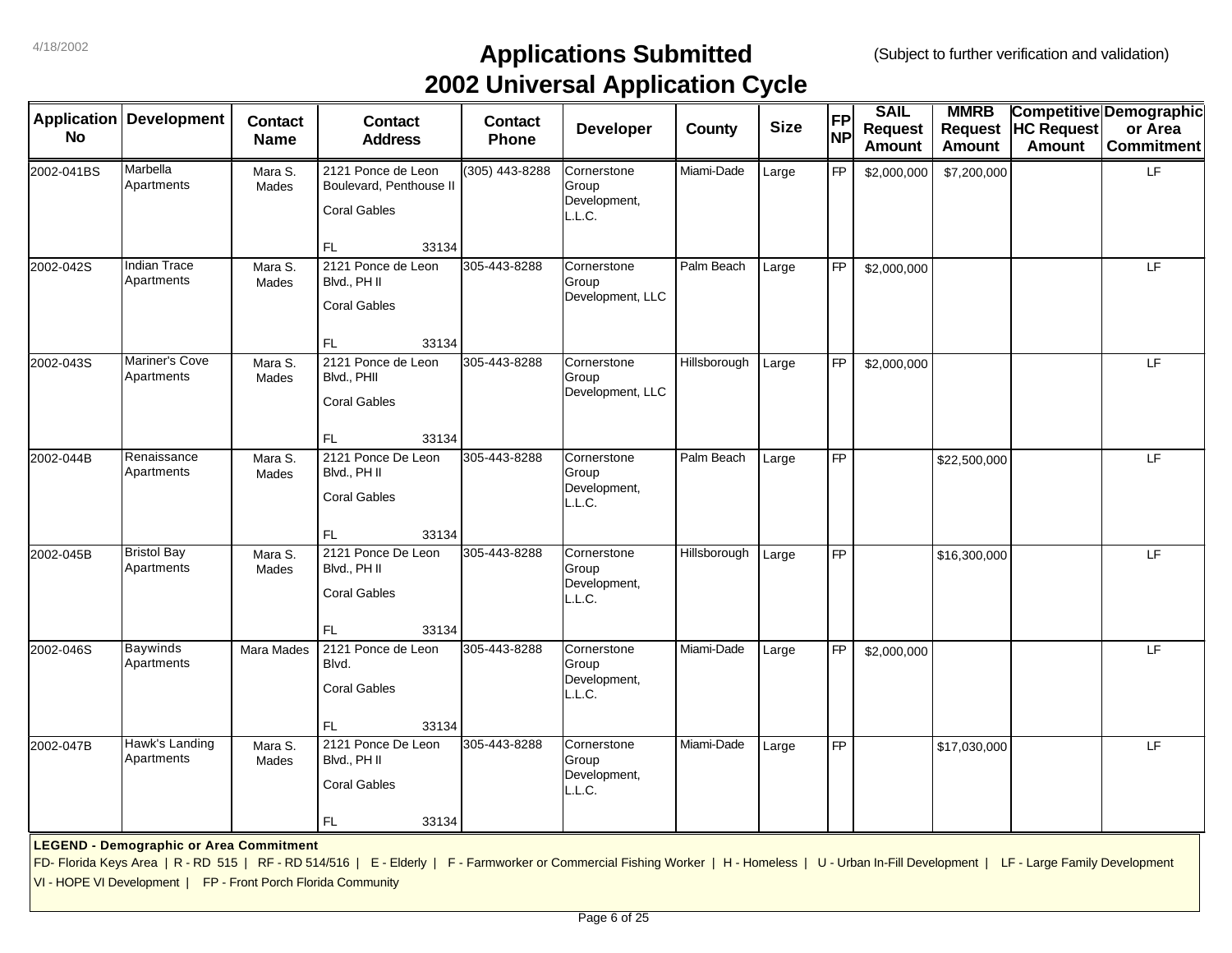|            |                                                               |                               |                                                                                                                                                                                                 |                         | . .                                            |              |             |                        |                                                |                                                |                                    |                                                         |
|------------|---------------------------------------------------------------|-------------------------------|-------------------------------------------------------------------------------------------------------------------------------------------------------------------------------------------------|-------------------------|------------------------------------------------|--------------|-------------|------------------------|------------------------------------------------|------------------------------------------------|------------------------------------|---------------------------------------------------------|
| No         | <b>Application Development</b>                                | <b>Contact</b><br><b>Name</b> | <b>Contact</b><br><b>Address</b>                                                                                                                                                                | <b>Contact</b><br>Phone | <b>Developer</b>                               | County       | <b>Size</b> | <b>FP</b><br><b>NP</b> | <b>SAIL</b><br><b>Request</b><br><b>Amount</b> | <b>MMRB</b><br><b>Request</b><br><b>Amount</b> | <b>HC Request</b><br><b>Amount</b> | Competitive Demographic<br>or Area<br><b>Commitment</b> |
| 2002-041BS | Marbella<br>Apartments                                        | Mara S.<br>Mades              | 2121 Ponce de Leon<br>Boulevard, Penthouse II<br><b>Coral Gables</b><br><b>FL</b><br>33134                                                                                                      | (305) 443-8288          | Cornerstone<br>Group<br>Development,<br>L.L.C. | Miami-Dade   | Large       | <b>FP</b>              | \$2,000,000                                    | \$7,200,000                                    |                                    | LF                                                      |
| 2002-042S  | <b>Indian Trace</b><br>Apartments                             | Mara S.<br>Mades              | 2121 Ponce de Leon<br>Blvd., PH II<br><b>Coral Gables</b><br>FL.<br>33134                                                                                                                       | 305-443-8288            | Cornerstone<br>Group<br>Development, LLC       | Palm Beach   | Large       | <b>FP</b>              | \$2,000,000                                    |                                                |                                    | LF                                                      |
| 2002-043S  | Mariner's Cove<br>Apartments                                  | Mara S.<br>Mades              | 2121 Ponce de Leon<br>Blvd., PHII<br><b>Coral Gables</b><br><b>FL</b><br>33134                                                                                                                  | 305-443-8288            | Cornerstone<br>Group<br>Development, LLC       | Hillsborough | Large       | <b>FP</b>              | \$2,000,000                                    |                                                |                                    | E                                                       |
| 2002-044B  | Renaissance<br>Apartments                                     | Mara S.<br>Mades              | 2121 Ponce De Leon<br>Blvd., PH II<br><b>Coral Gables</b><br><b>FL</b><br>33134                                                                                                                 | 305-443-8288            | Cornerstone<br>Group<br>Development,<br>L.L.C. | Palm Beach   | Large       | FP                     |                                                | \$22,500,000                                   |                                    | LF                                                      |
| 2002-045B  | <b>Bristol Bay</b><br>Apartments                              | Mara S.<br>Mades              | 2121 Ponce De Leon<br>Blvd., PH II<br><b>Coral Gables</b><br><b>FL</b><br>33134                                                                                                                 | 305-443-8288            | Cornerstone<br>Group<br>Development,<br>L.L.C. | Hillsborough | Large       | <b>FP</b>              |                                                | \$16,300,000                                   |                                    | LF                                                      |
| 2002-046S  | <b>Baywinds</b><br>Apartments                                 | Mara Mades                    | 2121 Ponce de Leon<br>Blvd.<br><b>Coral Gables</b><br>FL.<br>33134                                                                                                                              | 305-443-8288            | Cornerstone<br>Group<br>Development,<br>L.L.C. | Miami-Dade   | Large       | <b>FP</b>              | \$2,000,000                                    |                                                |                                    | LF                                                      |
| 2002-047B  | Hawk's Landing<br>Apartments                                  | Mara S.<br>Mades              | 2121 Ponce De Leon<br>Blvd., PH II<br><b>Coral Gables</b><br>FL<br>33134                                                                                                                        | 305-443-8288            | Cornerstone<br>Group<br>Development,<br>L.L.C. | Miami-Dade   | Large       | <b>FP</b>              |                                                | \$17,030,000                                   |                                    | LF                                                      |
|            | <b>LEGEND - Demographic or Area Commitment</b>                |                               | FD- Florida Keys Area   R - RD 515   RF - RD 514/516   E - Elderly   F - Farmworker or Commercial Fishing Worker   H - Homeless   U - Urban In-Fill Development   LF - Large Family Development |                         |                                                |              |             |                        |                                                |                                                |                                    |                                                         |
|            | VI - HOPE VI Development   FP - Front Porch Florida Community |                               |                                                                                                                                                                                                 |                         |                                                |              |             |                        |                                                |                                                |                                    |                                                         |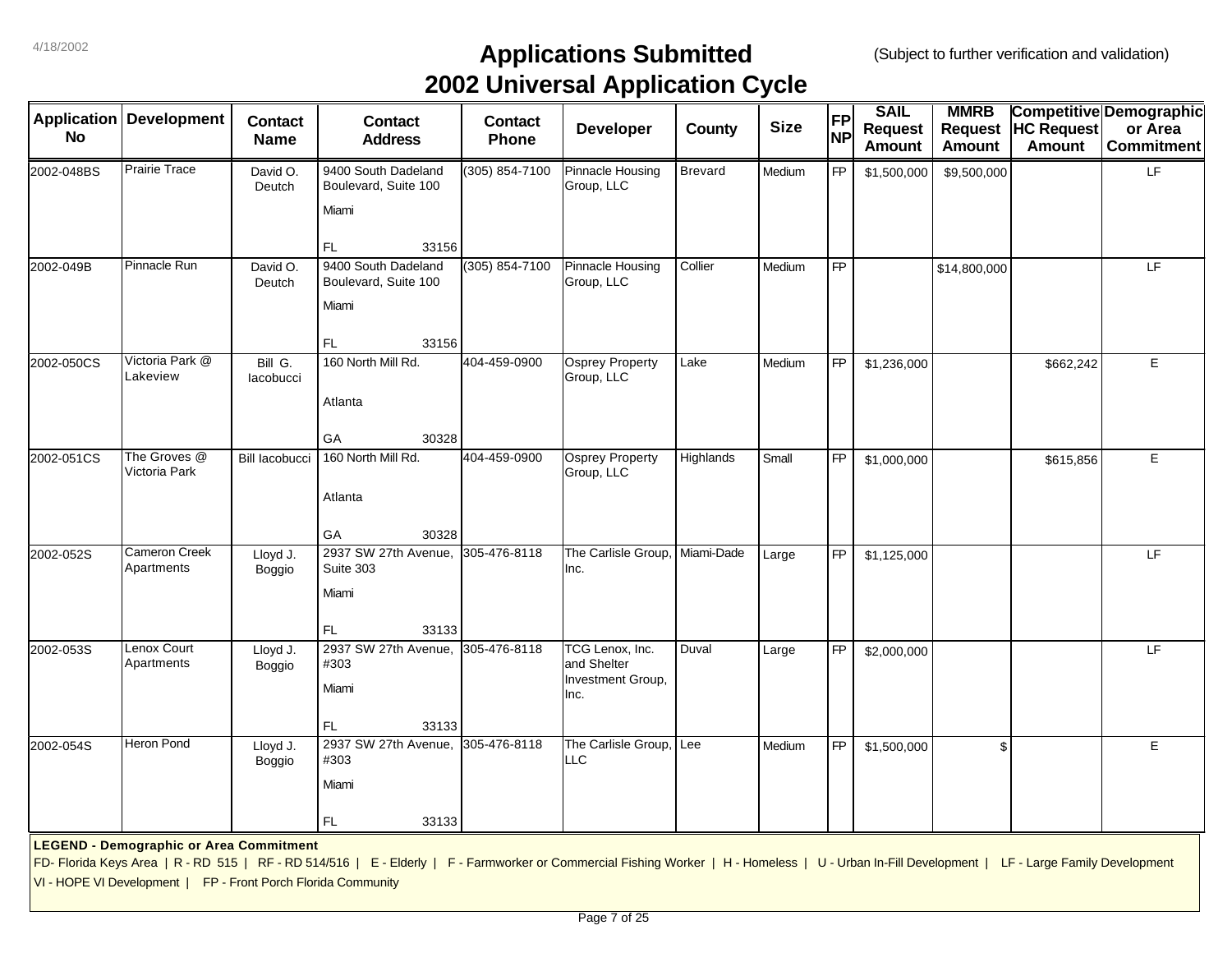| <b>Application</b> | <b>Development</b>                                            | <b>Contact</b>        | <b>Contact</b>                                                                                                                                                                                  | <b>Contact</b> | . .<br><b>Developer</b>                             | County         | <b>Size</b> | <b>FP</b> | <b>SAIL</b><br><b>Request</b> | <b>MMRB</b><br><b>Request</b> | <b>HC Request</b> | <b>Competitive Demographic</b><br>or Area |
|--------------------|---------------------------------------------------------------|-----------------------|-------------------------------------------------------------------------------------------------------------------------------------------------------------------------------------------------|----------------|-----------------------------------------------------|----------------|-------------|-----------|-------------------------------|-------------------------------|-------------------|-------------------------------------------|
| No                 |                                                               | <b>Name</b>           | <b>Address</b>                                                                                                                                                                                  | Phone          |                                                     |                |             | <b>NP</b> | <b>Amount</b>                 | <b>Amount</b>                 | <b>Amount</b>     | <b>Commitment</b>                         |
| 2002-048BS         | <b>Prairie Trace</b>                                          | David O.<br>Deutch    | 9400 South Dadeland<br>Boulevard, Suite 100                                                                                                                                                     | (305) 854-7100 | <b>Pinnacle Housing</b><br>Group, LLC               | <b>Brevard</b> | Medium      | <b>FP</b> | \$1,500,000                   | \$9,500,000                   |                   | LF.                                       |
|                    |                                                               |                       | Miami                                                                                                                                                                                           |                |                                                     |                |             |           |                               |                               |                   |                                           |
|                    |                                                               |                       | FL<br>33156                                                                                                                                                                                     |                |                                                     |                |             |           |                               |                               |                   |                                           |
| 2002-049B          | Pinnacle Run                                                  | David O.<br>Deutch    | 9400 South Dadeland<br>Boulevard, Suite 100                                                                                                                                                     | (305) 854-7100 | Pinnacle Housing<br>Group, LLC                      | Collier        | Medium      | <b>FP</b> |                               | \$14,800,000                  |                   | LF                                        |
|                    |                                                               |                       | Miami                                                                                                                                                                                           |                |                                                     |                |             |           |                               |                               |                   |                                           |
|                    |                                                               |                       | FL<br>33156                                                                                                                                                                                     |                |                                                     |                |             |           |                               |                               |                   |                                           |
| 2002-050CS         | Victoria Park @<br>Lakeview                                   | Bill G.<br>lacobucci  | 160 North Mill Rd.                                                                                                                                                                              | 404-459-0900   | <b>Osprey Property</b><br>Group, LLC                | Lake           | Medium      | <b>FP</b> | \$1,236,000                   |                               | \$662,242         | E                                         |
|                    |                                                               |                       | Atlanta                                                                                                                                                                                         |                |                                                     |                |             |           |                               |                               |                   |                                           |
|                    |                                                               |                       | 30328<br>GA                                                                                                                                                                                     |                |                                                     |                |             |           |                               |                               |                   |                                           |
| 2002-051CS         | The Groves @<br>Victoria Park                                 | <b>Bill lacobucci</b> | 160 North Mill Rd.                                                                                                                                                                              | 404-459-0900   | <b>Osprey Property</b><br>Group, LLC                | Highlands      | Small       | <b>FP</b> | \$1,000,000                   |                               | \$615,856         | E                                         |
|                    |                                                               |                       | Atlanta                                                                                                                                                                                         |                |                                                     |                |             |           |                               |                               |                   |                                           |
|                    |                                                               |                       | GA<br>30328                                                                                                                                                                                     |                |                                                     |                |             |           |                               |                               |                   |                                           |
| 2002-052S          | <b>Cameron Creek</b><br>Apartments                            | Lloyd J.<br>Boggio    | 2937 SW 27th Avenue,<br>Suite 303                                                                                                                                                               | 305-476-8118   | The Carlisle Group,<br>Inc.                         | Miami-Dade     | Large       | <b>FP</b> | \$1,125,000                   |                               |                   | LF                                        |
|                    |                                                               |                       | Miami                                                                                                                                                                                           |                |                                                     |                |             |           |                               |                               |                   |                                           |
|                    |                                                               |                       | FL<br>33133                                                                                                                                                                                     |                |                                                     |                |             |           |                               |                               |                   |                                           |
| 2002-053S          | Lenox Court<br>Apartments                                     | Lloyd J.<br>Boggio    | 2937 SW 27th Avenue,<br>#303                                                                                                                                                                    | 305-476-8118   | TCG Lenox. Inc.<br>and Shelter<br>Investment Group, | Duval          | Large       | <b>FP</b> | \$2,000,000                   |                               |                   | LF                                        |
|                    |                                                               |                       | Miami                                                                                                                                                                                           |                | Inc.                                                |                |             |           |                               |                               |                   |                                           |
|                    |                                                               |                       | FL.<br>33133                                                                                                                                                                                    |                |                                                     |                |             |           |                               |                               |                   |                                           |
| 2002-054S          | Heron Pond                                                    | Lloyd J.<br>Boggio    | 2937 SW 27th Avenue,<br>#303                                                                                                                                                                    | 305-476-8118   | The Carlisle Group,<br>LLC.                         | Lee            | Medium      | <b>FP</b> | \$1,500,000                   | $\mathfrak{L}$                |                   | E                                         |
|                    |                                                               |                       | Miami                                                                                                                                                                                           |                |                                                     |                |             |           |                               |                               |                   |                                           |
|                    |                                                               |                       | FL.<br>33133                                                                                                                                                                                    |                |                                                     |                |             |           |                               |                               |                   |                                           |
|                    | <b>LEGEND - Demographic or Area Commitment</b>                |                       |                                                                                                                                                                                                 |                |                                                     |                |             |           |                               |                               |                   |                                           |
|                    |                                                               |                       | FD- Florida Keys Area   R - RD 515   RF - RD 514/516   E - Elderly   F - Farmworker or Commercial Fishing Worker   H - Homeless   U - Urban In-Fill Development   LF - Large Family Development |                |                                                     |                |             |           |                               |                               |                   |                                           |
|                    | VI - HOPE VI Development   FP - Front Porch Florida Community |                       |                                                                                                                                                                                                 |                |                                                     |                |             |           |                               |                               |                   |                                           |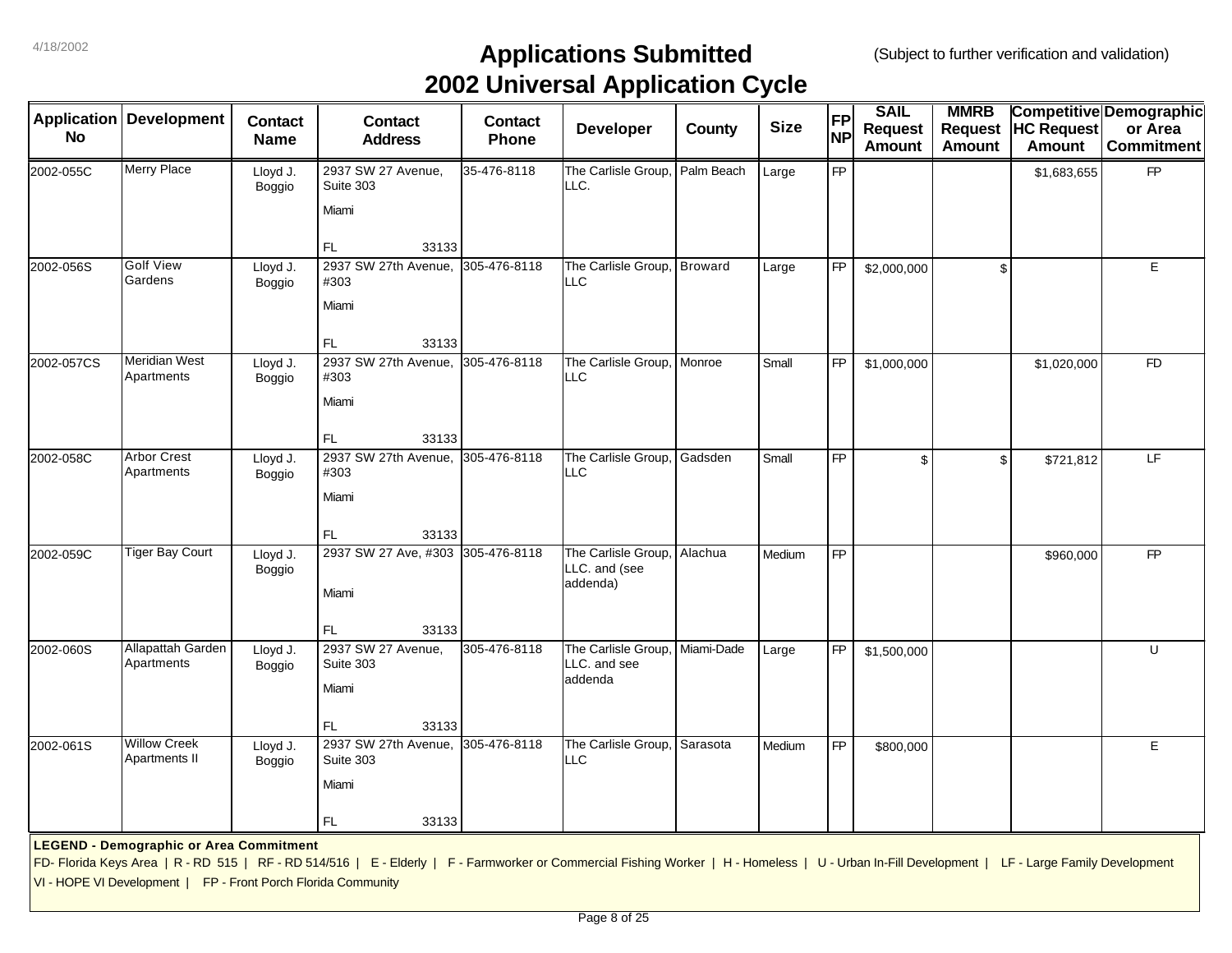|            | <b>Application Development</b>                                | <b>Contact</b>            | <b>Contact</b>                                                                                                                                                                                  | <b>Contact</b> | . .<br><b>Developer</b>                          | County     | <b>Size</b> | FP        | <b>SAIL</b><br><b>Request</b> | <b>MMRB</b><br><b>Request</b> | <b>HC Request</b> | <b>Competitive Demographic</b><br>or Area |
|------------|---------------------------------------------------------------|---------------------------|-------------------------------------------------------------------------------------------------------------------------------------------------------------------------------------------------|----------------|--------------------------------------------------|------------|-------------|-----------|-------------------------------|-------------------------------|-------------------|-------------------------------------------|
| <b>No</b>  |                                                               | <b>Name</b>               | <b>Address</b>                                                                                                                                                                                  | Phone          |                                                  |            |             | <b>NP</b> | <b>Amount</b>                 | <b>Amount</b>                 | <b>Amount</b>     | <b>Commitment</b>                         |
| 2002-055C  | <b>Merry Place</b>                                            | Lloyd J.<br>Boggio        | 2937 SW 27 Avenue,<br>Suite 303                                                                                                                                                                 | 35-476-8118    | The Carlisle Group,<br>LLC.                      | Palm Beach | Large       | <b>FP</b> |                               |                               | \$1,683,655       | <b>FP</b>                                 |
|            |                                                               |                           | Miami                                                                                                                                                                                           |                |                                                  |            |             |           |                               |                               |                   |                                           |
|            |                                                               |                           | FL<br>33133                                                                                                                                                                                     |                |                                                  |            |             |           |                               |                               |                   |                                           |
| 2002-056S  | <b>Golf View</b><br>Gardens                                   | Lloyd J.<br>Boggio        | 2937 SW 27th Avenue, 305-476-8118<br>#303                                                                                                                                                       |                | The Carlisle Group, Broward<br><b>LLC</b>        |            | Large       | <b>FP</b> | \$2,000,000                   | \$                            |                   | E                                         |
|            |                                                               |                           | Miami                                                                                                                                                                                           |                |                                                  |            |             |           |                               |                               |                   |                                           |
|            |                                                               |                           | FL.<br>33133                                                                                                                                                                                    |                |                                                  |            |             |           |                               |                               |                   |                                           |
| 2002-057CS | <b>Meridian West</b><br>Apartments                            | Lloyd J.<br>Boggio        | 2937 SW 27th Avenue,<br>#303                                                                                                                                                                    | 305-476-8118   | The Carlisle Group,<br>LLC                       | Monroe     | Small       | <b>FP</b> | \$1,000,000                   |                               | \$1,020,000       | F <sub>D</sub>                            |
|            |                                                               |                           | Miami                                                                                                                                                                                           |                |                                                  |            |             |           |                               |                               |                   |                                           |
|            |                                                               |                           | FL.<br>33133                                                                                                                                                                                    |                |                                                  |            |             |           |                               |                               |                   |                                           |
| 2002-058C  | <b>Arbor Crest</b><br>Apartments                              | Lloyd J.<br>Boggio        | 2937 SW 27th Avenue,<br>#303                                                                                                                                                                    | 305-476-8118   | The Carlisle Group,<br><b>LLC</b>                | Gadsden    | Small       | <b>FP</b> | \$                            | \$                            | \$721,812         | LF.                                       |
|            |                                                               |                           | Miami                                                                                                                                                                                           |                |                                                  |            |             |           |                               |                               |                   |                                           |
|            |                                                               |                           | FL.<br>33133                                                                                                                                                                                    |                |                                                  |            |             |           |                               |                               |                   |                                           |
| 2002-059C  | <b>Tiger Bay Court</b>                                        | Lloyd J.<br><b>Boggio</b> | 2937 SW 27 Ave, #303 305-476-8118                                                                                                                                                               |                | The Carlisle Group,<br>LLC. and (see<br>addenda) | Alachua    | Medium      | FP        |                               |                               | \$960,000         | <b>FP</b>                                 |
|            |                                                               |                           | Miami                                                                                                                                                                                           |                |                                                  |            |             |           |                               |                               |                   |                                           |
|            |                                                               |                           | 33133<br>FL                                                                                                                                                                                     |                |                                                  |            |             |           |                               |                               |                   |                                           |
| 2002-060S  | <b>Allapattah Garden</b><br>Apartments                        | Lloyd J.<br><b>Boggio</b> | 2937 SW 27 Avenue,<br>Suite 303                                                                                                                                                                 | 305-476-8118   | The Carlisle Group,<br>LLC. and see<br>addenda   | Miami-Dade | Large       | <b>FP</b> | \$1,500,000                   |                               |                   | U                                         |
|            |                                                               |                           | Miami                                                                                                                                                                                           |                |                                                  |            |             |           |                               |                               |                   |                                           |
|            |                                                               |                           | FL.<br>33133                                                                                                                                                                                    |                |                                                  |            |             |           |                               |                               |                   |                                           |
| 2002-061S  | <b>Willow Creek</b><br>Apartments II                          | Lloyd J.<br><b>Boggio</b> | 2937 SW 27th Avenue,<br>Suite 303                                                                                                                                                               | 305-476-8118   | The Carlisle Group,<br><b>LLC</b>                | Sarasota   | Medium      | <b>FP</b> | \$800,000                     |                               |                   | E                                         |
|            |                                                               |                           | Miami                                                                                                                                                                                           |                |                                                  |            |             |           |                               |                               |                   |                                           |
|            |                                                               |                           | FL.<br>33133                                                                                                                                                                                    |                |                                                  |            |             |           |                               |                               |                   |                                           |
|            | <b>LEGEND - Demographic or Area Commitment</b>                |                           |                                                                                                                                                                                                 |                |                                                  |            |             |           |                               |                               |                   |                                           |
|            |                                                               |                           | FD- Florida Keys Area   R - RD 515   RF - RD 514/516   E - Elderly   F - Farmworker or Commercial Fishing Worker   H - Homeless   U - Urban In-Fill Development   LF - Large Family Development |                |                                                  |            |             |           |                               |                               |                   |                                           |
|            | VI - HOPE VI Development   FP - Front Porch Florida Community |                           |                                                                                                                                                                                                 |                |                                                  |            |             |           |                               |                               |                   |                                           |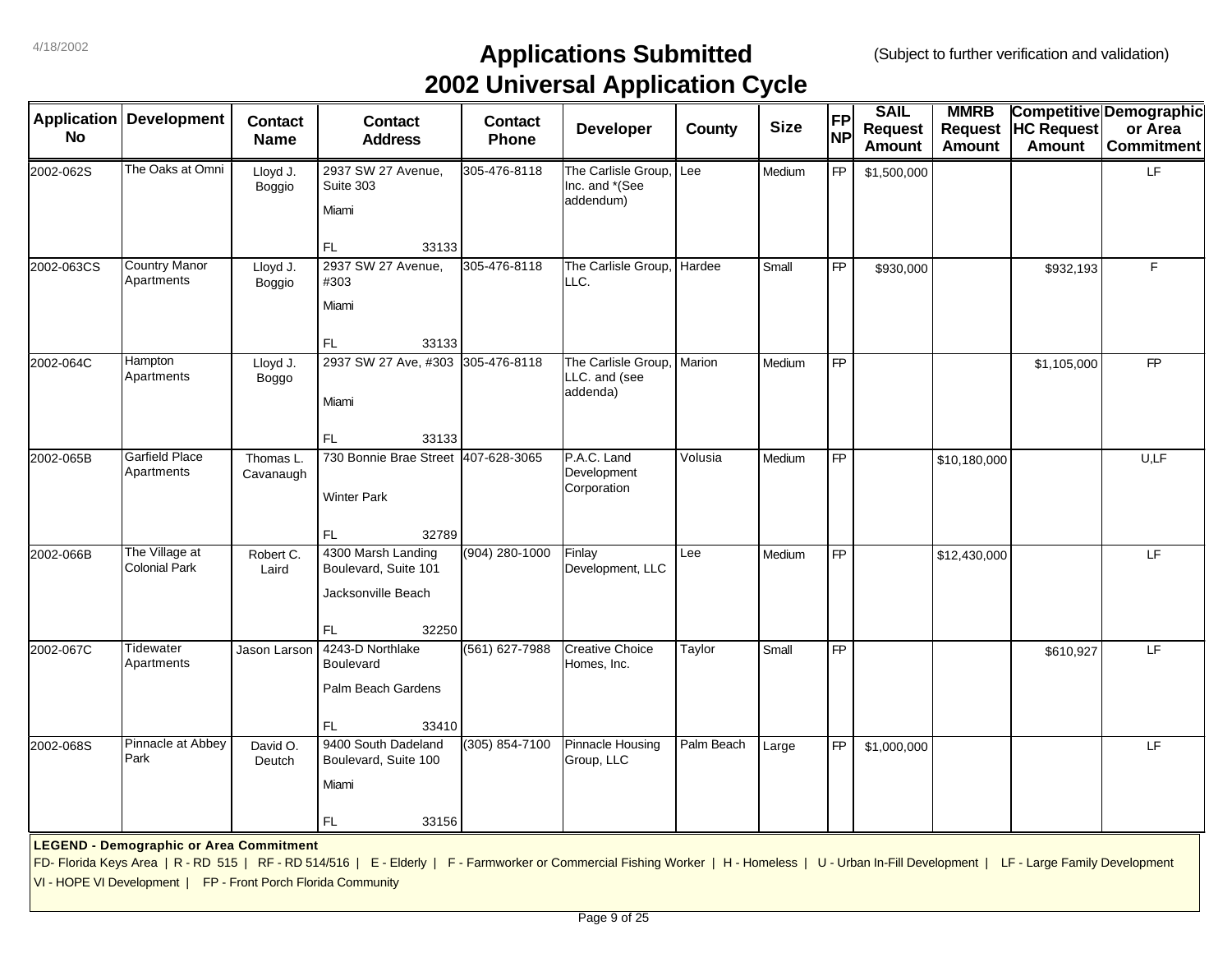| Application<br><b>No</b> | <b>Development</b>                                                                                              | <b>Contact</b><br><b>Name</b> | <b>Contact</b><br><b>Address</b>                                                                                                                                                                | <b>Contact</b><br>Phone | . .<br><b>Developer</b>                            | County     | <b>Size</b> | <b>FP</b><br><b>NP</b> | <b>SAIL</b><br><b>Request</b><br><b>Amount</b> | <b>MMRB</b><br><b>Request</b><br><b>Amount</b> | <b>HC Request</b><br><b>Amount</b> | Competitive Demographic<br>or Area<br><b>Commitment</b> |
|--------------------------|-----------------------------------------------------------------------------------------------------------------|-------------------------------|-------------------------------------------------------------------------------------------------------------------------------------------------------------------------------------------------|-------------------------|----------------------------------------------------|------------|-------------|------------------------|------------------------------------------------|------------------------------------------------|------------------------------------|---------------------------------------------------------|
| 2002-062S                | The Oaks at Omni                                                                                                | Lloyd J.<br>Boggio            | 2937 SW 27 Avenue,<br>Suite 303<br>Miami                                                                                                                                                        | 305-476-8118            | The Carlisle Group,<br>Inc. and *(See<br>addendum) | Lee        | Medium      | <b>FP</b>              | \$1,500,000                                    |                                                |                                    | LF.                                                     |
| 2002-063CS               | <b>Country Manor</b><br>Apartments                                                                              | Lloyd J.<br>Boggio            | FL.<br>33133<br>2937 SW 27 Avenue,<br>#303<br>Miami<br>FL.<br>33133                                                                                                                             | 305-476-8118            | The Carlisle Group, Hardee<br>LLC.                 |            | Small       | <b>FP</b>              | \$930,000                                      |                                                | \$932,193                          | F                                                       |
| 2002-064C                | Hampton<br>Apartments                                                                                           | Lloyd J.<br>Boggo             | 2937 SW 27 Ave, #303 305-476-8118<br>Miami<br>FL.<br>33133                                                                                                                                      |                         | The Carlisle Group,<br>LLC. and (see<br>addenda)   | Marion     | Medium      | <b>FP</b>              |                                                |                                                | \$1,105,000                        | <b>FP</b>                                               |
| 2002-065B                | <b>Garfield Place</b><br>Apartments                                                                             | Thomas L.<br>Cavanaugh        | 730 Bonnie Brae Street 407-628-3065<br><b>Winter Park</b><br>32789<br>FL.                                                                                                                       |                         | P.A.C. Land<br>Development<br>Corporation          | Volusia    | Medium      | <b>FP</b>              |                                                | \$10,180,000                                   |                                    | U,LF                                                    |
| 2002-066B                | The Village at<br><b>Colonial Park</b>                                                                          | Robert C.<br>Laird            | 4300 Marsh Landing<br>Boulevard, Suite 101<br>Jacksonville Beach<br>FL.<br>32250                                                                                                                | (904) 280-1000          | Finlay<br>Development, LLC                         | Lee        | Medium      | <b>FP</b>              |                                                | \$12,430,000                                   |                                    | LF.                                                     |
| 2002-067C                | Tidewater<br>Apartments                                                                                         | Jason Larson                  | 4243-D Northlake<br><b>Boulevard</b><br>Palm Beach Gardens<br>FL.<br>33410                                                                                                                      | (561) 627-7988          | <b>Creative Choice</b><br>Homes, Inc.              | Taylor     | Small       | <b>FP</b>              |                                                |                                                | \$610,927                          | LF.                                                     |
| 2002-068S                | Pinnacle at Abbey<br>Park                                                                                       | David O.<br>Deutch            | 9400 South Dadeland<br>Boulevard, Suite 100<br>Miami<br>FL.<br>33156                                                                                                                            | (305) 854-7100          | Pinnacle Housing<br>Group, LLC                     | Palm Beach | Large       | <b>FP</b>              | \$1,000,000                                    |                                                |                                    | LF                                                      |
|                          | <b>LEGEND - Demographic or Area Commitment</b><br>VI - HOPE VI Development   FP - Front Porch Florida Community |                               | FD- Florida Keys Area   R - RD 515   RF - RD 514/516   E - Elderly   F - Farmworker or Commercial Fishing Worker   H - Homeless   U - Urban In-Fill Development   LF - Large Family Development |                         |                                                    |            |             |                        |                                                |                                                |                                    |                                                         |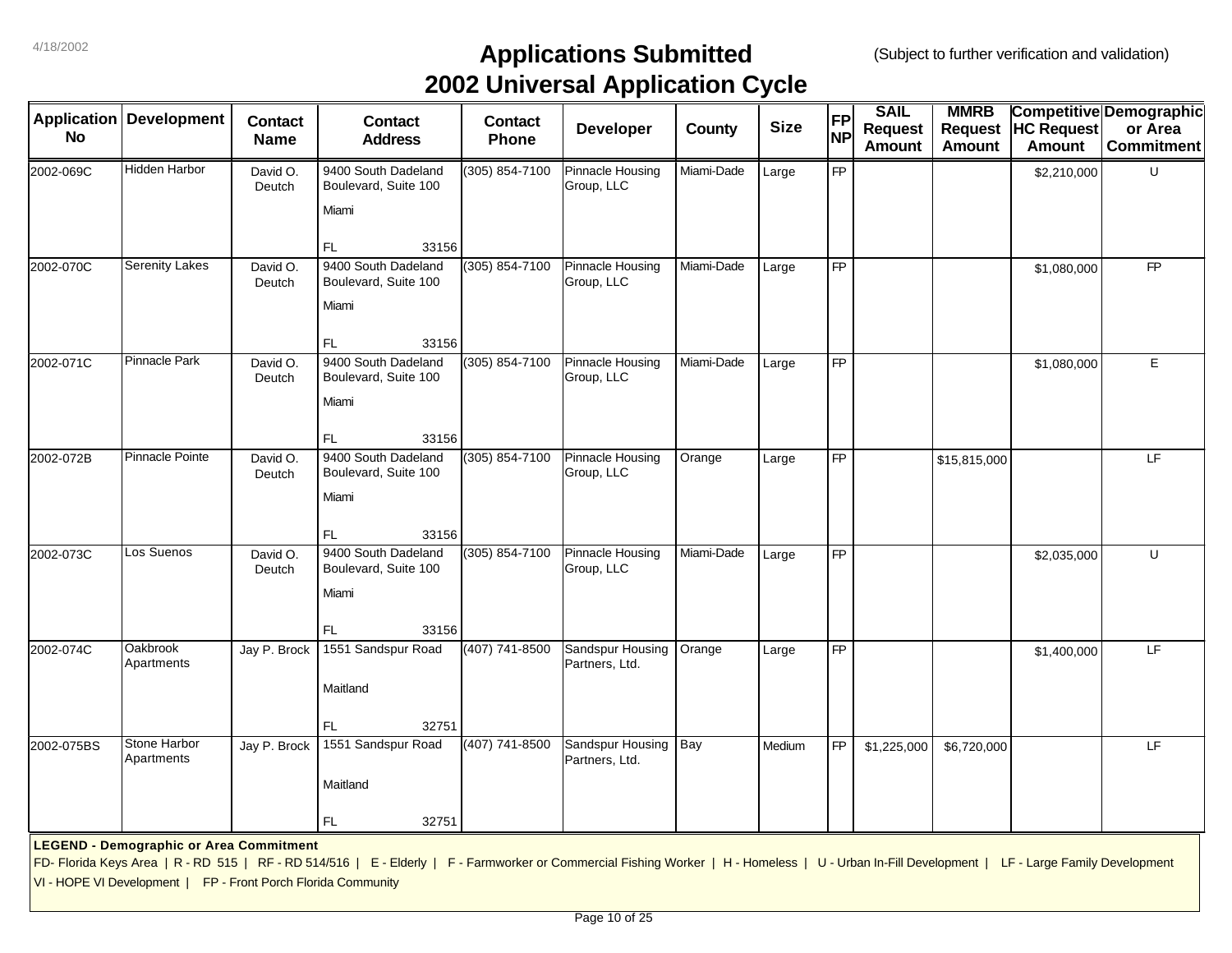|            | <b>Application Development</b>                                |                               |                                                                                                                                                                                                 |                         | . .                                   |            |             | <b>FP</b>       | <b>SAIL</b>    | <b>MMRB</b>    |                   | Competitive Demographic |
|------------|---------------------------------------------------------------|-------------------------------|-------------------------------------------------------------------------------------------------------------------------------------------------------------------------------------------------|-------------------------|---------------------------------------|------------|-------------|-----------------|----------------|----------------|-------------------|-------------------------|
| <b>No</b>  |                                                               | <b>Contact</b><br><b>Name</b> | <b>Contact</b><br><b>Address</b>                                                                                                                                                                | <b>Contact</b><br>Phone | <b>Developer</b>                      | County     | <b>Size</b> | <b>NP</b>       | <b>Request</b> | <b>Request</b> | <b>HC Request</b> | or Area                 |
|            |                                                               |                               |                                                                                                                                                                                                 |                         |                                       |            |             |                 | <b>Amount</b>  | Amount         | <b>Amount</b>     | <b>Commitment</b>       |
| 2002-069C  | Hidden Harbor                                                 | David O.<br>Deutch            | 9400 South Dadeland<br>Boulevard, Suite 100                                                                                                                                                     | (305) 854-7100          | Pinnacle Housing<br>Group, LLC        | Miami-Dade | Large       | <b>FP</b>       |                |                | \$2,210,000       | U                       |
|            |                                                               |                               | Miami                                                                                                                                                                                           |                         |                                       |            |             |                 |                |                |                   |                         |
|            |                                                               |                               | FL<br>33156                                                                                                                                                                                     |                         |                                       |            |             |                 |                |                |                   |                         |
| 2002-070C  | <b>Serenity Lakes</b>                                         | David O.<br>Deutch            | 9400 South Dadeland<br>Boulevard, Suite 100                                                                                                                                                     | (305) 854-7100          | <b>Pinnacle Housing</b><br>Group, LLC | Miami-Dade | Large       | $\overline{FP}$ |                |                | \$1,080,000       | <b>FP</b>               |
|            |                                                               |                               | Miami                                                                                                                                                                                           |                         |                                       |            |             |                 |                |                |                   |                         |
|            |                                                               |                               | FL.<br>33156                                                                                                                                                                                    |                         |                                       |            |             |                 |                |                |                   |                         |
| 2002-071C  | <b>Pinnacle Park</b>                                          | David O.<br>Deutch            | 9400 South Dadeland<br>Boulevard, Suite 100                                                                                                                                                     | (305) 854-7100          | <b>Pinnacle Housing</b><br>Group, LLC | Miami-Dade | Large       | $\overline{FP}$ |                |                | \$1,080,000       | $\mathsf E$             |
|            |                                                               |                               | Miami                                                                                                                                                                                           |                         |                                       |            |             |                 |                |                |                   |                         |
|            |                                                               |                               | 33156<br>FL                                                                                                                                                                                     |                         |                                       |            |             |                 |                |                |                   |                         |
| 2002-072B  | Pinnacle Pointe                                               | David O.<br>Deutch            | 9400 South Dadeland<br>Boulevard, Suite 100                                                                                                                                                     | (305) 854-7100          | Pinnacle Housing<br>Group, LLC        | Orange     | Large       | $\overline{FP}$ |                | \$15,815,000   |                   | LF                      |
|            |                                                               |                               | Miami                                                                                                                                                                                           |                         |                                       |            |             |                 |                |                |                   |                         |
|            | Los Suenos                                                    |                               | FL<br>33156                                                                                                                                                                                     |                         |                                       |            |             |                 |                |                |                   |                         |
| 2002-073C  |                                                               | David O.<br>Deutch            | 9400 South Dadeland<br>Boulevard, Suite 100                                                                                                                                                     | (305) 854-7100          | Pinnacle Housing<br>Group, LLC        | Miami-Dade | Large       | <b>FP</b>       |                |                | \$2,035,000       | $\cup$                  |
|            |                                                               |                               | Miami<br>33156<br>FL                                                                                                                                                                            |                         |                                       |            |             |                 |                |                |                   |                         |
| 2002-074C  | Oakbrook<br>Apartments                                        | Jay P. Brock                  | 1551 Sandspur Road                                                                                                                                                                              | (407) 741-8500          | Sandspur Housing<br>Partners, Ltd.    | Orange     | Large       | $\overline{FP}$ |                |                | \$1,400,000       | LF                      |
|            |                                                               |                               | Maitland                                                                                                                                                                                        |                         |                                       |            |             |                 |                |                |                   |                         |
|            |                                                               |                               | FL<br>32751                                                                                                                                                                                     |                         |                                       |            |             |                 |                |                |                   |                         |
| 2002-075BS | Stone Harbor<br>Apartments                                    | Jay P. Brock                  | 1551 Sandspur Road                                                                                                                                                                              | (407) 741-8500          | Sandspur Housing<br>Partners, Ltd.    | Bay        | Medium      | <b>FP</b>       | \$1,225,000    | \$6,720,000    |                   | LF                      |
|            |                                                               |                               | Maitland                                                                                                                                                                                        |                         |                                       |            |             |                 |                |                |                   |                         |
|            |                                                               |                               | FL.<br>32751                                                                                                                                                                                    |                         |                                       |            |             |                 |                |                |                   |                         |
|            | <b>LEGEND - Demographic or Area Commitment</b>                |                               |                                                                                                                                                                                                 |                         |                                       |            |             |                 |                |                |                   |                         |
|            |                                                               |                               | FD- Florida Keys Area   R - RD 515   RF - RD 514/516   E - Elderly   F - Farmworker or Commercial Fishing Worker   H - Homeless   U - Urban In-Fill Development   LF - Large Family Development |                         |                                       |            |             |                 |                |                |                   |                         |
|            | VI - HOPE VI Development   FP - Front Porch Florida Community |                               |                                                                                                                                                                                                 |                         |                                       |            |             |                 |                |                |                   |                         |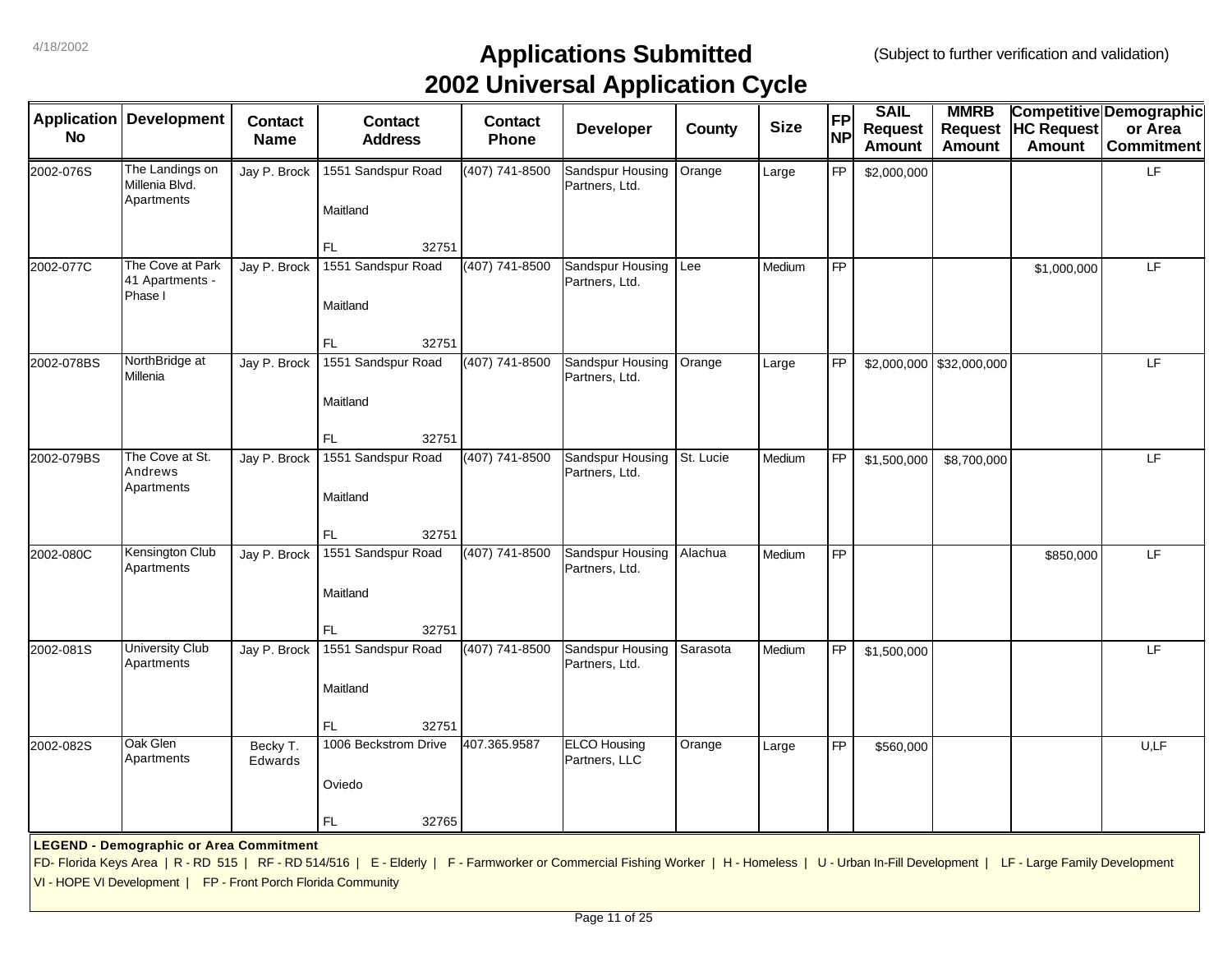| <b>Application</b> | <b>Development</b>                                            | <b>Contact</b>      | <b>Contact</b>                                                                                                                                                                                  | <b>Contact</b> | . .<br>Developer                     | County    | <b>Size</b> | <b>FP</b> | <b>SAIL</b>                     | <b>MMRB</b><br><b>Request</b> | <b>HC Request</b> | <b>Competitive Demographic</b><br>or Area |
|--------------------|---------------------------------------------------------------|---------------------|-------------------------------------------------------------------------------------------------------------------------------------------------------------------------------------------------|----------------|--------------------------------------|-----------|-------------|-----------|---------------------------------|-------------------------------|-------------------|-------------------------------------------|
| <b>No</b>          |                                                               | <b>Name</b>         | <b>Address</b>                                                                                                                                                                                  | <b>Phone</b>   |                                      |           |             | <b>NP</b> | <b>Request</b><br><b>Amount</b> | <b>Amount</b>                 | <b>Amount</b>     | <b>Commitment</b>                         |
| 2002-076S          | The Landings on<br>Millenia Blvd.                             | Jay P. Brock        | 1551 Sandspur Road                                                                                                                                                                              | (407) 741-8500 | Sandspur Housing<br>Partners, Ltd.   | Orange    | Large       | <b>FP</b> | \$2,000,000                     |                               |                   | LF                                        |
|                    | Apartments                                                    |                     | Maitland                                                                                                                                                                                        |                |                                      |           |             |           |                                 |                               |                   |                                           |
|                    |                                                               |                     | <b>FL</b><br>32751                                                                                                                                                                              |                |                                      |           |             |           |                                 |                               |                   |                                           |
| 2002-077C          | The Cove at Park<br>41 Apartments -<br>Phase I                | Jay P. Brock        | 1551 Sandspur Road                                                                                                                                                                              | (407) 741-8500 | Sandspur Housing<br>Partners, Ltd.   | Lee       | Medium      | FP        |                                 |                               | \$1,000,000       | LF.                                       |
|                    |                                                               |                     | Maitland                                                                                                                                                                                        |                |                                      |           |             |           |                                 |                               |                   |                                           |
|                    |                                                               |                     | FL<br>32751                                                                                                                                                                                     |                |                                      |           |             |           |                                 |                               |                   |                                           |
| 2002-078BS         | NorthBridge at<br>Millenia                                    | Jay P. Brock        | 1551 Sandspur Road                                                                                                                                                                              | (407) 741-8500 | Sandspur Housing<br>Partners, Ltd.   | Orange    | Large       | <b>FP</b> |                                 | $$2,000,000$ $$32,000,000$    |                   | LF                                        |
|                    |                                                               |                     | Maitland                                                                                                                                                                                        |                |                                      |           |             |           |                                 |                               |                   |                                           |
|                    |                                                               |                     | 32751<br><b>FL</b>                                                                                                                                                                              |                |                                      |           |             |           |                                 |                               |                   |                                           |
| 2002-079BS         | The Cove at St.<br>Andrews<br>Apartments                      | Jay P. Brock        | 1551 Sandspur Road                                                                                                                                                                              | (407) 741-8500 | Sandspur Housing<br>Partners, Ltd.   | St. Lucie | Medium      | <b>FP</b> | \$1,500,000                     | \$8,700,000                   |                   | LF                                        |
|                    |                                                               |                     | Maitland                                                                                                                                                                                        |                |                                      |           |             |           |                                 |                               |                   |                                           |
|                    |                                                               |                     | FL<br>32751                                                                                                                                                                                     |                |                                      |           |             |           |                                 |                               |                   |                                           |
| 2002-080C          | <b>Kensington Club</b><br>Apartments                          | Jay P. Brock        | 1551 Sandspur Road                                                                                                                                                                              | (407) 741-8500 | Sandspur Housing<br>Partners, Ltd.   | Alachua   | Medium      | <b>FP</b> |                                 |                               | \$850,000         | LF                                        |
|                    |                                                               |                     | Maitland                                                                                                                                                                                        |                |                                      |           |             |           |                                 |                               |                   |                                           |
|                    |                                                               |                     | FL<br>32751                                                                                                                                                                                     |                |                                      |           |             |           |                                 |                               |                   |                                           |
| 2002-081S          | <b>University Club</b><br>Apartments                          | Jay P. Brock        | 1551 Sandspur Road                                                                                                                                                                              | (407) 741-8500 | Sandspur Housing<br>Partners, Ltd.   | Sarasota  | Medium      | <b>FP</b> | \$1,500,000                     |                               |                   | LF                                        |
|                    |                                                               |                     | Maitland                                                                                                                                                                                        |                |                                      |           |             |           |                                 |                               |                   |                                           |
|                    |                                                               |                     | FL.<br>32751                                                                                                                                                                                    |                |                                      |           |             |           |                                 |                               |                   |                                           |
| 2002-082S          | Oak Glen<br>Apartments                                        | Becky T.<br>Edwards | 1006 Beckstrom Drive                                                                                                                                                                            | 407.365.9587   | <b>ELCO</b> Housing<br>Partners, LLC | Orange    | Large       | <b>FP</b> | \$560,000                       |                               |                   | U,LF                                      |
|                    |                                                               |                     | Oviedo                                                                                                                                                                                          |                |                                      |           |             |           |                                 |                               |                   |                                           |
|                    |                                                               |                     | FL.<br>32765                                                                                                                                                                                    |                |                                      |           |             |           |                                 |                               |                   |                                           |
|                    | <b>LEGEND - Demographic or Area Commitment</b>                |                     |                                                                                                                                                                                                 |                |                                      |           |             |           |                                 |                               |                   |                                           |
|                    |                                                               |                     | FD- Florida Keys Area   R - RD 515   RF - RD 514/516   E - Elderly   F - Farmworker or Commercial Fishing Worker   H - Homeless   U - Urban In-Fill Development   LF - Large Family Development |                |                                      |           |             |           |                                 |                               |                   |                                           |
|                    | VI - HOPE VI Development   FP - Front Porch Florida Community |                     |                                                                                                                                                                                                 |                |                                      |           |             |           |                                 |                               |                   |                                           |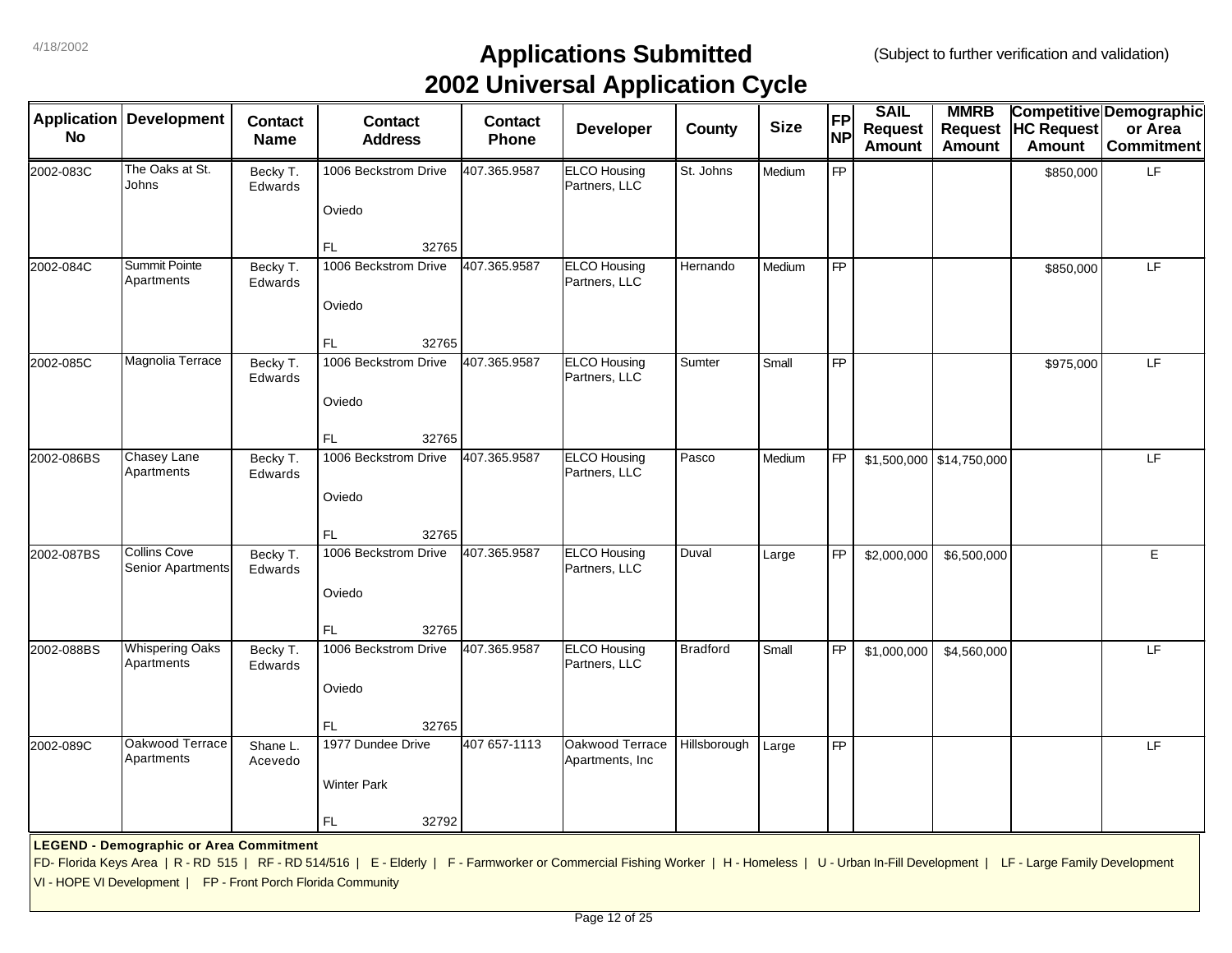| <b>Application</b><br><b>No</b> | <b>Development</b>                                            | <b>Contact</b><br><b>Name</b> | <b>Contact</b><br><b>Address</b>                                                                                                                                                                | <b>Contact</b><br>Phone | . .<br><b>Developer</b>              | County          | <b>Size</b> | <b>FP</b><br><b>NP</b> | <b>SAIL</b><br><b>Request</b><br><b>Amount</b> | <b>MMRB</b><br><b>Request</b><br><b>Amount</b> | <b>HC Request</b><br><b>Amount</b> | Competitive Demographic<br>or Area<br><b>Commitment</b> |
|---------------------------------|---------------------------------------------------------------|-------------------------------|-------------------------------------------------------------------------------------------------------------------------------------------------------------------------------------------------|-------------------------|--------------------------------------|-----------------|-------------|------------------------|------------------------------------------------|------------------------------------------------|------------------------------------|---------------------------------------------------------|
| 2002-083C                       | The Oaks at St.<br>Johns                                      | Becky T.<br>Edwards           | 1006 Beckstrom Drive                                                                                                                                                                            | 407.365.9587            | <b>ELCO Housing</b><br>Partners, LLC | St. Johns       | Medium      | FP                     |                                                |                                                | \$850,000                          | LF                                                      |
|                                 |                                                               |                               | Oviedo<br>FL<br>32765                                                                                                                                                                           |                         |                                      |                 |             |                        |                                                |                                                |                                    |                                                         |
| 2002-084C                       | Summit Pointe<br>Apartments                                   | Becky T.<br>Edwards           | 1006 Beckstrom Drive                                                                                                                                                                            | 407.365.9587            | <b>ELCO Housing</b><br>Partners, LLC | Hernando        | Medium      | <b>FP</b>              |                                                |                                                | \$850,000                          | LF.                                                     |
|                                 |                                                               |                               | Oviedo                                                                                                                                                                                          |                         |                                      |                 |             |                        |                                                |                                                |                                    |                                                         |
|                                 |                                                               |                               | FL<br>32765                                                                                                                                                                                     |                         |                                      |                 |             |                        |                                                |                                                |                                    |                                                         |
| 2002-085C                       | Magnolia Terrace                                              | Becky T.<br>Edwards           | 1006 Beckstrom Drive<br>Oviedo                                                                                                                                                                  | 407.365.9587            | <b>ELCO Housing</b><br>Partners, LLC | Sumter          | Small       | <b>FP</b>              |                                                |                                                | \$975,000                          | LF.                                                     |
|                                 |                                                               |                               | FL<br>32765                                                                                                                                                                                     |                         |                                      |                 |             |                        |                                                |                                                |                                    |                                                         |
| 2002-086BS                      | Chasey Lane<br>Apartments                                     | Becky T.<br>Edwards           | 1006 Beckstrom Drive                                                                                                                                                                            | 407.365.9587            | <b>ELCO Housing</b><br>Partners, LLC | Pasco           | Medium      | <b>FP</b>              |                                                | $$1,500,000$ $$14,750,000$                     |                                    | LF.                                                     |
|                                 |                                                               |                               | Oviedo<br>FL.<br>32765                                                                                                                                                                          |                         |                                      |                 |             |                        |                                                |                                                |                                    |                                                         |
| 2002-087BS                      | <b>Collins Cove</b><br>Senior Apartments                      | Becky T.<br>Edwards           | 1006 Beckstrom Drive                                                                                                                                                                            | 407.365.9587            | <b>ELCO Housing</b><br>Partners, LLC | Duval           | Large       | FP                     | \$2,000,000                                    | \$6,500,000                                    |                                    | E                                                       |
|                                 |                                                               |                               | Oviedo<br>FL<br>32765                                                                                                                                                                           |                         |                                      |                 |             |                        |                                                |                                                |                                    |                                                         |
| 2002-088BS                      | <b>Whispering Oaks</b><br>Apartments                          | Becky T.<br>Edwards           | 1006 Beckstrom Drive                                                                                                                                                                            | 407.365.9587            | <b>ELCO Housing</b><br>Partners, LLC | <b>Bradford</b> | Small       | <b>FP</b>              | \$1,000,000                                    | \$4,560,000                                    |                                    | LF                                                      |
|                                 |                                                               |                               | Oviedo                                                                                                                                                                                          |                         |                                      |                 |             |                        |                                                |                                                |                                    |                                                         |
|                                 |                                                               |                               | 32765<br>FL                                                                                                                                                                                     |                         |                                      |                 |             |                        |                                                |                                                |                                    |                                                         |
| 2002-089C                       | Oakwood Terrace<br>Apartments                                 | Shane L.<br>Acevedo           | 1977 Dundee Drive                                                                                                                                                                               | 407 657-1113            | Oakwood Terrace<br>Apartments, Inc   | Hillsborough    | Large       | $\overline{FP}$        |                                                |                                                |                                    | LF                                                      |
|                                 |                                                               |                               | <b>Winter Park</b>                                                                                                                                                                              |                         |                                      |                 |             |                        |                                                |                                                |                                    |                                                         |
|                                 |                                                               |                               | FL.<br>32792                                                                                                                                                                                    |                         |                                      |                 |             |                        |                                                |                                                |                                    |                                                         |
|                                 | <b>LEGEND - Demographic or Area Commitment</b>                |                               | FD- Florida Keys Area   R - RD 515   RF - RD 514/516   E - Elderly   F - Farmworker or Commercial Fishing Worker   H - Homeless   U - Urban In-Fill Development   LF - Large Family Development |                         |                                      |                 |             |                        |                                                |                                                |                                    |                                                         |
|                                 | VI - HOPE VI Development   FP - Front Porch Florida Community |                               |                                                                                                                                                                                                 |                         |                                      |                 |             |                        |                                                |                                                |                                    |                                                         |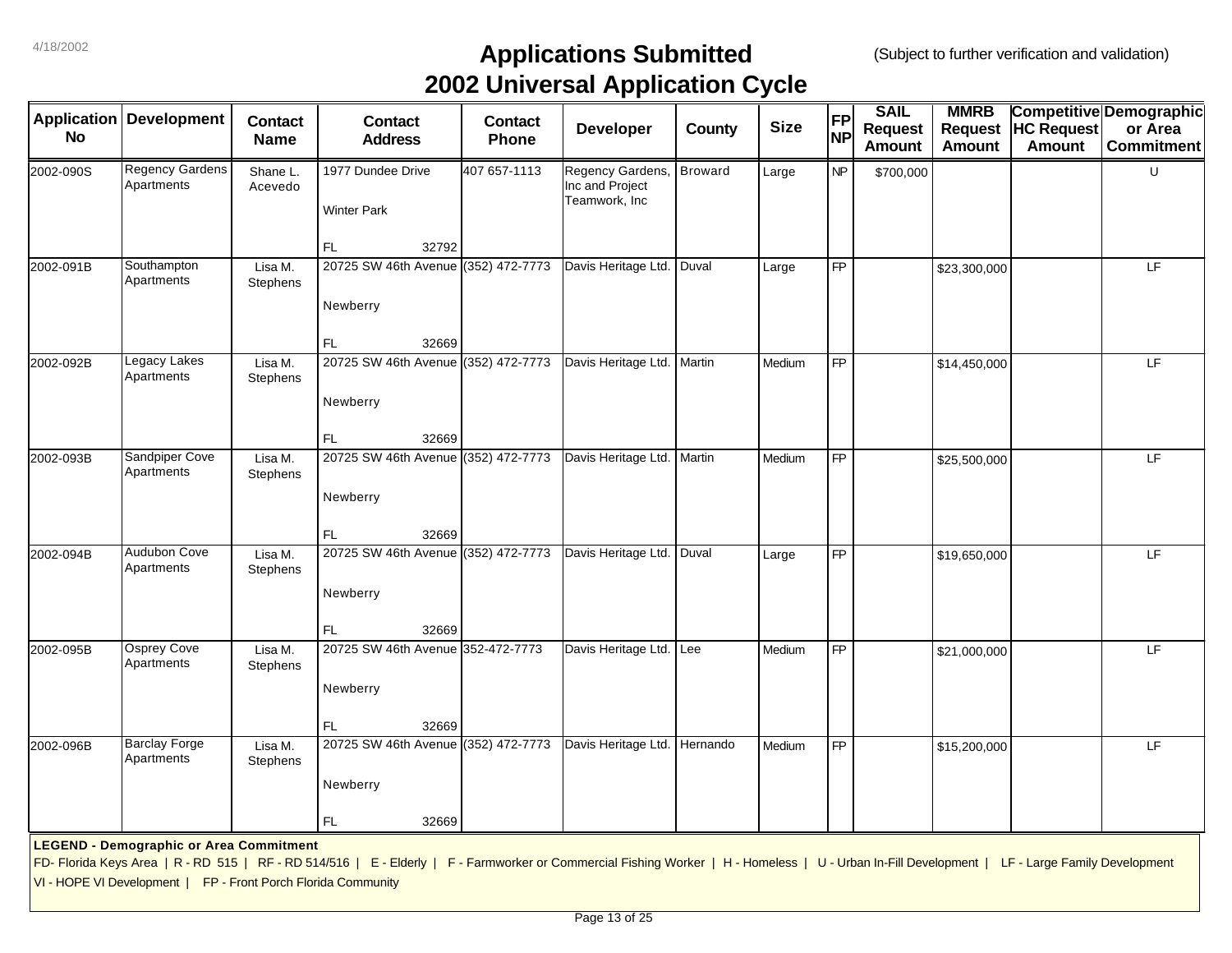|                                 |                                                               |                               |                                                                                                                                                                                                 |                         | . .                                                  |                |             |                        |                                                |                                         |                                    |                                                                |
|---------------------------------|---------------------------------------------------------------|-------------------------------|-------------------------------------------------------------------------------------------------------------------------------------------------------------------------------------------------|-------------------------|------------------------------------------------------|----------------|-------------|------------------------|------------------------------------------------|-----------------------------------------|------------------------------------|----------------------------------------------------------------|
| <b>Application</b><br><b>No</b> | <b>Development</b>                                            | <b>Contact</b><br><b>Name</b> | <b>Contact</b><br><b>Address</b>                                                                                                                                                                | <b>Contact</b><br>Phone | <b>Developer</b>                                     | County         | <b>Size</b> | <b>FP</b><br><b>NP</b> | <b>SAIL</b><br><b>Request</b><br><b>Amount</b> | <b>MMRB</b><br>Request<br><b>Amount</b> | <b>HC Request</b><br><b>Amount</b> | <b>Competitive Demographic</b><br>or Area<br><b>Commitment</b> |
| 2002-090S                       | <b>Regency Gardens</b><br>Apartments                          | Shane L.<br>Acevedo           | 1977 Dundee Drive<br><b>Winter Park</b>                                                                                                                                                         | 407 657-1113            | Regency Gardens,<br>Inc and Project<br>Teamwork, Inc | <b>Broward</b> | Large       | <b>NP</b>              | \$700,000                                      |                                         |                                    | U                                                              |
|                                 |                                                               |                               | 32792<br>FL.                                                                                                                                                                                    |                         |                                                      |                |             |                        |                                                |                                         |                                    |                                                                |
| 2002-091B                       | Southampton<br>Apartments                                     | Lisa M.<br>Stephens           | 20725 SW 46th Avenue (352) 472-7773                                                                                                                                                             |                         | Davis Heritage Ltd. Duval                            |                | Large       | <b>FP</b>              |                                                | \$23,300,000                            |                                    | LF                                                             |
|                                 |                                                               |                               | Newberry                                                                                                                                                                                        |                         |                                                      |                |             |                        |                                                |                                         |                                    |                                                                |
| 2002-092B                       | Legacy Lakes<br>Apartments                                    | Lisa M.<br>Stephens           | FL.<br>32669<br>20725 SW 46th Avenue (352) 472-7773<br>Newberry                                                                                                                                 |                         | Davis Heritage Ltd.   Martin                         |                | Medium      | FP                     |                                                | \$14,450,000                            |                                    | LF                                                             |
|                                 |                                                               |                               | FL.<br>32669                                                                                                                                                                                    |                         |                                                      |                |             |                        |                                                |                                         |                                    |                                                                |
| 2002-093B                       | Sandpiper Cove<br>Apartments                                  | Lisa M.<br>Stephens           | 20725 SW 46th Avenue (352) 472-7773<br>Newberry                                                                                                                                                 |                         | Davis Heritage Ltd. Martin                           |                | Medium      | $\overline{FP}$        |                                                | \$25,500,000                            |                                    | E                                                              |
|                                 |                                                               |                               | FL.<br>32669                                                                                                                                                                                    |                         |                                                      |                |             |                        |                                                |                                         |                                    |                                                                |
| 2002-094B                       | Audubon Cove<br>Apartments                                    | Lisa M.<br>Stephens           | 20725 SW 46th Avenue (352) 472-7773                                                                                                                                                             |                         | Davis Heritage Ltd.                                  | Duval          | Large       | <b>FP</b>              |                                                | \$19,650,000                            |                                    | LF                                                             |
|                                 |                                                               |                               | Newberry<br>32669<br>FL.                                                                                                                                                                        |                         |                                                      |                |             |                        |                                                |                                         |                                    |                                                                |
| 2002-095B                       | <b>Osprey Cove</b><br>Apartments                              | Lisa M.<br>Stephens           | 20725 SW 46th Avenue 352-472-7773                                                                                                                                                               |                         | Davis Heritage Ltd. Lee                              |                | Medium      | <b>FP</b>              |                                                | \$21,000,000                            |                                    | LF                                                             |
|                                 |                                                               |                               | Newberry                                                                                                                                                                                        |                         |                                                      |                |             |                        |                                                |                                         |                                    |                                                                |
|                                 |                                                               |                               | 32669<br>FL.                                                                                                                                                                                    |                         |                                                      |                |             |                        |                                                |                                         |                                    |                                                                |
| 2002-096B                       | <b>Barclay Forge</b><br>Apartments                            | Lisa M.<br>Stephens           | 20725 SW 46th Avenue (352) 472-7773                                                                                                                                                             |                         | Davis Heritage Ltd. Hernando                         |                | Medium      | FP                     |                                                | \$15,200,000                            |                                    | LF                                                             |
|                                 |                                                               |                               | Newberry                                                                                                                                                                                        |                         |                                                      |                |             |                        |                                                |                                         |                                    |                                                                |
|                                 |                                                               |                               | 32669<br>FL.                                                                                                                                                                                    |                         |                                                      |                |             |                        |                                                |                                         |                                    |                                                                |
|                                 | <b>LEGEND - Demographic or Area Commitment</b>                |                               |                                                                                                                                                                                                 |                         |                                                      |                |             |                        |                                                |                                         |                                    |                                                                |
|                                 | VI - HOPE VI Development   FP - Front Porch Florida Community |                               | FD- Florida Keys Area   R - RD 515   RF - RD 514/516   E - Elderly   F - Farmworker or Commercial Fishing Worker   H - Homeless   U - Urban In-Fill Development   LF - Large Family Development |                         |                                                      |                |             |                        |                                                |                                         |                                    |                                                                |
|                                 |                                                               |                               |                                                                                                                                                                                                 |                         |                                                      |                |             |                        |                                                |                                         |                                    |                                                                |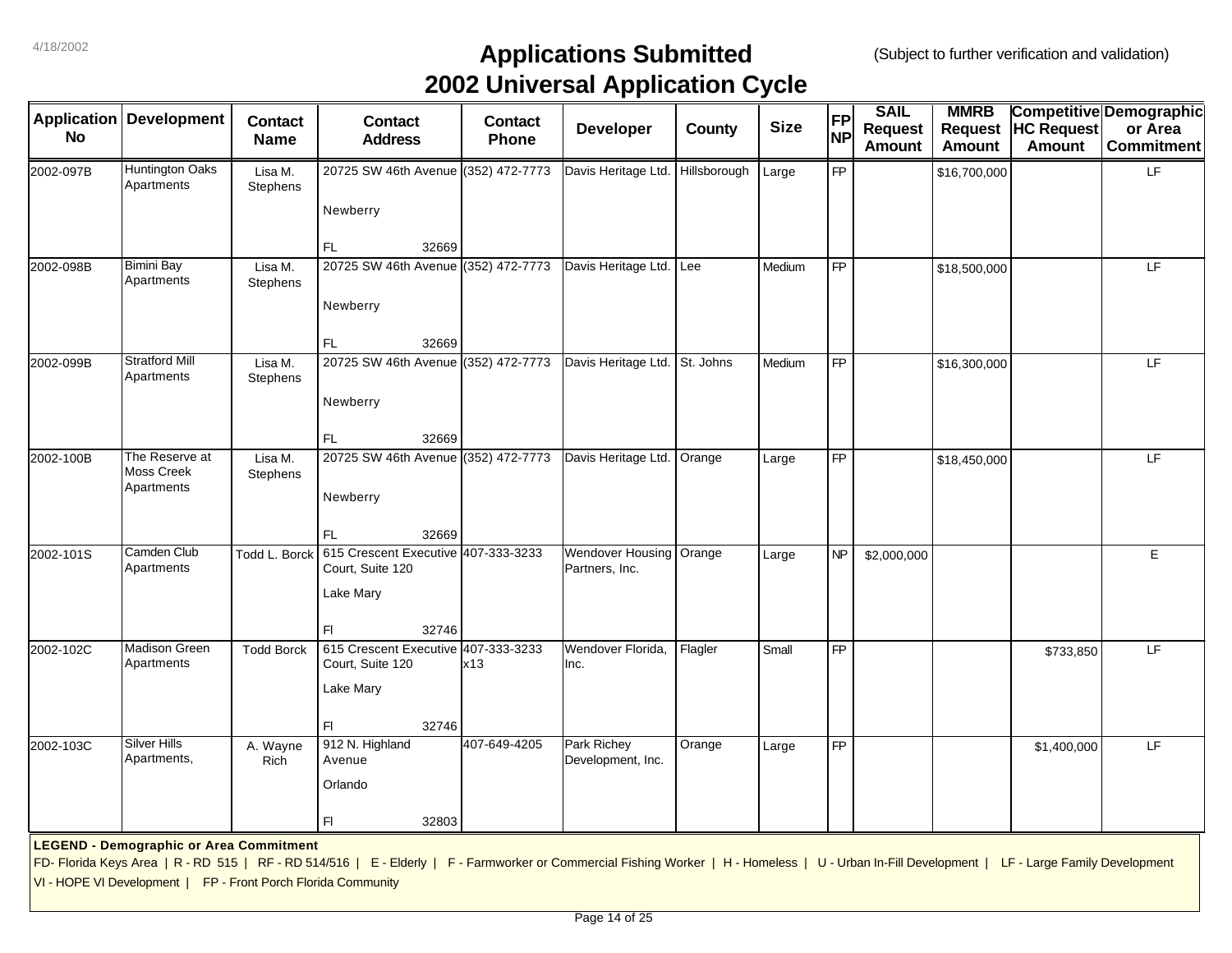| <b>No</b> | <b>Application Development</b>                                | <b>Contact</b><br><b>Name</b> | <b>Contact</b><br><b>Address</b>                                                                                                                                                                | <b>Contact</b><br>Phone | <b>Developer</b>                          | County       | <b>Size</b> | FP<br><b>NP</b> | <b>SAIL</b><br><b>Request</b><br><b>Amount</b> | <b>MMRB</b><br><b>Request</b><br><b>Amount</b> | <b>HC Request</b><br><b>Amount</b> | <b>Competitive Demographic</b><br>or Area<br><b>Commitment</b> |
|-----------|---------------------------------------------------------------|-------------------------------|-------------------------------------------------------------------------------------------------------------------------------------------------------------------------------------------------|-------------------------|-------------------------------------------|--------------|-------------|-----------------|------------------------------------------------|------------------------------------------------|------------------------------------|----------------------------------------------------------------|
| 2002-097B | Huntington Oaks<br>Apartments                                 | Lisa M.<br>Stephens           | 20725 SW 46th Avenue (352) 472-7773                                                                                                                                                             |                         | Davis Heritage Ltd.                       | Hillsborough | Large       | <b>FP</b>       |                                                | \$16,700,000                                   |                                    | LF                                                             |
|           |                                                               |                               | Newberry                                                                                                                                                                                        |                         |                                           |              |             |                 |                                                |                                                |                                    |                                                                |
|           |                                                               |                               | FL.<br>32669                                                                                                                                                                                    |                         |                                           |              |             |                 |                                                |                                                |                                    |                                                                |
| 2002-098B | <b>Bimini Bay</b><br>Apartments                               | Lisa M.<br>Stephens           | 20725 SW 46th Avenue (352) 472-7773                                                                                                                                                             |                         | Davis Heritage Ltd.                       | Lee          | Medium      | <b>FP</b>       |                                                | \$18,500,000                                   |                                    | LF.                                                            |
|           |                                                               |                               | Newberry                                                                                                                                                                                        |                         |                                           |              |             |                 |                                                |                                                |                                    |                                                                |
|           |                                                               |                               | FL<br>32669                                                                                                                                                                                     |                         |                                           |              |             |                 |                                                |                                                |                                    |                                                                |
| 2002-099B | <b>Stratford Mill</b><br>Apartments                           | Lisa M.<br>Stephens           | 20725 SW 46th Avenue (352) 472-7773                                                                                                                                                             |                         | Davis Heritage Ltd.                       | St. Johns    | Medium      | <b>FP</b>       |                                                | \$16,300,000                                   |                                    | LF                                                             |
|           |                                                               |                               | Newberry                                                                                                                                                                                        |                         |                                           |              |             |                 |                                                |                                                |                                    |                                                                |
|           |                                                               |                               | FL<br>32669                                                                                                                                                                                     |                         |                                           |              |             |                 |                                                |                                                |                                    |                                                                |
| 2002-100B | The Reserve at<br>Moss Creek<br>Apartments                    | Lisa M.<br>Stephens           | 20725 SW 46th Avenue (352) 472-7773<br>Newberry                                                                                                                                                 |                         | Davis Heritage Ltd.                       | Orange       | Large       | $\overline{FP}$ |                                                | \$18,450,000                                   |                                    | LF                                                             |
|           |                                                               |                               | 32669<br>FL.                                                                                                                                                                                    |                         |                                           |              |             |                 |                                                |                                                |                                    |                                                                |
| 2002-101S | Camden Club<br>Apartments                                     | Todd L. Borck                 | 615 Crescent Executive 407-333-3233<br>Court, Suite 120<br>Lake Mary                                                                                                                            |                         | <b>Wendover Housing</b><br>Partners, Inc. | Orange       | Large       | <b>NP</b>       | \$2,000,000                                    |                                                |                                    | E                                                              |
|           |                                                               |                               | 32746<br>FI.                                                                                                                                                                                    |                         |                                           |              |             |                 |                                                |                                                |                                    |                                                                |
| 2002-102C | <b>Madison Green</b><br>Apartments                            | <b>Todd Borck</b>             | 615 Crescent Executive 407-333-3233<br>Court, Suite 120                                                                                                                                         | x13                     | Wendover Florida.<br>Inc.                 | Flagler      | Small       | <b>FP</b>       |                                                |                                                | \$733,850                          | LF                                                             |
|           |                                                               |                               | Lake Mary                                                                                                                                                                                       |                         |                                           |              |             |                 |                                                |                                                |                                    |                                                                |
|           |                                                               |                               | FI.<br>32746                                                                                                                                                                                    |                         |                                           |              |             |                 |                                                |                                                |                                    |                                                                |
| 2002-103C | <b>Silver Hills</b><br>Apartments,                            | A. Wayne<br>Rich              | 912 N. Highland<br>Avenue                                                                                                                                                                       | 407-649-4205            | Park Richey<br>Development, Inc.          | Orange       | Large       | $\overline{FP}$ |                                                |                                                | \$1,400,000                        | LF                                                             |
|           |                                                               |                               | Orlando                                                                                                                                                                                         |                         |                                           |              |             |                 |                                                |                                                |                                    |                                                                |
|           |                                                               |                               | FI.<br>32803                                                                                                                                                                                    |                         |                                           |              |             |                 |                                                |                                                |                                    |                                                                |
|           | <b>LEGEND - Demographic or Area Commitment</b>                |                               |                                                                                                                                                                                                 |                         |                                           |              |             |                 |                                                |                                                |                                    |                                                                |
|           |                                                               |                               | FD- Florida Keys Area   R - RD 515   RF - RD 514/516   E - Elderly   F - Farmworker or Commercial Fishing Worker   H - Homeless   U - Urban In-Fill Development   LF - Large Family Development |                         |                                           |              |             |                 |                                                |                                                |                                    |                                                                |
|           | VI - HOPE VI Development   FP - Front Porch Florida Community |                               |                                                                                                                                                                                                 |                         |                                           |              |             |                 |                                                |                                                |                                    |                                                                |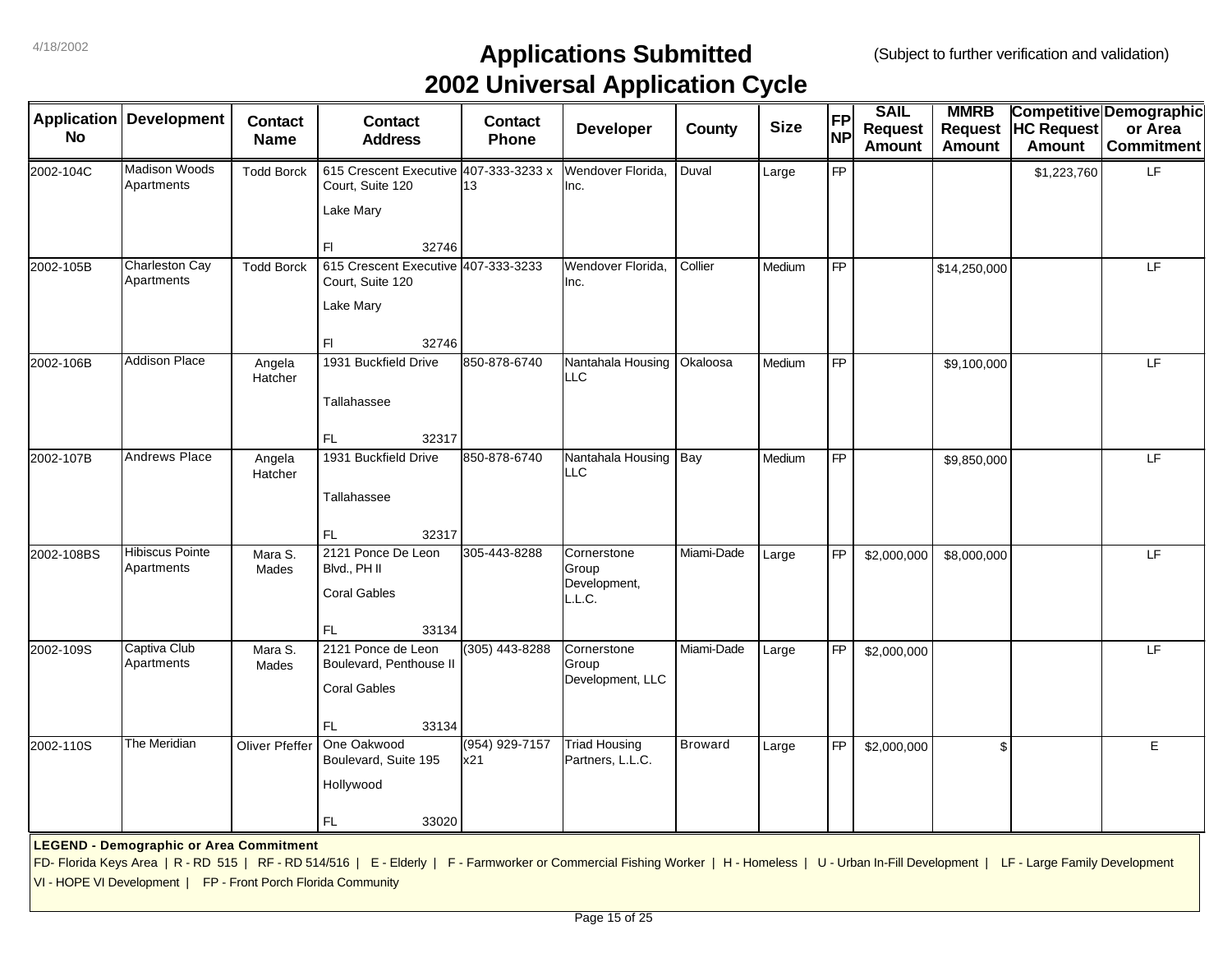|            | Application   Development                                     | <b>Contact</b>    | <b>Contact</b>                                                                                                                                                                                  | <b>Contact</b>        | . .<br><b>Developer</b>                  | County         | <b>Size</b> | <b>FP</b> | <b>SAIL</b>                     | <b>MMRB</b><br>Request | <b>HC Request</b> | Competitive Demographic<br>or Area |
|------------|---------------------------------------------------------------|-------------------|-------------------------------------------------------------------------------------------------------------------------------------------------------------------------------------------------|-----------------------|------------------------------------------|----------------|-------------|-----------|---------------------------------|------------------------|-------------------|------------------------------------|
| <b>No</b>  |                                                               | <b>Name</b>       | <b>Address</b>                                                                                                                                                                                  | Phone                 |                                          |                |             | <b>NP</b> | <b>Request</b><br><b>Amount</b> | Amount                 | Amount            | <b>Commitment</b>                  |
| 2002-104C  | <b>Madison Woods</b><br>Apartments                            | <b>Todd Borck</b> | 615 Crescent Executive 407-333-3233 x<br>Court, Suite 120                                                                                                                                       | 13                    | Wendover Florida.<br>Inc.                | Duval          | Large       | <b>FP</b> |                                 |                        | \$1,223,760       | LF                                 |
|            |                                                               |                   | Lake Mary                                                                                                                                                                                       |                       |                                          |                |             |           |                                 |                        |                   |                                    |
|            |                                                               |                   | 32746<br>F1                                                                                                                                                                                     |                       |                                          |                |             |           |                                 |                        |                   |                                    |
| 2002-105B  | Charleston Cay<br>Apartments                                  | <b>Todd Borck</b> | 615 Crescent Executive 407-333-3233<br>Court, Suite 120                                                                                                                                         |                       | Wendover Florida,<br>Inc.                | Collier        | Medium      | <b>FP</b> |                                 | \$14,250,000           |                   | LF                                 |
|            |                                                               |                   | Lake Mary                                                                                                                                                                                       |                       |                                          |                |             |           |                                 |                        |                   |                                    |
|            |                                                               |                   | F1<br>32746                                                                                                                                                                                     |                       |                                          |                |             |           |                                 |                        |                   |                                    |
| 2002-106B  | <b>Addison Place</b>                                          | Angela<br>Hatcher | 1931 Buckfield Drive                                                                                                                                                                            | 850-878-6740          | Nantahala Housing<br>LLC                 | Okaloosa       | Medium      | <b>FP</b> |                                 | \$9,100,000            |                   | LF                                 |
|            |                                                               |                   | Tallahassee                                                                                                                                                                                     |                       |                                          |                |             |           |                                 |                        |                   |                                    |
|            |                                                               |                   | FL<br>32317                                                                                                                                                                                     |                       |                                          |                |             |           |                                 |                        |                   |                                    |
| 2002-107B  | <b>Andrews Place</b>                                          | Angela<br>Hatcher | 1931 Buckfield Drive                                                                                                                                                                            | 850-878-6740          | Nantahala Housing Bay<br>LLC             |                | Medium      | <b>FP</b> |                                 | \$9,850,000            |                   | LF                                 |
|            |                                                               |                   | Tallahassee                                                                                                                                                                                     |                       |                                          |                |             |           |                                 |                        |                   |                                    |
|            | <b>Hibiscus Pointe</b>                                        |                   | FL<br>32317<br>2121 Ponce De Leon                                                                                                                                                               | 305-443-8288          | Cornerstone                              | Miami-Dade     |             | <b>FP</b> |                                 |                        |                   | LF                                 |
| 2002-108BS | Apartments                                                    | Mara S.<br>Mades  | Blvd., PH II                                                                                                                                                                                    |                       | Group<br>Development,                    |                | Large       |           | \$2,000,000                     | \$8,000,000            |                   |                                    |
|            |                                                               |                   | <b>Coral Gables</b>                                                                                                                                                                             |                       | L.L.C.                                   |                |             |           |                                 |                        |                   |                                    |
| 2002-109S  | Captiva Club                                                  | Mara S.           | FL<br>33134<br>2121 Ponce de Leon                                                                                                                                                               | (305) 443-8288        | Cornerstone                              | Miami-Dade     | Large       | <b>FP</b> | \$2,000,000                     |                        |                   | LF                                 |
|            | Apartments                                                    | Mades             | Boulevard, Penthouse II                                                                                                                                                                         |                       | Group<br>Development, LLC                |                |             |           |                                 |                        |                   |                                    |
|            |                                                               |                   | <b>Coral Gables</b>                                                                                                                                                                             |                       |                                          |                |             |           |                                 |                        |                   |                                    |
|            |                                                               |                   | FL.<br>33134                                                                                                                                                                                    |                       |                                          |                |             |           |                                 |                        |                   |                                    |
| 2002-110S  | The Meridian                                                  | Oliver Pfeffer    | One Oakwood<br>Boulevard, Suite 195                                                                                                                                                             | (954) 929-7157<br>x21 | <b>Triad Housing</b><br>Partners, L.L.C. | <b>Broward</b> | Large       | <b>FP</b> | \$2,000,000                     | \$                     |                   | E                                  |
|            |                                                               |                   | Hollywood                                                                                                                                                                                       |                       |                                          |                |             |           |                                 |                        |                   |                                    |
|            |                                                               |                   | FL.<br>33020                                                                                                                                                                                    |                       |                                          |                |             |           |                                 |                        |                   |                                    |
|            | <b>LEGEND - Demographic or Area Commitment</b>                |                   |                                                                                                                                                                                                 |                       |                                          |                |             |           |                                 |                        |                   |                                    |
|            |                                                               |                   | FD- Florida Keys Area   R - RD 515   RF - RD 514/516   E - Elderly   F - Farmworker or Commercial Fishing Worker   H - Homeless   U - Urban In-Fill Development   LF - Large Family Development |                       |                                          |                |             |           |                                 |                        |                   |                                    |
|            | VI - HOPE VI Development   FP - Front Porch Florida Community |                   |                                                                                                                                                                                                 |                       |                                          |                |             |           |                                 |                        |                   |                                    |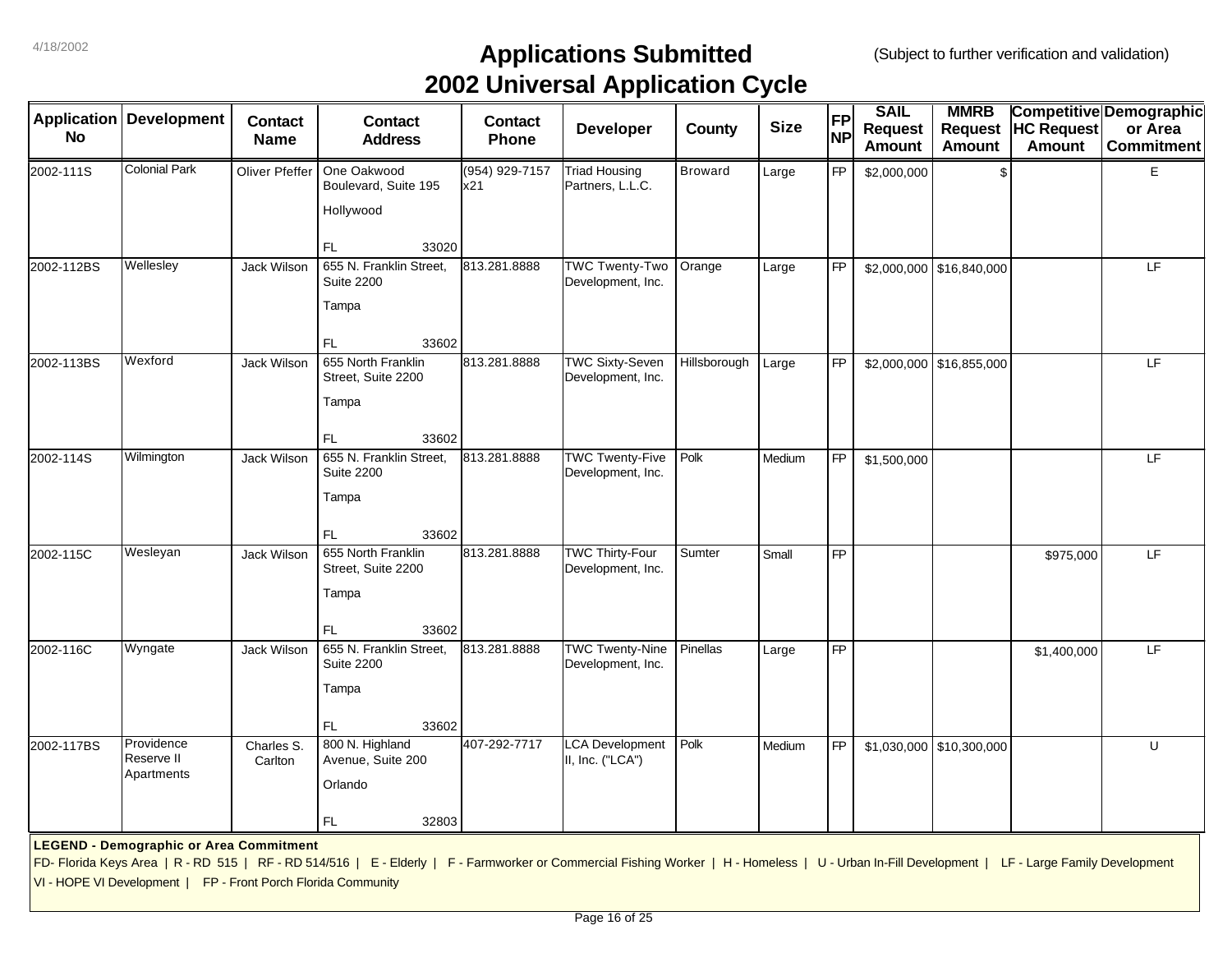| <b>Application</b> | <b>Development</b>                                            | <b>Contact</b>        | <b>Contact</b>                                                                                                                                                                                  | <b>Contact</b>        | . .                                         |                | <b>Size</b> | <b>FP</b>       | <b>SAIL</b>                     | <b>MMRB</b>                     |                                    | <b>Competitive Demographic</b> |
|--------------------|---------------------------------------------------------------|-----------------------|-------------------------------------------------------------------------------------------------------------------------------------------------------------------------------------------------|-----------------------|---------------------------------------------|----------------|-------------|-----------------|---------------------------------|---------------------------------|------------------------------------|--------------------------------|
| <b>No</b>          |                                                               | <b>Name</b>           | <b>Address</b>                                                                                                                                                                                  | Phone                 | <b>Developer</b>                            | <b>County</b>  |             | <b>NP</b>       | <b>Request</b><br><b>Amount</b> | <b>Request</b><br><b>Amount</b> | <b>HC Request</b><br><b>Amount</b> | or Area<br><b>Commitment</b>   |
| 2002-111S          | <b>Colonial Park</b>                                          | Oliver Pfeffer        | One Oakwood<br>Boulevard, Suite 195                                                                                                                                                             | (954) 929-7157<br>x21 | <b>Triad Housing</b><br>Partners, L.L.C.    | <b>Broward</b> | Large       | <b>FP</b>       | \$2,000,000                     | \$                              |                                    | E                              |
|                    |                                                               |                       | Hollywood                                                                                                                                                                                       |                       |                                             |                |             |                 |                                 |                                 |                                    |                                |
|                    |                                                               |                       | FL<br>33020                                                                                                                                                                                     |                       |                                             |                |             |                 |                                 |                                 |                                    |                                |
| 2002-112BS         | Wellesley                                                     | Jack Wilson           | 655 N. Franklin Street,<br><b>Suite 2200</b>                                                                                                                                                    | 813.281.8888          | <b>TWC Twenty-Two</b><br>Development, Inc.  | Orange         | Large       | <b>FP</b>       |                                 | \$2,000,000 \$16,840,000        |                                    | LF                             |
|                    |                                                               |                       | Tampa                                                                                                                                                                                           |                       |                                             |                |             |                 |                                 |                                 |                                    |                                |
|                    |                                                               |                       | FL<br>33602                                                                                                                                                                                     |                       |                                             |                |             |                 |                                 |                                 |                                    |                                |
| 2002-113BS         | Wexford                                                       | Jack Wilson           | 655 North Franklin<br>Street, Suite 2200                                                                                                                                                        | 813.281.8888          | <b>TWC Sixty-Seven</b><br>Development, Inc. | Hillsborough   | Large       | <b>FP</b>       |                                 | $$2,000,000$ \$16,855,000       |                                    | LF                             |
|                    |                                                               |                       | Tampa                                                                                                                                                                                           |                       |                                             |                |             |                 |                                 |                                 |                                    |                                |
|                    |                                                               |                       | FL<br>33602                                                                                                                                                                                     |                       |                                             |                |             |                 |                                 |                                 |                                    |                                |
| 2002-114S          | Wilmington                                                    | Jack Wilson           | 655 N. Franklin Street,<br><b>Suite 2200</b>                                                                                                                                                    | 813.281.8888          | <b>TWC Twenty-Five</b><br>Development, Inc. | Polk           | Medium      | <b>FP</b>       | \$1,500,000                     |                                 |                                    | LF.                            |
|                    |                                                               |                       | Tampa                                                                                                                                                                                           |                       |                                             |                |             |                 |                                 |                                 |                                    |                                |
|                    |                                                               |                       | FL<br>33602                                                                                                                                                                                     |                       |                                             |                |             |                 |                                 |                                 |                                    |                                |
| 2002-115C          | Wesleyan                                                      | Jack Wilson           | 655 North Franklin<br>Street, Suite 2200                                                                                                                                                        | 813.281.8888          | <b>TWC Thirty-Four</b><br>Development, Inc. | Sumter         | Small       | <b>FP</b>       |                                 |                                 | \$975,000                          | LF.                            |
|                    |                                                               |                       | Tampa                                                                                                                                                                                           |                       |                                             |                |             |                 |                                 |                                 |                                    |                                |
|                    |                                                               |                       | 33602<br>FL                                                                                                                                                                                     |                       |                                             |                |             |                 |                                 |                                 |                                    |                                |
| 2002-116C          | Wyngate                                                       | Jack Wilson           | 655 N. Franklin Street,<br><b>Suite 2200</b>                                                                                                                                                    | 813.281.8888          | <b>TWC Twenty-Nine</b><br>Development, Inc. | Pinellas       | Large       | $\overline{FP}$ |                                 |                                 | \$1,400,000                        | LF                             |
|                    |                                                               |                       | Tampa                                                                                                                                                                                           |                       |                                             |                |             |                 |                                 |                                 |                                    |                                |
|                    |                                                               |                       | FL.<br>33602                                                                                                                                                                                    |                       |                                             |                |             |                 |                                 |                                 |                                    |                                |
| 2002-117BS         | Providence<br>Reserve II<br>Apartments                        | Charles S.<br>Carlton | 800 N. Highland<br>Avenue, Suite 200                                                                                                                                                            | 407-292-7717          | <b>LCA Development</b><br>II, Inc. ("LCA")  | Polk           | Medium      | <b>FP</b>       |                                 | $$1,030,000$ $$10,300,000$      |                                    | U                              |
|                    |                                                               |                       | Orlando                                                                                                                                                                                         |                       |                                             |                |             |                 |                                 |                                 |                                    |                                |
|                    |                                                               |                       | FL.<br>32803                                                                                                                                                                                    |                       |                                             |                |             |                 |                                 |                                 |                                    |                                |
|                    | <b>LEGEND - Demographic or Area Commitment</b>                |                       |                                                                                                                                                                                                 |                       |                                             |                |             |                 |                                 |                                 |                                    |                                |
|                    |                                                               |                       | FD- Florida Keys Area   R - RD 515   RF - RD 514/516   E - Elderly   F - Farmworker or Commercial Fishing Worker   H - Homeless   U - Urban In-Fill Development   LF - Large Family Development |                       |                                             |                |             |                 |                                 |                                 |                                    |                                |
|                    | VI - HOPE VI Development   FP - Front Porch Florida Community |                       |                                                                                                                                                                                                 |                       |                                             |                |             |                 |                                 |                                 |                                    |                                |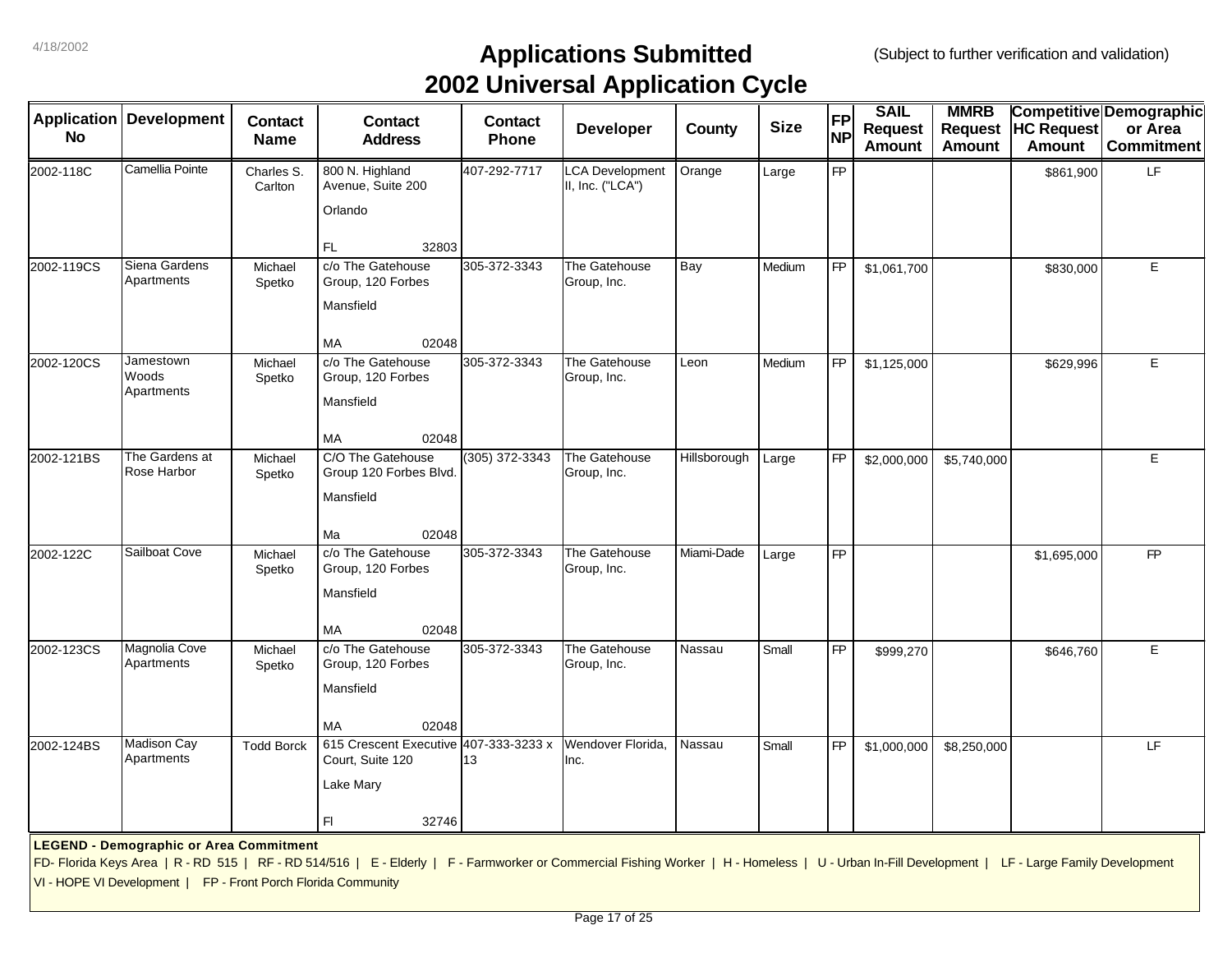|            | <b>Application Development</b>                                | <b>Contact</b>        | <b>Contact</b>                                                                                                                                                                                  | <b>Contact</b> | . .<br><b>Developer</b>            | County       | <b>Size</b> | <b>FP</b> | <b>SAIL</b><br><b>Request</b> | <b>MMRB</b>   | Request  HC Request | Competitive Demographic<br>or Area |
|------------|---------------------------------------------------------------|-----------------------|-------------------------------------------------------------------------------------------------------------------------------------------------------------------------------------------------|----------------|------------------------------------|--------------|-------------|-----------|-------------------------------|---------------|---------------------|------------------------------------|
| <b>No</b>  |                                                               | <b>Name</b>           | <b>Address</b>                                                                                                                                                                                  | Phone          |                                    |              |             | <b>NP</b> | <b>Amount</b>                 | <b>Amount</b> | Amount              | <b>Commitment</b>                  |
| 2002-118C  | Camellia Pointe                                               | Charles S.<br>Carlton | 800 N. Highland<br>Avenue, Suite 200                                                                                                                                                            | 407-292-7717   | CA Development<br>II, Inc. ("LCA") | Orange       | Large       | <b>FP</b> |                               |               | \$861,900           | LF.                                |
|            |                                                               |                       | Orlando                                                                                                                                                                                         |                |                                    |              |             |           |                               |               |                     |                                    |
|            | Siena Gardens                                                 |                       | FL.<br>32803                                                                                                                                                                                    |                |                                    |              |             |           |                               |               |                     |                                    |
| 2002-119CS | Apartments                                                    | Michael<br>Spetko     | c/o The Gatehouse<br>Group, 120 Forbes                                                                                                                                                          | 305-372-3343   | The Gatehouse<br>Group, Inc.       | Bay          | Medium      | <b>FP</b> | \$1,061,700                   |               | \$830,000           | E                                  |
|            |                                                               |                       | Mansfield                                                                                                                                                                                       |                |                                    |              |             |           |                               |               |                     |                                    |
|            |                                                               |                       | <b>MA</b><br>02048                                                                                                                                                                              |                |                                    |              |             |           |                               |               |                     |                                    |
| 2002-120CS | Jamestown<br>Woods                                            | Michael<br>Spetko     | c/o The Gatehouse<br>Group, 120 Forbes                                                                                                                                                          | 305-372-3343   | The Gatehouse<br>Group, Inc.       | Leon         | Medium      | <b>FP</b> | \$1,125,000                   |               | \$629,996           | E                                  |
|            | Apartments                                                    |                       | Mansfield                                                                                                                                                                                       |                |                                    |              |             |           |                               |               |                     |                                    |
|            |                                                               |                       | <b>MA</b><br>02048                                                                                                                                                                              |                |                                    |              |             |           |                               |               |                     |                                    |
| 2002-121BS | The Gardens at<br>Rose Harbor                                 | Michael<br>Spetko     | C/O The Gatehouse<br>Group 120 Forbes Blvd.                                                                                                                                                     | (305) 372-3343 | The Gatehouse<br>Group, Inc.       | Hillsborough | Large       | <b>FP</b> | \$2,000,000                   | \$5,740,000   |                     | E                                  |
|            |                                                               |                       | Mansfield                                                                                                                                                                                       |                |                                    |              |             |           |                               |               |                     |                                    |
|            |                                                               |                       | Ma<br>02048                                                                                                                                                                                     |                |                                    |              |             |           |                               |               |                     |                                    |
| 2002-122C  | Sailboat Cove                                                 | Michael<br>Spetko     | c/o The Gatehouse<br>Group, 120 Forbes                                                                                                                                                          | 305-372-3343   | The Gatehouse<br>Group, Inc.       | Miami-Dade   | Large       | <b>FP</b> |                               |               | \$1,695,000         | $\mathsf{FP}$                      |
|            |                                                               |                       | Mansfield                                                                                                                                                                                       |                |                                    |              |             |           |                               |               |                     |                                    |
|            |                                                               |                       | <b>MA</b><br>02048                                                                                                                                                                              |                |                                    |              |             |           |                               |               |                     |                                    |
| 2002-123CS | Magnolia Cove<br>Apartments                                   | Michael<br>Spetko     | c/o The Gatehouse<br>Group, 120 Forbes                                                                                                                                                          | 305-372-3343   | The Gatehouse<br>Group, Inc.       | Nassau       | Small       | <b>FP</b> | \$999,270                     |               | \$646,760           | E                                  |
|            |                                                               |                       | Mansfield                                                                                                                                                                                       |                |                                    |              |             |           |                               |               |                     |                                    |
|            |                                                               |                       | <b>MA</b><br>02048                                                                                                                                                                              |                |                                    |              |             |           |                               |               |                     |                                    |
| 2002-124BS | Madison Cay<br>Apartments                                     | <b>Todd Borck</b>     | 615 Crescent Executive 407-333-3233 x<br>Court, Suite 120                                                                                                                                       | 13             | Wendover Florida,<br>Inc.          | Nassau       | Small       | <b>FP</b> | \$1,000,000                   | \$8,250,000   |                     | LF                                 |
|            |                                                               |                       | Lake Mary                                                                                                                                                                                       |                |                                    |              |             |           |                               |               |                     |                                    |
|            |                                                               |                       | FI.<br>32746                                                                                                                                                                                    |                |                                    |              |             |           |                               |               |                     |                                    |
|            | <b>LEGEND - Demographic or Area Commitment</b>                |                       |                                                                                                                                                                                                 |                |                                    |              |             |           |                               |               |                     |                                    |
|            |                                                               |                       | FD- Florida Keys Area   R - RD 515   RF - RD 514/516   E - Elderly   F - Farmworker or Commercial Fishing Worker   H - Homeless   U - Urban In-Fill Development   LF - Large Family Development |                |                                    |              |             |           |                               |               |                     |                                    |
|            | VI - HOPE VI Development   FP - Front Porch Florida Community |                       |                                                                                                                                                                                                 |                |                                    |              |             |           |                               |               |                     |                                    |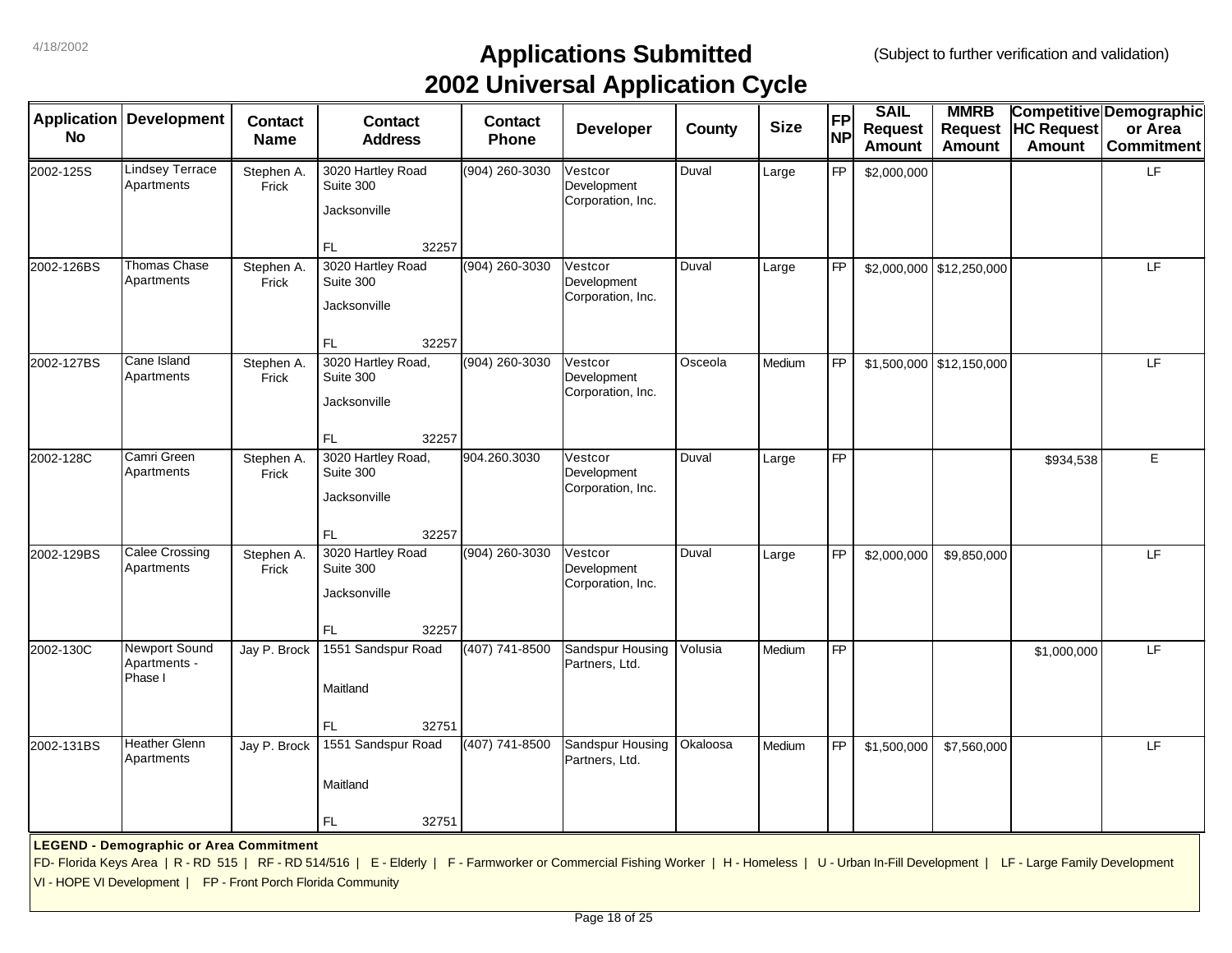|                    |                                                               |                     |                                                                                                                                                                                                 |                  | . .                                         |          |             |                 | <b>SAIL</b>    | <b>MMRB</b>                |                   |                                |
|--------------------|---------------------------------------------------------------|---------------------|-------------------------------------------------------------------------------------------------------------------------------------------------------------------------------------------------|------------------|---------------------------------------------|----------|-------------|-----------------|----------------|----------------------------|-------------------|--------------------------------|
| <b>Application</b> | <b>Development</b>                                            | <b>Contact</b>      | <b>Contact</b>                                                                                                                                                                                  | <b>Contact</b>   |                                             |          |             | <b>FP</b>       |                |                            |                   | <b>Competitive Demographic</b> |
| <b>No</b>          |                                                               | <b>Name</b>         | <b>Address</b>                                                                                                                                                                                  | <b>Phone</b>     | <b>Developer</b>                            | County   | <b>Size</b> | <b>NP</b>       | <b>Request</b> | <b>Request</b>             | <b>HC Request</b> | or Area                        |
|                    |                                                               |                     |                                                                                                                                                                                                 |                  |                                             |          |             |                 | <b>Amount</b>  | <b>Amount</b>              | <b>Amount</b>     | <b>Commitment</b>              |
| 2002-125S          | <b>Lindsey Terrace</b><br>Apartments                          | Stephen A.<br>Frick | 3020 Hartley Road<br>Suite 300                                                                                                                                                                  | (904) 260-3030   | Vestcor<br>Development                      | Duval    | Large       | <b>FP</b>       | \$2,000,000    |                            |                   | LF                             |
|                    |                                                               |                     | Jacksonville                                                                                                                                                                                    |                  | Corporation, Inc.                           |          |             |                 |                |                            |                   |                                |
|                    |                                                               |                     | 32257<br><b>FL</b>                                                                                                                                                                              |                  |                                             |          |             |                 |                |                            |                   |                                |
| 2002-126BS         | <b>Thomas Chase</b><br>Apartments                             | Stephen A.<br>Frick | 3020 Hartley Road<br>Suite 300                                                                                                                                                                  | $(904)$ 260-3030 | Vestcor<br>Development<br>Corporation, Inc. | Duval    | Large       | <b>FP</b>       |                | $$2,000,000$ $$12,250,000$ |                   | LF                             |
|                    |                                                               |                     | Jacksonville                                                                                                                                                                                    |                  |                                             |          |             |                 |                |                            |                   |                                |
|                    |                                                               |                     | FL<br>32257                                                                                                                                                                                     |                  |                                             |          |             |                 |                |                            |                   |                                |
| 2002-127BS         | Cane Island<br>Apartments                                     | Stephen A.<br>Frick | 3020 Hartley Road,<br>Suite 300                                                                                                                                                                 | (904) 260-3030   | Vestcor<br>Development                      | Osceola  | Medium      | <b>FP</b>       |                | \$1,500,000 \$12,150,000   |                   | LF                             |
|                    |                                                               |                     | Jacksonville                                                                                                                                                                                    |                  | Corporation, Inc.                           |          |             |                 |                |                            |                   |                                |
|                    |                                                               |                     | 32257<br><b>FL</b>                                                                                                                                                                              |                  |                                             |          |             |                 |                |                            |                   |                                |
| 2002-128C          | Camri Green<br>Apartments                                     | Stephen A.<br>Frick | 3020 Hartley Road,<br>Suite 300                                                                                                                                                                 | 904.260.3030     | Vestcor<br>Development                      | Duval    | Large       | $\overline{FP}$ |                |                            | \$934,538         | E                              |
|                    |                                                               |                     | Jacksonville                                                                                                                                                                                    |                  | Corporation, Inc.                           |          |             |                 |                |                            |                   |                                |
|                    |                                                               |                     | FL.<br>32257                                                                                                                                                                                    |                  |                                             |          |             |                 |                |                            |                   |                                |
| 2002-129BS         | <b>Calee Crossing</b><br>Apartments                           | Stephen A.<br>Frick | 3020 Hartley Road<br>Suite 300                                                                                                                                                                  | (904) 260-3030   | Vestcor<br>Development                      | Duval    | Large       | <b>FP</b>       | \$2,000,000    | \$9,850,000                |                   | LF                             |
|                    |                                                               |                     | Jacksonville                                                                                                                                                                                    |                  | Corporation, Inc.                           |          |             |                 |                |                            |                   |                                |
|                    |                                                               |                     | <b>FL</b><br>32257                                                                                                                                                                              |                  |                                             |          |             |                 |                |                            |                   |                                |
| 2002-130C          | Newport Sound<br>Apartments -                                 | Jay P. Brock        | 1551 Sandspur Road                                                                                                                                                                              | (407) 741-8500   | Sandspur Housing<br>Partners, Ltd.          | Volusia  | Medium      | <b>FP</b>       |                |                            | \$1,000,000       | LF                             |
|                    | Phase I                                                       |                     | Maitland                                                                                                                                                                                        |                  |                                             |          |             |                 |                |                            |                   |                                |
|                    |                                                               |                     | <b>FL</b><br>32751                                                                                                                                                                              |                  |                                             |          |             |                 |                |                            |                   |                                |
| 2002-131BS         | Heather Glenn<br>Apartments                                   | Jay P. Brock        | 1551 Sandspur Road                                                                                                                                                                              | (407) 741-8500   | Sandspur Housing<br>Partners, Ltd.          | Okaloosa | Medium      | <b>FP</b>       | \$1,500,000    | \$7,560,000                |                   | LF                             |
|                    |                                                               |                     | Maitland                                                                                                                                                                                        |                  |                                             |          |             |                 |                |                            |                   |                                |
|                    |                                                               |                     | FL<br>32751                                                                                                                                                                                     |                  |                                             |          |             |                 |                |                            |                   |                                |
|                    | <b>LEGEND - Demographic or Area Commitment</b>                |                     |                                                                                                                                                                                                 |                  |                                             |          |             |                 |                |                            |                   |                                |
|                    |                                                               |                     | FD- Florida Keys Area   R - RD 515   RF - RD 514/516   E - Elderly   F - Farmworker or Commercial Fishing Worker   H - Homeless   U - Urban In-Fill Development   LF - Large Family Development |                  |                                             |          |             |                 |                |                            |                   |                                |
|                    | VI - HOPE VI Development   FP - Front Porch Florida Community |                     |                                                                                                                                                                                                 |                  |                                             |          |             |                 |                |                            |                   |                                |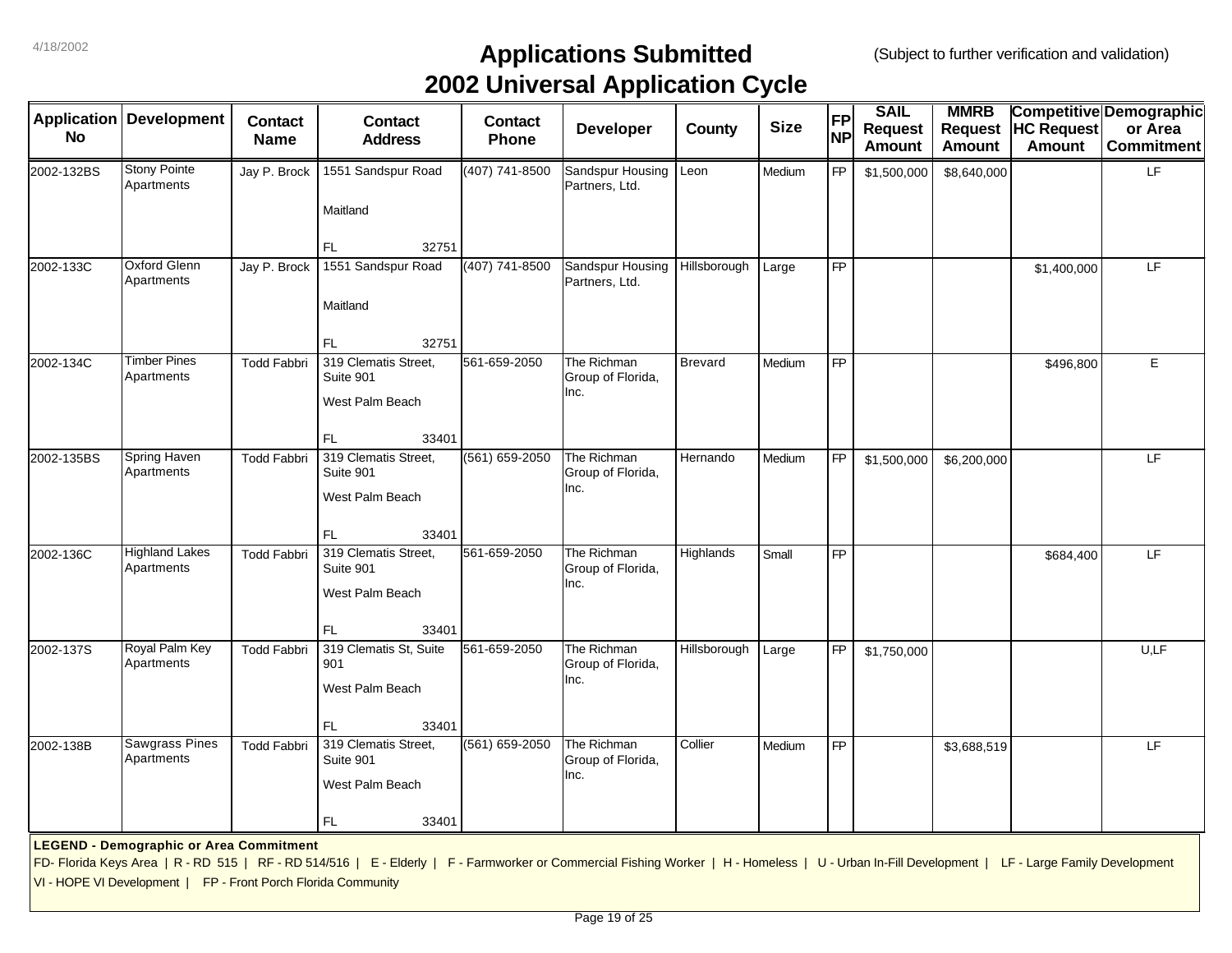|            | Application   Development                                     | <b>Contact</b>     | <b>Contact</b>                                                                                                                                                                                  | <b>Contact</b>     | . .<br>Developer                         | County         | <b>Size</b> | <b>FP</b>       | <b>SAIL</b><br><b>Request</b> | <b>MMRB</b><br><b>Request</b> | <b>HC Request</b> | Competitive Demographic<br>or Area |
|------------|---------------------------------------------------------------|--------------------|-------------------------------------------------------------------------------------------------------------------------------------------------------------------------------------------------|--------------------|------------------------------------------|----------------|-------------|-----------------|-------------------------------|-------------------------------|-------------------|------------------------------------|
| <b>No</b>  |                                                               | <b>Name</b>        | <b>Address</b>                                                                                                                                                                                  | Phone              |                                          |                |             | <b>NP</b>       | <b>Amount</b>                 | <b>Amount</b>                 | <b>Amount</b>     | <b>Commitment</b>                  |
| 2002-132BS | <b>Stony Pointe</b><br>Apartments                             | Jay P. Brock       | 1551 Sandspur Road                                                                                                                                                                              | (407) 741-8500     | Sandspur Housing<br>Partners, Ltd.       | Leon           | Medium      | <b>FP</b>       | \$1,500,000                   | \$8,640,000                   |                   | LF                                 |
|            |                                                               |                    | Maitland                                                                                                                                                                                        |                    |                                          |                |             |                 |                               |                               |                   |                                    |
|            |                                                               |                    | FL<br>32751                                                                                                                                                                                     |                    |                                          |                |             |                 |                               |                               |                   |                                    |
| 2002-133C  | <b>Oxford Glenn</b><br>Apartments                             | Jay P. Brock       | 1551 Sandspur Road                                                                                                                                                                              | (407) 741-8500     | Sandspur Housing<br>Partners, Ltd.       | Hillsborough   | Large       | <b>FP</b>       |                               |                               | \$1,400,000       | LF                                 |
|            |                                                               |                    | Maitland                                                                                                                                                                                        |                    |                                          |                |             |                 |                               |                               |                   |                                    |
|            |                                                               |                    | FL<br>32751                                                                                                                                                                                     |                    |                                          |                |             |                 |                               |                               |                   |                                    |
| 2002-134C  | <b>Timber Pines</b><br>Apartments                             | <b>Todd Fabbri</b> | 319 Clematis Street,<br>Suite 901                                                                                                                                                               | 561-659-2050       | The Richman<br>Group of Florida,<br>Inc. | <b>Brevard</b> | Medium      | <b>FP</b>       |                               |                               | \$496,800         | E                                  |
|            |                                                               |                    | West Palm Beach                                                                                                                                                                                 |                    |                                          |                |             |                 |                               |                               |                   |                                    |
| 2002-135BS | <b>Spring Haven</b>                                           | <b>Todd Fabbri</b> | FL<br>33401<br>319 Clematis Street,                                                                                                                                                             | $(561) 659 - 2050$ | The Richman                              | Hernando       | Medium      | <b>FP</b>       | \$1,500,000                   | \$6,200,000                   |                   | LF                                 |
|            | Apartments                                                    |                    | Suite 901                                                                                                                                                                                       |                    | Group of Florida,                        |                |             |                 |                               |                               |                   |                                    |
|            |                                                               |                    | West Palm Beach                                                                                                                                                                                 |                    | Inc.                                     |                |             |                 |                               |                               |                   |                                    |
|            |                                                               |                    | FL<br>33401                                                                                                                                                                                     |                    |                                          |                |             |                 |                               |                               |                   |                                    |
| 2002-136C  | <b>Highland Lakes</b><br>Apartments                           | <b>Todd Fabbri</b> | 319 Clematis Street,<br>Suite 901                                                                                                                                                               | 561-659-2050       | The Richman<br>Group of Florida,<br>Inc. | Highlands      | Small       | <b>FP</b>       |                               |                               | \$684,400         | LF                                 |
|            |                                                               |                    | West Palm Beach                                                                                                                                                                                 |                    |                                          |                |             |                 |                               |                               |                   |                                    |
|            |                                                               |                    | FL<br>33401                                                                                                                                                                                     |                    |                                          |                |             |                 |                               |                               |                   |                                    |
| 2002-137S  | Royal Palm Key<br>Apartments                                  | <b>Todd Fabbri</b> | 319 Clematis St, Suite<br>901                                                                                                                                                                   | 561-659-2050       | The Richman<br>Group of Florida,<br>Inc. | Hillsborough   | Large       | <b>FP</b>       | \$1,750,000                   |                               |                   | U,LF                               |
|            |                                                               |                    | West Palm Beach                                                                                                                                                                                 |                    |                                          |                |             |                 |                               |                               |                   |                                    |
|            |                                                               |                    | FL<br>33401                                                                                                                                                                                     |                    |                                          |                |             |                 |                               |                               |                   |                                    |
| 2002-138B  | <b>Sawgrass Pines</b><br>Apartments                           | <b>Todd Fabbri</b> | 319 Clematis Street,<br>Suite 901                                                                                                                                                               | (561) 659-2050     | The Richman<br>Group of Florida,         | Collier        | Medium      | $\overline{FP}$ |                               | \$3,688,519                   |                   | LF                                 |
|            |                                                               |                    | West Palm Beach                                                                                                                                                                                 |                    | Inc.                                     |                |             |                 |                               |                               |                   |                                    |
|            |                                                               |                    | FL.<br>33401                                                                                                                                                                                    |                    |                                          |                |             |                 |                               |                               |                   |                                    |
|            | <b>LEGEND - Demographic or Area Commitment</b>                |                    |                                                                                                                                                                                                 |                    |                                          |                |             |                 |                               |                               |                   |                                    |
|            |                                                               |                    | FD- Florida Keys Area   R - RD 515   RF - RD 514/516   E - Elderly   F - Farmworker or Commercial Fishing Worker   H - Homeless   U - Urban In-Fill Development   LF - Large Family Development |                    |                                          |                |             |                 |                               |                               |                   |                                    |
|            | VI - HOPE VI Development   FP - Front Porch Florida Community |                    |                                                                                                                                                                                                 |                    |                                          |                |             |                 |                               |                               |                   |                                    |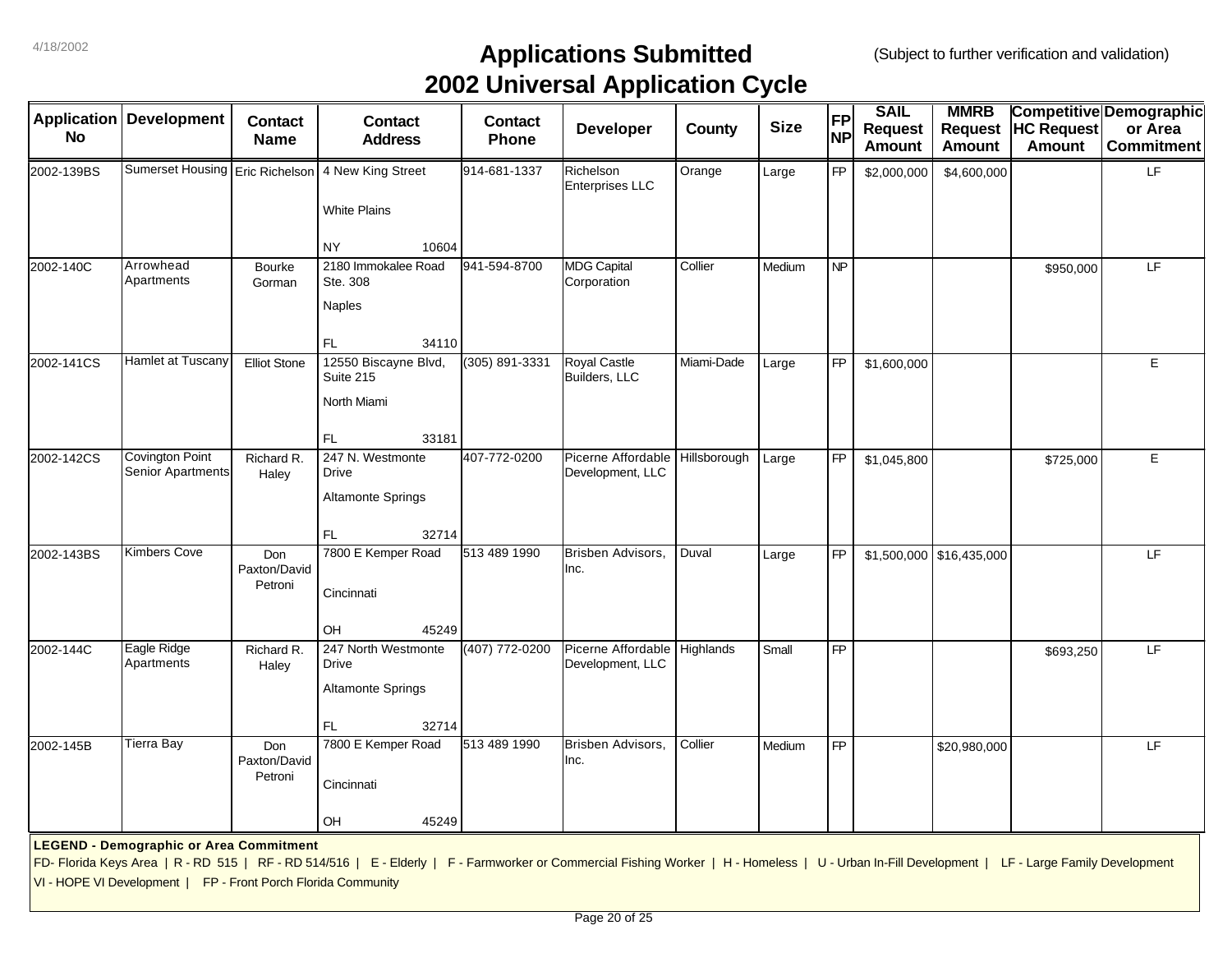|            |                                                               |                         |                                                                                                                                                                                                 |                | . .                                    |              |             |                 | <b>SAIL</b>    | <b>MMRB</b>                |                   | Competitive Demographic |
|------------|---------------------------------------------------------------|-------------------------|-------------------------------------------------------------------------------------------------------------------------------------------------------------------------------------------------|----------------|----------------------------------------|--------------|-------------|-----------------|----------------|----------------------------|-------------------|-------------------------|
|            | <b>Application Development</b>                                | <b>Contact</b>          | <b>Contact</b>                                                                                                                                                                                  | <b>Contact</b> | <b>Developer</b>                       | County       | <b>Size</b> | <b>FP</b>       | <b>Request</b> | <b>Request</b>             | <b>HC Request</b> | or Area                 |
| <b>No</b>  |                                                               | <b>Name</b>             | <b>Address</b>                                                                                                                                                                                  | Phone          |                                        |              |             | <b>NP</b>       | <b>Amount</b>  | <b>Amount</b>              | <b>Amount</b>     | <b>Commitment</b>       |
| 2002-139BS | Sumerset Housing Eric Richelson                               |                         | 4 New King Street                                                                                                                                                                               | 914-681-1337   | Richelson<br><b>Enterprises LLC</b>    | Orange       | Large       | <b>FP</b>       | \$2,000,000    | \$4,600,000                |                   | LF                      |
|            |                                                               |                         | <b>White Plains</b>                                                                                                                                                                             |                |                                        |              |             |                 |                |                            |                   |                         |
|            |                                                               |                         | NY.<br>10604                                                                                                                                                                                    |                |                                        |              |             |                 |                |                            |                   |                         |
| 2002-140C  | Arrowhead<br>Apartments                                       | <b>Bourke</b><br>Gorman | 2180 Immokalee Road<br>Ste. 308                                                                                                                                                                 | 941-594-8700   | <b>MDG Capital</b><br>Corporation      | Collier      | Medium      | $\overline{NP}$ |                |                            | \$950,000         | LF                      |
|            |                                                               |                         | Naples                                                                                                                                                                                          |                |                                        |              |             |                 |                |                            |                   |                         |
|            |                                                               |                         | FL.<br>34110                                                                                                                                                                                    |                |                                        |              |             |                 |                |                            |                   |                         |
| 2002-141CS | <b>Hamlet at Tuscany</b>                                      | <b>Elliot Stone</b>     | 12550 Biscayne Blvd,<br>Suite 215                                                                                                                                                               | (305) 891-3331 | <b>Royal Castle</b><br>Builders, LLC   | Miami-Dade   | Large       | FP              | \$1,600,000    |                            |                   | $\mathsf E$             |
|            |                                                               |                         | North Miami                                                                                                                                                                                     |                |                                        |              |             |                 |                |                            |                   |                         |
|            |                                                               |                         | <b>FL</b><br>33181                                                                                                                                                                              |                |                                        |              |             |                 |                |                            |                   |                         |
| 2002-142CS | Covington Point<br><b>Senior Apartments</b>                   | Richard R.<br>Haley     | 247 N. Westmonte<br><b>Drive</b>                                                                                                                                                                | 407-772-0200   | Picerne Affordable<br>Development, LLC | Hillsborough | Large       | <b>FP</b>       | \$1,045,800    |                            | \$725,000         | E                       |
|            |                                                               |                         | <b>Altamonte Springs</b>                                                                                                                                                                        |                |                                        |              |             |                 |                |                            |                   |                         |
|            |                                                               |                         | FL<br>32714                                                                                                                                                                                     |                |                                        |              |             |                 |                |                            |                   |                         |
| 2002-143BS | <b>Kimbers Cove</b>                                           | Don<br>Paxton/David     | 7800 E Kemper Road                                                                                                                                                                              | 513 489 1990   | Brisben Advisors,<br>Inc.              | Duval        | Large       | <b>FP</b>       |                | $$1,500,000$ $$16,435,000$ |                   | LF                      |
|            |                                                               | Petroni                 | Cincinnati                                                                                                                                                                                      |                |                                        |              |             |                 |                |                            |                   |                         |
|            |                                                               |                         | OH<br>45249                                                                                                                                                                                     |                |                                        |              |             |                 |                |                            |                   |                         |
| 2002-144C  | Eagle Ridge<br>Apartments                                     | Richard R.<br>Haley     | 247 North Westmonte<br><b>Drive</b>                                                                                                                                                             | (407) 772-0200 | Picerne Affordable<br>Development, LLC | Highlands    | Small       | <b>FP</b>       |                |                            | \$693,250         | LF                      |
|            |                                                               |                         | <b>Altamonte Springs</b>                                                                                                                                                                        |                |                                        |              |             |                 |                |                            |                   |                         |
|            |                                                               |                         | FL<br>32714                                                                                                                                                                                     |                |                                        |              |             |                 |                |                            |                   |                         |
| 2002-145B  | Tierra Bay                                                    | Don                     | 7800 E Kemper Road                                                                                                                                                                              | 513 489 1990   | Brisben Advisors,                      | Collier      | Medium      | <b>FP</b>       |                | \$20,980,000               |                   | LF                      |
|            |                                                               | Paxton/David<br>Petroni | Cincinnati                                                                                                                                                                                      |                | Inc.                                   |              |             |                 |                |                            |                   |                         |
|            |                                                               |                         |                                                                                                                                                                                                 |                |                                        |              |             |                 |                |                            |                   |                         |
|            |                                                               |                         | OH<br>45249                                                                                                                                                                                     |                |                                        |              |             |                 |                |                            |                   |                         |
|            | <b>LEGEND - Demographic or Area Commitment</b>                |                         | FD- Florida Keys Area   R - RD 515   RF - RD 514/516   E - Elderly   F - Farmworker or Commercial Fishing Worker   H - Homeless   U - Urban In-Fill Development   LF - Large Family Development |                |                                        |              |             |                 |                |                            |                   |                         |
|            | VI - HOPE VI Development   FP - Front Porch Florida Community |                         |                                                                                                                                                                                                 |                |                                        |              |             |                 |                |                            |                   |                         |
|            |                                                               |                         |                                                                                                                                                                                                 |                |                                        |              |             |                 |                |                            |                   |                         |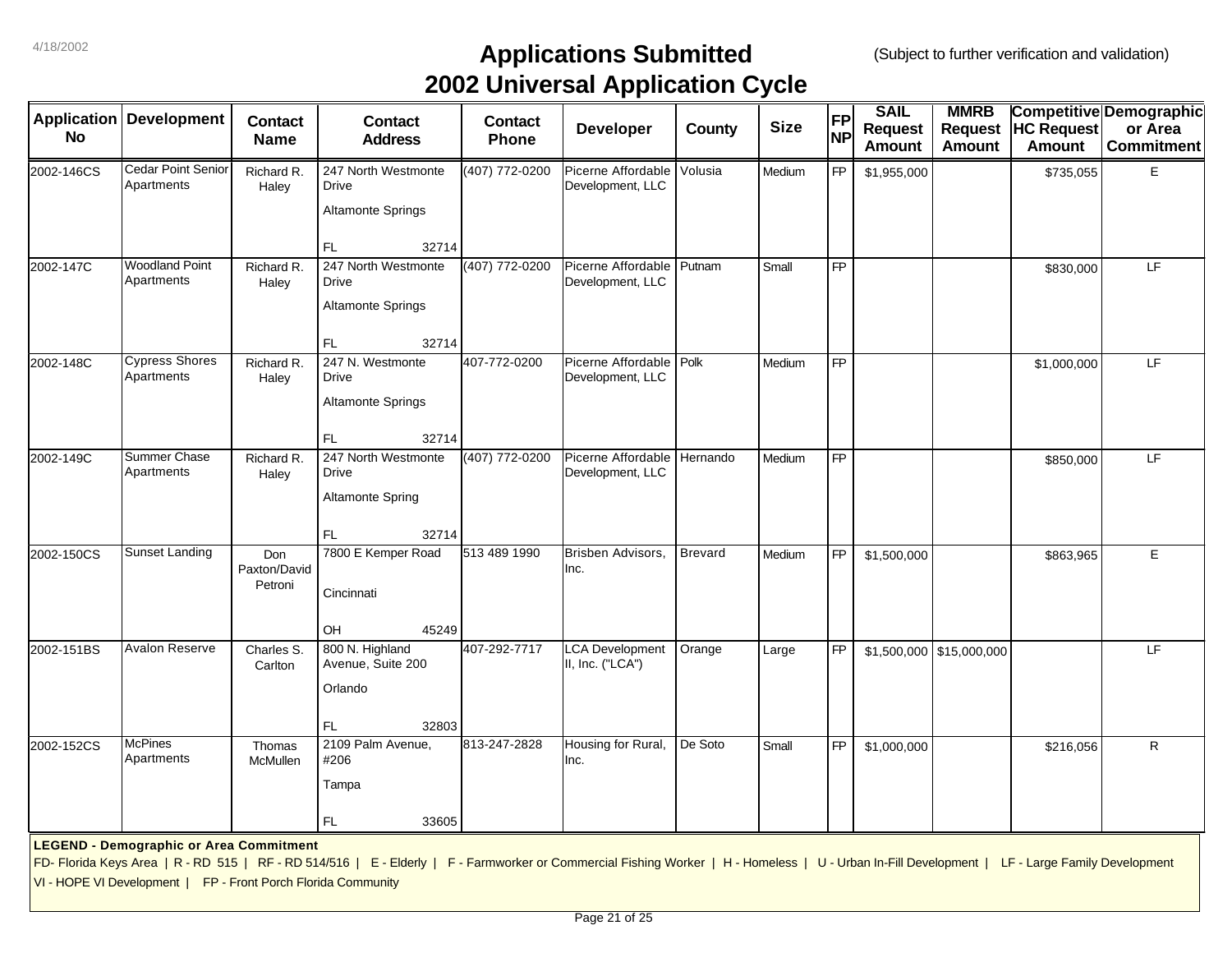|                    |                                                               |                                |                                                                                                                                                                                                 |                | . .                                           |                |             |           | <b>SAIL</b>    |                               |                   |                                           |
|--------------------|---------------------------------------------------------------|--------------------------------|-------------------------------------------------------------------------------------------------------------------------------------------------------------------------------------------------|----------------|-----------------------------------------------|----------------|-------------|-----------|----------------|-------------------------------|-------------------|-------------------------------------------|
| <b>Application</b> | <b>Development</b>                                            | <b>Contact</b>                 | <b>Contact</b>                                                                                                                                                                                  | <b>Contact</b> | <b>Developer</b>                              | County         | <b>Size</b> | <b>FP</b> | <b>Request</b> | <b>MMRB</b><br><b>Request</b> | <b>HC Request</b> | <b>Competitive Demographic</b><br>or Area |
| <b>No</b>          |                                                               | <b>Name</b>                    | <b>Address</b>                                                                                                                                                                                  | <b>Phone</b>   |                                               |                |             | <b>NP</b> | <b>Amount</b>  | <b>Amount</b>                 | <b>Amount</b>     | <b>Commitment</b>                         |
| 2002-146CS         | <b>Cedar Point Senior</b><br>Apartments                       | Richard R.<br>Haley            | 247 North Westmonte<br><b>Drive</b>                                                                                                                                                             | (407) 772-0200 | Picerne Affordable<br>Development, LLC        | Volusia        | Medium      | <b>FP</b> | \$1,955,000    |                               | \$735,055         | Ε                                         |
|                    |                                                               |                                | <b>Altamonte Springs</b>                                                                                                                                                                        |                |                                               |                |             |           |                |                               |                   |                                           |
|                    |                                                               |                                | FL<br>32714                                                                                                                                                                                     |                |                                               |                |             |           |                |                               |                   |                                           |
| 2002-147C          | <b>Woodland Point</b><br>Apartments                           | Richard R.<br>Haley            | 247 North Westmonte<br><b>Drive</b>                                                                                                                                                             | (407) 772-0200 | Picerne Affordable Putnam<br>Development, LLC |                | Small       | <b>FP</b> |                |                               | \$830,000         | LE.                                       |
|                    |                                                               |                                | <b>Altamonte Springs</b>                                                                                                                                                                        |                |                                               |                |             |           |                |                               |                   |                                           |
|                    |                                                               |                                | FL<br>32714                                                                                                                                                                                     |                |                                               |                |             |           |                |                               |                   |                                           |
| 2002-148C          | <b>Cypress Shores</b><br>Apartments                           | Richard R.<br>Haley            | 247 N. Westmonte<br>Drive                                                                                                                                                                       | 407-772-0200   | Picerne Affordable<br>Development, LLC        | Polk           | Medium      | FP        |                |                               | \$1,000,000       | LF                                        |
|                    |                                                               |                                | <b>Altamonte Springs</b>                                                                                                                                                                        |                |                                               |                |             |           |                |                               |                   |                                           |
|                    |                                                               |                                | FL<br>32714                                                                                                                                                                                     |                |                                               |                |             |           |                |                               |                   |                                           |
| 2002-149C          | Summer Chase<br>Apartments                                    | Richard R.<br>Haley            | 247 North Westmonte<br>Drive                                                                                                                                                                    | (407) 772-0200 | Picerne Affordable<br>Development, LLC        | Hernando       | Medium      | <b>FP</b> |                |                               | \$850,000         | LF.                                       |
|                    |                                                               |                                | <b>Altamonte Spring</b>                                                                                                                                                                         |                |                                               |                |             |           |                |                               |                   |                                           |
|                    |                                                               |                                | <b>FL</b><br>32714                                                                                                                                                                              |                |                                               |                |             |           |                |                               |                   |                                           |
| 2002-150CS         | Sunset Landing                                                | Don<br>Paxton/David<br>Petroni | 7800 E Kemper Road                                                                                                                                                                              | 513 489 1990   | Brisben Advisors,<br>Inc.                     | <b>Brevard</b> | Medium      | <b>FP</b> | \$1,500,000    |                               | \$863,965         | E                                         |
|                    |                                                               |                                | Cincinnati                                                                                                                                                                                      |                |                                               |                |             |           |                |                               |                   |                                           |
| 2002-151BS         | <b>Avalon Reserve</b>                                         | Charles S.                     | OH<br>45249<br>800 N. Highland                                                                                                                                                                  | 407-292-7717   | <b>LCA Development</b>                        | Orange         | Large       | <b>FP</b> |                | $$1,500,000$ $$15,000,000$    |                   | LF.                                       |
|                    |                                                               | Carlton                        | Avenue, Suite 200                                                                                                                                                                               |                | II, Inc. ("LCA")                              |                |             |           |                |                               |                   |                                           |
|                    |                                                               |                                | Orlando                                                                                                                                                                                         |                |                                               |                |             |           |                |                               |                   |                                           |
|                    |                                                               |                                | FL<br>32803                                                                                                                                                                                     |                |                                               |                |             |           |                |                               |                   |                                           |
| 2002-152CS         | <b>McPines</b><br>Apartments                                  | Thomas<br><b>McMullen</b>      | 2109 Palm Avenue,<br>#206                                                                                                                                                                       | 813-247-2828   | Housing for Rural,<br>Inc.                    | De Soto        | Small       | <b>FP</b> | \$1,000,000    |                               | \$216,056         | $\mathsf{R}$                              |
|                    |                                                               |                                | Tampa                                                                                                                                                                                           |                |                                               |                |             |           |                |                               |                   |                                           |
|                    |                                                               |                                | FL.<br>33605                                                                                                                                                                                    |                |                                               |                |             |           |                |                               |                   |                                           |
|                    | <b>LEGEND - Demographic or Area Commitment</b>                |                                |                                                                                                                                                                                                 |                |                                               |                |             |           |                |                               |                   |                                           |
|                    |                                                               |                                | FD- Florida Keys Area   R - RD 515   RF - RD 514/516   E - Elderly   F - Farmworker or Commercial Fishing Worker   H - Homeless   U - Urban In-Fill Development   LF - Large Family Development |                |                                               |                |             |           |                |                               |                   |                                           |
|                    | VI - HOPE VI Development   FP - Front Porch Florida Community |                                |                                                                                                                                                                                                 |                |                                               |                |             |           |                |                               |                   |                                           |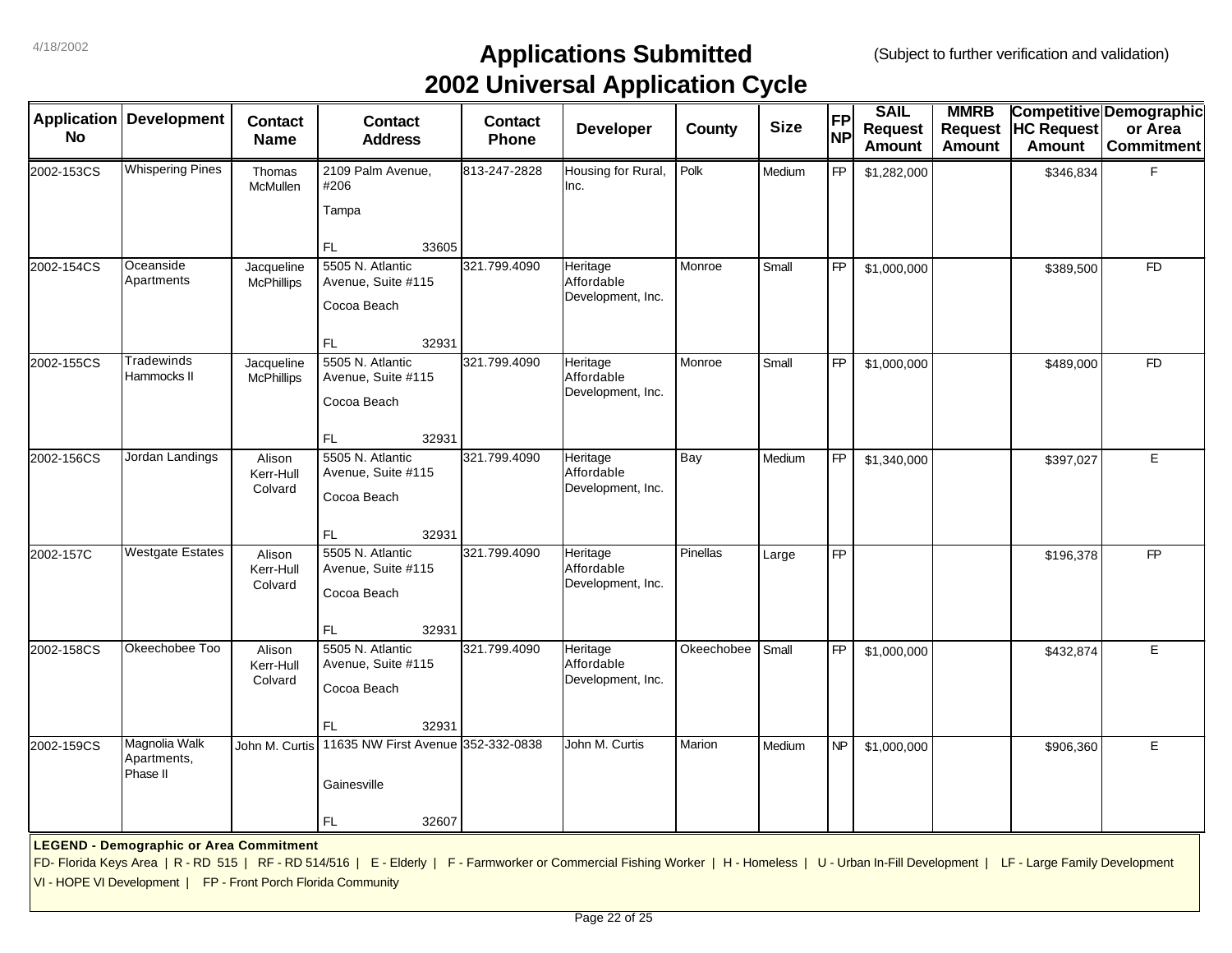| <b>Application</b><br><b>No</b> | <b>Development</b>                                                                                              | <b>Contact</b><br><b>Name</b>   | <b>Contact</b><br><b>Address</b>                                                                                                                                                                | <b>Contact</b><br>Phone | . .<br><b>Developer</b>                     | County     | <b>Size</b> | <b>FP</b><br><b>NP</b> | <b>SAIL</b><br><b>Request</b><br><b>Amount</b> | <b>MMRB</b><br><b>Request</b><br><b>Amount</b> | <b>HC Request</b><br><b>Amount</b> | Competitive Demographic<br>or Area<br><b>Commitment</b> |
|---------------------------------|-----------------------------------------------------------------------------------------------------------------|---------------------------------|-------------------------------------------------------------------------------------------------------------------------------------------------------------------------------------------------|-------------------------|---------------------------------------------|------------|-------------|------------------------|------------------------------------------------|------------------------------------------------|------------------------------------|---------------------------------------------------------|
| 2002-153CS                      | <b>Whispering Pines</b>                                                                                         | Thomas<br>McMullen              | 2109 Palm Avenue,<br>#206<br>Tampa<br>FL.<br>33605                                                                                                                                              | 813-247-2828            | Housing for Rural,<br>Inc.                  | Polk       | Medium      | <b>FP</b>              | \$1,282,000                                    |                                                | \$346,834                          | F                                                       |
| 2002-154CS                      | Oceanside<br>Apartments                                                                                         | Jacqueline<br><b>McPhillips</b> | 5505 N. Atlantic<br>Avenue, Suite #115<br>Cocoa Beach<br>FL.<br>32931                                                                                                                           | 321.799.4090            | Heritage<br>Affordable<br>Development, Inc. | Monroe     | Small       | FP                     | \$1,000,000                                    |                                                | \$389,500                          | <b>FD</b>                                               |
| 2002-155CS                      | Tradewinds<br>Hammocks II                                                                                       | Jacqueline<br><b>McPhillips</b> | 5505 N. Atlantic<br>Avenue, Suite #115<br>Cocoa Beach<br>FL.<br>32931                                                                                                                           | 321.799.4090            | Heritage<br>Affordable<br>Development, Inc. | Monroe     | Small       | FP                     | \$1,000,000                                    |                                                | \$489,000                          | <b>FD</b>                                               |
| 2002-156CS                      | Jordan Landings                                                                                                 | Alison<br>Kerr-Hull<br>Colvard  | 5505 N. Atlantic<br>Avenue, Suite #115<br>Cocoa Beach<br><b>FL</b><br>32931                                                                                                                     | 321.799.4090            | Heritage<br>Affordable<br>Development, Inc. | Bay        | Medium      | FP                     | \$1,340,000                                    |                                                | \$397,027                          | E                                                       |
| 2002-157C                       | <b>Westgate Estates</b>                                                                                         | Alison<br>Kerr-Hull<br>Colvard  | 5505 N. Atlantic<br>Avenue, Suite #115<br>Cocoa Beach<br>32931<br><b>FL</b>                                                                                                                     | 321.799.4090            | Heritage<br>Affordable<br>Development, Inc. | Pinellas   | Large       | $\overline{FP}$        |                                                |                                                | \$196,378                          | FP                                                      |
| 2002-158CS                      | Okeechobee Too                                                                                                  | Alison<br>Kerr-Hull<br>Colvard  | 5505 N. Atlantic<br>Avenue, Suite #115<br>Cocoa Beach<br>FL.<br>32931                                                                                                                           | 321.799.4090            | Heritage<br>Affordable<br>Development, Inc. | Okeechobee | Small       | FP                     | \$1,000,000                                    |                                                | \$432,874                          | E                                                       |
| 2002-159CS                      | Magnolia Walk<br>Apartments,<br>Phase II                                                                        | John M. Curtis                  | 11635 NW First Avenue 352-332-0838<br>Gainesville<br>FL.<br>32607                                                                                                                               |                         | John M. Curtis                              | Marion     | Medium      | NP                     | \$1,000,000                                    |                                                | \$906,360                          | E                                                       |
|                                 | <b>LEGEND - Demographic or Area Commitment</b><br>VI - HOPE VI Development   FP - Front Porch Florida Community |                                 | FD- Florida Keys Area   R - RD 515   RF - RD 514/516   E - Elderly   F - Farmworker or Commercial Fishing Worker   H - Homeless   U - Urban In-Fill Development   LF - Large Family Development |                         |                                             |            |             |                        |                                                |                                                |                                    |                                                         |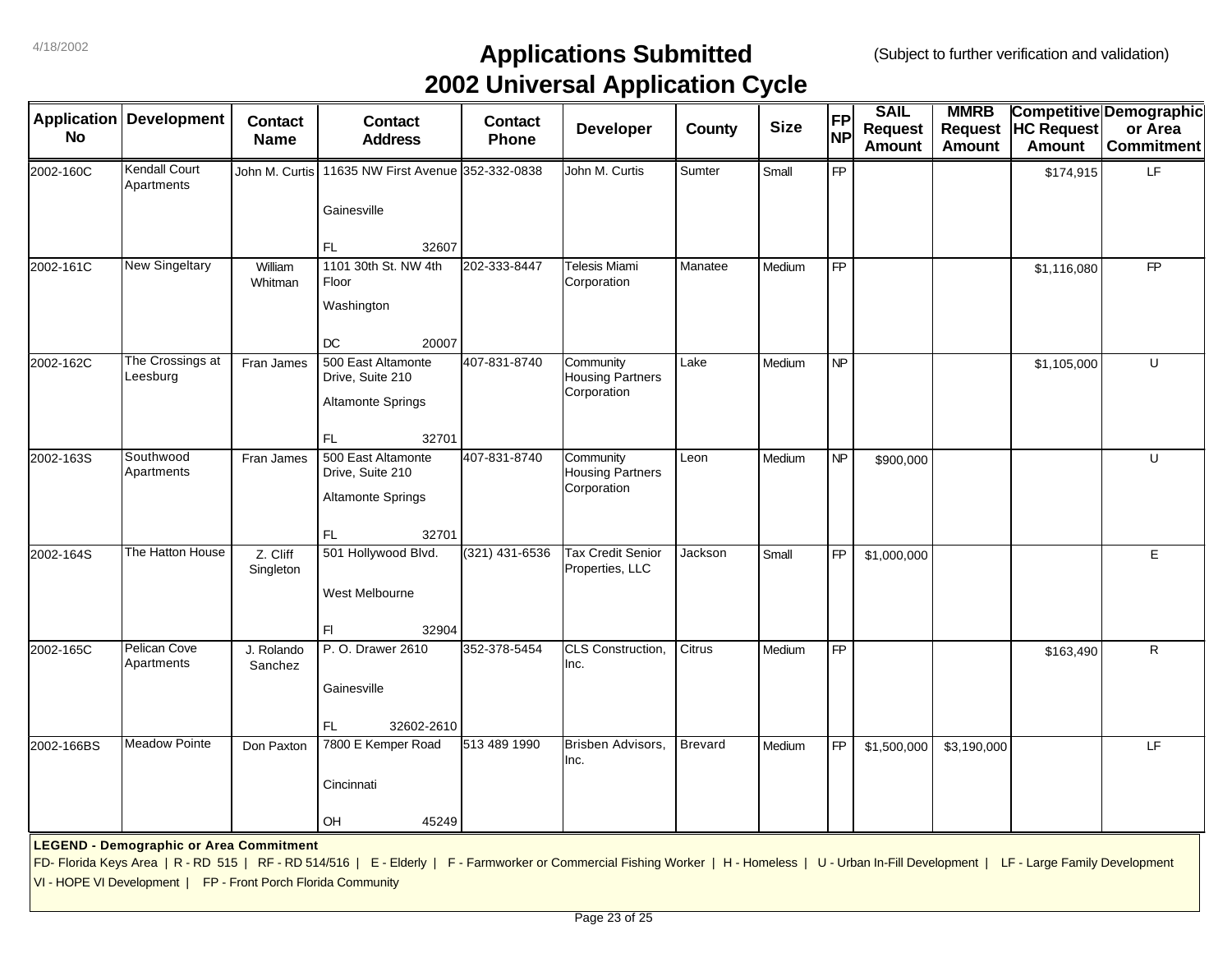| <b>Application</b> | <b>Development</b>                                            |                               |                                                                                                                                                                                                 |                         | . .                                         |                |             | <b>FP</b>       | <b>SAIL</b>    | <b>MMRB</b>    |                   | Competitive Demographic |
|--------------------|---------------------------------------------------------------|-------------------------------|-------------------------------------------------------------------------------------------------------------------------------------------------------------------------------------------------|-------------------------|---------------------------------------------|----------------|-------------|-----------------|----------------|----------------|-------------------|-------------------------|
| <b>No</b>          |                                                               | <b>Contact</b><br><b>Name</b> | <b>Contact</b><br><b>Address</b>                                                                                                                                                                | <b>Contact</b><br>Phone | Developer                                   | County         | <b>Size</b> | <b>NP</b>       | <b>Request</b> | <b>Request</b> | <b>HC Request</b> | or Area                 |
|                    |                                                               |                               |                                                                                                                                                                                                 |                         |                                             |                |             |                 | <b>Amount</b>  | <b>Amount</b>  | <b>Amount</b>     | <b>Commitment</b>       |
| 2002-160C          | Kendall Court<br>Apartments                                   | John M. Curtis                | 11635 NW First Avenue 352-332-0838                                                                                                                                                              |                         | John M. Curtis                              | Sumter         | Small       | FP              |                |                | \$174,915         | LF.                     |
|                    |                                                               |                               | Gainesville                                                                                                                                                                                     |                         |                                             |                |             |                 |                |                |                   |                         |
|                    |                                                               |                               | FL.<br>32607                                                                                                                                                                                    |                         |                                             |                |             |                 |                |                |                   |                         |
| 2002-161C          | <b>New Singeltary</b>                                         | William<br>Whitman            | 1101 30th St. NW 4th<br>Floor                                                                                                                                                                   | 202-333-8447            | Telesis Miami<br>Corporation                | Manatee        | Medium      | <b>FP</b>       |                |                | \$1,116,080       | <b>FP</b>               |
|                    |                                                               |                               | Washington                                                                                                                                                                                      |                         |                                             |                |             |                 |                |                |                   |                         |
|                    |                                                               |                               | DC<br>20007                                                                                                                                                                                     |                         |                                             |                |             |                 |                |                |                   |                         |
| 2002-162C          | The Crossings at<br>Leesburg                                  | Fran James                    | 500 East Altamonte<br>Drive, Suite 210                                                                                                                                                          | 407-831-8740            | Community<br><b>Housing Partners</b>        | Lake           | Medium      | $\overline{NP}$ |                |                | \$1,105,000       | U                       |
|                    |                                                               |                               | <b>Altamonte Springs</b>                                                                                                                                                                        |                         | Corporation                                 |                |             |                 |                |                |                   |                         |
|                    |                                                               |                               | 32701<br>FL.                                                                                                                                                                                    |                         |                                             |                |             |                 |                |                |                   |                         |
| 2002-163S          | Southwood<br>Apartments                                       | Fran James                    | 500 East Altamonte<br>Drive, Suite 210                                                                                                                                                          | 407-831-8740            | Community<br><b>Housing Partners</b>        | Leon           | Medium      | NP              | \$900,000      |                |                   | U                       |
|                    |                                                               |                               | <b>Altamonte Springs</b>                                                                                                                                                                        |                         | Corporation                                 |                |             |                 |                |                |                   |                         |
|                    |                                                               |                               | FL.<br>32701                                                                                                                                                                                    |                         |                                             |                |             |                 |                |                |                   |                         |
| 2002-164S          | The Hatton House                                              | Z. Cliff<br>Singleton         | 501 Hollywood Blvd.                                                                                                                                                                             | (321) 431-6536          | <b>Tax Credit Senior</b><br>Properties, LLC | Jackson        | Small       | FP              | \$1,000,000    |                |                   | E                       |
|                    |                                                               |                               | West Melbourne                                                                                                                                                                                  |                         |                                             |                |             |                 |                |                |                   |                         |
|                    |                                                               |                               | 32904<br>FI.                                                                                                                                                                                    |                         |                                             |                |             |                 |                |                |                   |                         |
| 2002-165C          | Pelican Cove<br>Apartments                                    | J. Rolando<br>Sanchez         | P. O. Drawer 2610                                                                                                                                                                               | 352-378-5454            | CLS Construction,<br>Inc.                   | Citrus         | Medium      | $\overline{FP}$ |                |                | \$163,490         | R                       |
|                    |                                                               |                               | Gainesville                                                                                                                                                                                     |                         |                                             |                |             |                 |                |                |                   |                         |
|                    |                                                               |                               | FL<br>32602-2610                                                                                                                                                                                |                         |                                             |                |             |                 |                |                |                   |                         |
| 2002-166BS         | <b>Meadow Pointe</b>                                          | Don Paxton                    | 7800 E Kemper Road                                                                                                                                                                              | 513 489 1990            | Brisben Advisors,<br>Inc.                   | <b>Brevard</b> | Medium      | <b>FP</b>       | \$1,500,000    | \$3,190,000    |                   | LF                      |
|                    |                                                               |                               | Cincinnati                                                                                                                                                                                      |                         |                                             |                |             |                 |                |                |                   |                         |
|                    |                                                               |                               | OH<br>45249                                                                                                                                                                                     |                         |                                             |                |             |                 |                |                |                   |                         |
|                    | <b>LEGEND - Demographic or Area Commitment</b>                |                               |                                                                                                                                                                                                 |                         |                                             |                |             |                 |                |                |                   |                         |
|                    |                                                               |                               | FD- Florida Keys Area   R - RD 515   RF - RD 514/516   E - Elderly   F - Farmworker or Commercial Fishing Worker   H - Homeless   U - Urban In-Fill Development   LF - Large Family Development |                         |                                             |                |             |                 |                |                |                   |                         |
|                    | VI - HOPE VI Development   FP - Front Porch Florida Community |                               |                                                                                                                                                                                                 |                         |                                             |                |             |                 |                |                |                   |                         |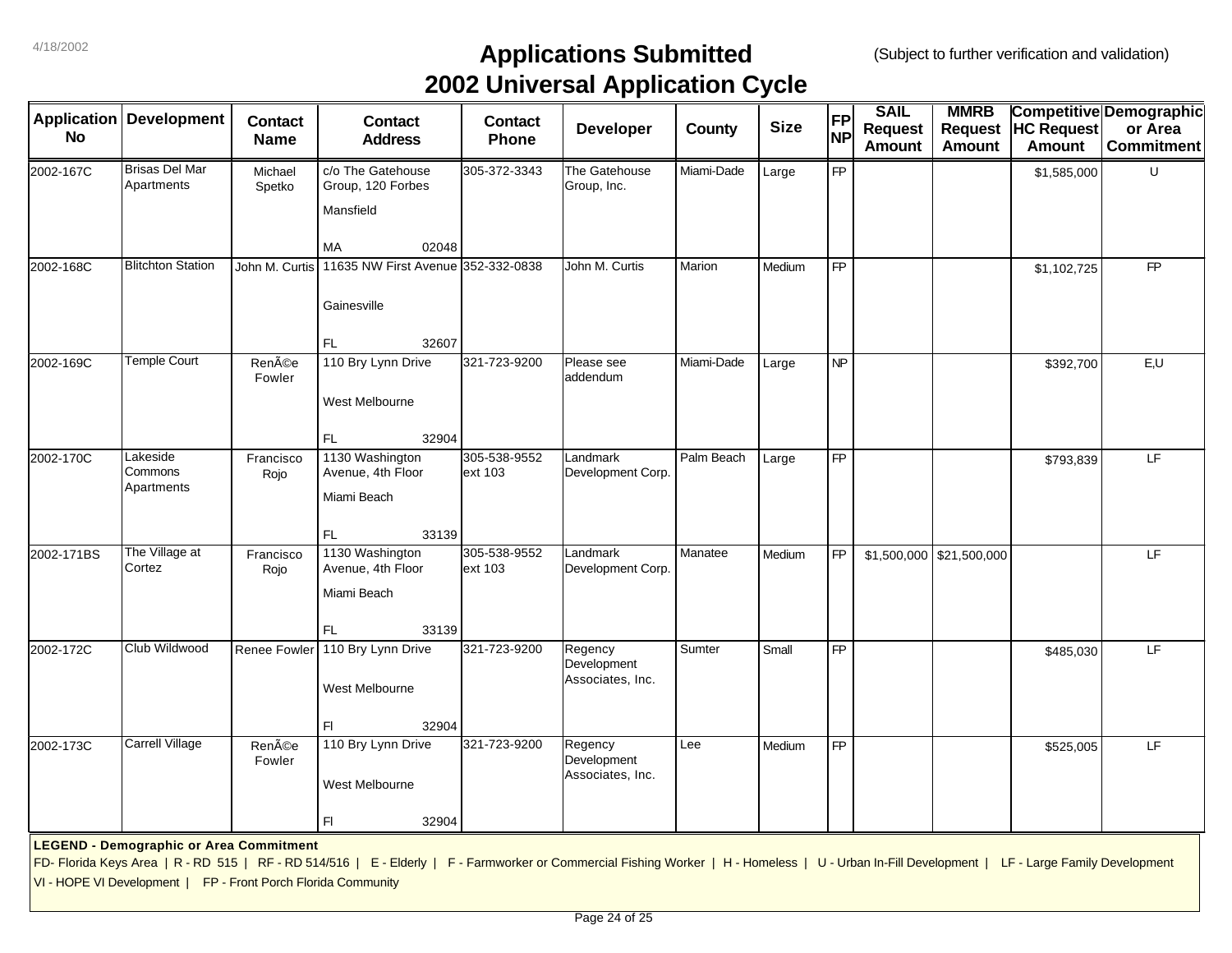| <b>Application</b><br><b>No</b> | <b>Development</b>                                                                                              | <b>Contact</b><br><b>Name</b> | <b>Contact</b><br><b>Address</b>                                                                                                                                                                | <b>Contact</b><br><b>Phone</b> | . .<br>Developer                           | County     | <b>Size</b> | <b>FP</b><br><b>NP</b> | <b>SAIL</b><br><b>Request</b><br><b>Amount</b> | <b>MMRB</b><br><b>Request</b><br><b>Amount</b> | <b>HC Request</b><br><b>Amount</b> | Competitive Demographic<br>or Area<br><b>Commitment</b> |
|---------------------------------|-----------------------------------------------------------------------------------------------------------------|-------------------------------|-------------------------------------------------------------------------------------------------------------------------------------------------------------------------------------------------|--------------------------------|--------------------------------------------|------------|-------------|------------------------|------------------------------------------------|------------------------------------------------|------------------------------------|---------------------------------------------------------|
| 2002-167C                       | <b>Brisas Del Mar</b><br>Apartments                                                                             | Michael<br>Spetko             | c/o The Gatehouse<br>Group, 120 Forbes<br>Mansfield<br><b>MA</b><br>02048                                                                                                                       | 305-372-3343                   | The Gatehouse<br>Group, Inc.               | Miami-Dade | Large       | <b>FP</b>              |                                                |                                                | \$1,585,000                        | U                                                       |
| 2002-168C                       | <b>Blitchton Station</b>                                                                                        | John M. Curtis                | 11635 NW First Avenue 352-332-0838<br>Gainesville<br>FL<br>32607                                                                                                                                |                                | John M. Curtis                             | Marion     | Medium      | FP                     |                                                |                                                | \$1,102,725                        | <b>FP</b>                                               |
| 2002-169C                       | <b>Temple Court</b>                                                                                             | Renée<br>Fowler               | 110 Bry Lynn Drive<br>West Melbourne<br>FL<br>32904                                                                                                                                             | 321-723-9200                   | Please see<br>addendum                     | Miami-Dade | Large       | NP                     |                                                |                                                | \$392,700                          | E, U                                                    |
| 2002-170C                       | Lakeside<br>Commons<br>Apartments                                                                               | Francisco<br>Rojo             | 1130 Washington<br>Avenue, 4th Floor<br>Miami Beach<br>FL.<br>33139                                                                                                                             | 305-538-9552<br>ext 103        | Landmark<br>Development Corp.              | Palm Beach | Large       | <b>FP</b>              |                                                |                                                | \$793,839                          | LF.                                                     |
| 2002-171BS                      | The Village at<br>Cortez                                                                                        | Francisco<br>Rojo             | 1130 Washington<br>Avenue, 4th Floor<br>Miami Beach<br>33139<br>FL                                                                                                                              | 305-538-9552<br>ext 103        | Landmark<br>Development Corp.              | Manatee    | Medium      | <b>FP</b>              |                                                | $$1,500,000$ $$21,500,000$                     |                                    | LF.                                                     |
| 2002-172C                       | Club Wildwood                                                                                                   | <b>Renee Fowler</b>           | 110 Bry Lynn Drive<br>West Melbourne<br>F1<br>32904                                                                                                                                             | 321-723-9200                   | Regency<br>Development<br>Associates, Inc. | Sumter     | Small       | <b>FP</b>              |                                                |                                                | \$485,030                          | LF.                                                     |
| 2002-173C                       | Carrell Village                                                                                                 | Renée<br>Fowler               | 110 Bry Lynn Drive<br>West Melbourne<br>F1<br>32904                                                                                                                                             | 321-723-9200                   | Regency<br>Development<br>Associates, Inc. | Lee        | Medium      | <b>FP</b>              |                                                |                                                | \$525,005                          | LF                                                      |
|                                 | <b>LEGEND - Demographic or Area Commitment</b><br>VI - HOPE VI Development   FP - Front Porch Florida Community |                               | FD- Florida Keys Area   R - RD 515   RF - RD 514/516   E - Elderly   F - Farmworker or Commercial Fishing Worker   H - Homeless   U - Urban In-Fill Development   LF - Large Family Development |                                |                                            |            |             |                        |                                                |                                                |                                    |                                                         |